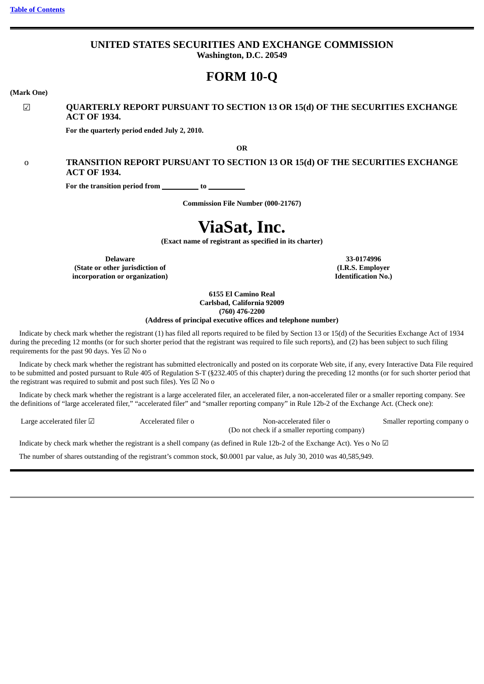# **UNITED STATES SECURITIES AND EXCHANGE COMMISSION Washington, D.C. 20549**

**FORM 10-Q**

### **(Mark One)**

# ☑ **QUARTERLY REPORT PURSUANT TO SECTION 13 OR 15(d) OF THE SECURITIES EXCHANGE ACT OF 1934.**

**For the quarterly period ended July 2, 2010.**

**OR**

# o **TRANSITION REPORT PURSUANT TO SECTION 13 OR 15(d) OF THE SECURITIES EXCHANGE ACT OF 1934.**

**For the transition period from to**

**Commission File Number (000-21767)**

# **ViaSat, Inc.**

**(Exact name of registrant as specified in its charter)**

**Delaware 33-0174996 (State or other jurisdiction of (I.R.S. Employer incorporation or organization) Identification No.)**

**6155 El Camino Real Carlsbad, California 92009 (760) 476-2200**

**(Address of principal executive offices and telephone number)**

Indicate by check mark whether the registrant (1) has filed all reports required to be filed by Section 13 or 15(d) of the Securities Exchange Act of 1934 during the preceding 12 months (or for such shorter period that the registrant was required to file such reports), and (2) has been subject to such filing requirements for the past 90 days. Yes  $\boxtimes$  No o

Indicate by check mark whether the registrant has submitted electronically and posted on its corporate Web site, if any, every Interactive Data File required to be submitted and posted pursuant to Rule 405 of Regulation S-T (§232.405 of this chapter) during the preceding 12 months (or for such shorter period that the registrant was required to submit and post such files). Yes  $\boxtimes$  No o

Indicate by check mark whether the registrant is a large accelerated filer, an accelerated filer, a non-accelerated filer or a smaller reporting company. See the definitions of "large accelerated filer," "accelerated filer" and "smaller reporting company" in Rule 12b-2 of the Exchange Act. (Check one):

Large accelerated filer ⊠ Accelerated filer o Non-accelerated filer o Smaller reporting company o (Do not check if a smaller reporting company)

Indicate by check mark whether the registrant is a shell company (as defined in Rule 12b-2 of the Exchange Act). Yes o No ☑

The number of shares outstanding of the registrant's common stock, \$0.0001 par value, as July 30, 2010 was 40,585,949.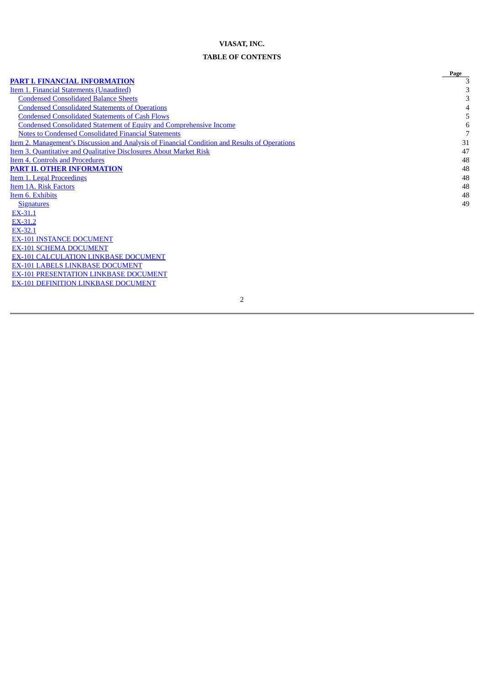# **VIASAT, INC.**

### **TABLE OF CONTENTS**

<span id="page-2-0"></span>

|                                                                                                      | Page |
|------------------------------------------------------------------------------------------------------|------|
| <b>PART I. FINANCIAL INFORMATION</b>                                                                 | 3    |
| Item 1. Financial Statements (Unaudited)                                                             | 3    |
| <b>Condensed Consolidated Balance Sheets</b>                                                         | 3    |
| <b>Condensed Consolidated Statements of Operations</b>                                               | 4    |
| <b>Condensed Consolidated Statements of Cash Flows</b>                                               | 5    |
| <b>Condensed Consolidated Statement of Equity and Comprehensive Income</b>                           | 6    |
| <b>Notes to Condensed Consolidated Financial Statements</b>                                          |      |
| <u>Item 2. Management's Discussion and Analysis of Financial Condition and Results of Operations</u> | 31   |
| <b>Item 3. Quantitative and Qualitative Disclosures About Market Risk</b>                            | 47   |
| <b>Item 4. Controls and Procedures</b>                                                               | 48   |
| <b>PART II. OTHER INFORMATION</b>                                                                    | 48   |
| Item 1. Legal Proceedings                                                                            | 48   |
| Item 1A. Risk Factors                                                                                | 48   |
| Item 6. Exhibits                                                                                     | 48   |
| <b>Signatures</b>                                                                                    | 49   |
| EX-31.1                                                                                              |      |
| EX-31.2                                                                                              |      |
| EX-32.1                                                                                              |      |
| <b>EX-101 INSTANCE DOCUMENT</b>                                                                      |      |
| <b>EX-101 SCHEMA DOCUMENT</b>                                                                        |      |
| <b>EX-101 CALCULATION LINKBASE DOCUMENT</b>                                                          |      |
| EX-101 LABELS LINKBASE DOCUMENT                                                                      |      |
| <b>EX-101 PRESENTATION LINKBASE DOCUMENT</b>                                                         |      |
| <b>EX-101 DEFINITION LINKBASE DOCUMENT</b>                                                           |      |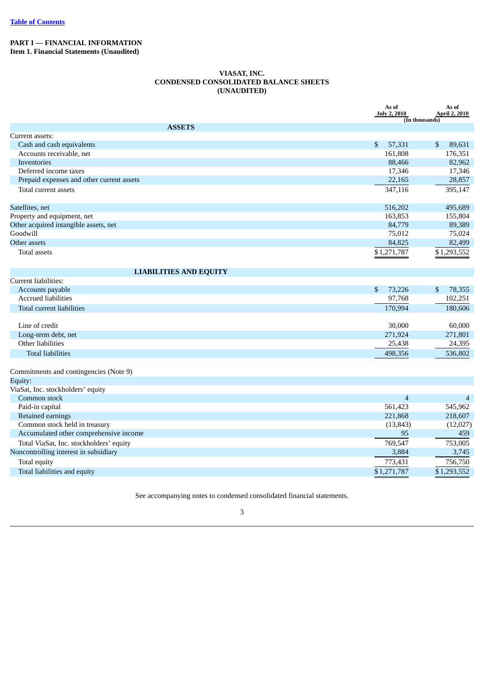## <span id="page-3-1"></span><span id="page-3-0"></span>**PART I — FINANCIAL INFORMATION Item 1. Financial Statements (Unaudited)**

### **VIASAT, INC. CONDENSED CONSOLIDATED BALANCE SHEETS (UNAUDITED)**

<span id="page-3-2"></span>

|                                           | As of<br><b>July 2, 2010</b> | As of<br><b>April 2, 2010</b> |
|-------------------------------------------|------------------------------|-------------------------------|
|                                           |                              | (In thousands)                |
| <b>ASSETS</b>                             |                              |                               |
| Current assets:                           |                              |                               |
| Cash and cash equivalents                 | 57,331<br>$\mathbb{S}$       | \$<br>89,631                  |
| Accounts receivable, net                  | 161,808                      | 176,351                       |
| Inventories                               | 88,466                       | 82,962                        |
| Deferred income taxes                     | 17,346                       | 17,346                        |
| Prepaid expenses and other current assets | 22,165                       | 28,857                        |
| Total current assets                      | 347,116                      | 395,147                       |
| Satellites, net                           | 516,202                      | 495,689                       |
| Property and equipment, net               | 163,853                      | 155,804                       |
| Other acquired intangible assets, net     | 84,779                       | 89,389                        |
| Goodwill                                  | 75,012                       | 75,024                        |
| Other assets                              | 84,825                       | 82,499                        |
| <b>Total assets</b>                       | \$1,271,787                  | \$1,293,552                   |
| <b>LIABILITIES AND EQUITY</b>             |                              |                               |
| Current liabilities:                      |                              |                               |
| Accounts payable                          | $\mathfrak{S}$<br>73,226     | 78,355<br>\$                  |
| <b>Accrued liabilities</b>                | 97,768                       | 102,251                       |
| Total current liabilities                 | 170,994                      | 180,606                       |
| Line of credit                            | 30,000                       | 60,000                        |
| Long-term debt, net                       | 271,924                      | 271,801                       |
| Other liabilities                         | 25,438                       | 24,395                        |
| <b>Total liabilities</b>                  | 498,356                      | 536,802                       |
| Commitments and contingencies (Note 9)    |                              |                               |
| Equity:                                   |                              |                               |
| ViaSat, Inc. stockholders' equity         |                              |                               |
| Common stock                              | $\overline{4}$               | $\overline{4}$                |
| Paid-in capital                           | 561,423                      | 545,962                       |
| Retained earnings                         | 221,868                      | 218,607                       |
| Common stock held in treasury             | (13, 843)                    | (12,027)                      |
| Accumulated other comprehensive income    | 95                           | 459                           |
| Total ViaSat, Inc. stockholders' equity   | 769,547                      | 753,005                       |
| Noncontrolling interest in subsidiary     | 3,884                        | 3,745                         |
| Total equity                              | 773,431                      | 756,750                       |
| Total liabilities and equity              | \$1,271,787                  | \$1,293,552                   |

See accompanying notes to condensed consolidated financial statements.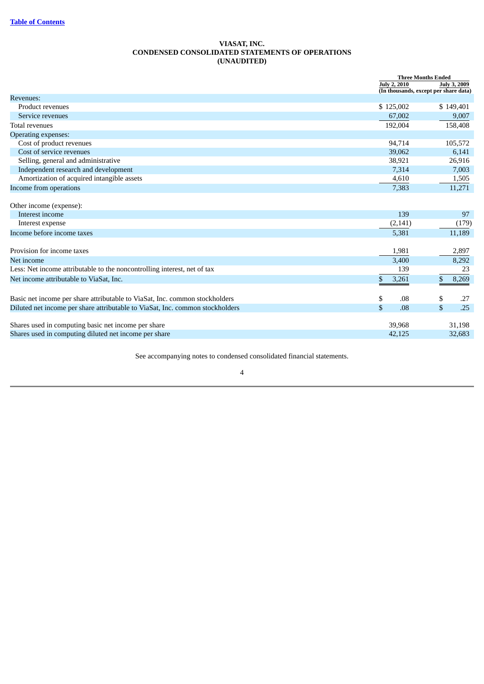### **VIASAT, INC. CONDENSED CONSOLIDATED STATEMENTS OF OPERATIONS (UNAUDITED)**

<span id="page-4-0"></span>

|                                                                               |                     | <b>Three Months Ended</b>             |
|-------------------------------------------------------------------------------|---------------------|---------------------------------------|
|                                                                               | <b>July 2, 2010</b> | <b>July 3, 2009</b>                   |
| <b>Revenues:</b>                                                              |                     | (In thousands, except per share data) |
| Product revenues                                                              | \$125,002           | \$149,401                             |
| Service revenues                                                              | 67,002              | 9,007                                 |
| <b>Total revenues</b>                                                         | 192,004             | 158,408                               |
| <b>Operating expenses:</b>                                                    |                     |                                       |
| Cost of product revenues                                                      | 94,714              | 105,572                               |
| Cost of service revenues                                                      | 39,062              | 6,141                                 |
| Selling, general and administrative                                           | 38,921              | 26,916                                |
| Independent research and development                                          | 7,314               | 7,003                                 |
| Amortization of acquired intangible assets                                    | 4,610               | 1,505                                 |
| Income from operations                                                        | 7,383               | 11,271                                |
| Other income (expense):                                                       |                     |                                       |
| Interest income                                                               | 139                 | 97                                    |
| Interest expense                                                              | (2, 141)            | (179)                                 |
| Income before income taxes                                                    | 5,381               |                                       |
|                                                                               |                     | 11,189                                |
| Provision for income taxes                                                    | 1,981               | 2,897                                 |
| Net income                                                                    | 3,400               | 8,292                                 |
| Less: Net income attributable to the noncontrolling interest, net of tax      | 139                 | 23                                    |
| Net income attributable to ViaSat, Inc.                                       | \$<br>3,261         | 8,269<br>\$                           |
|                                                                               |                     |                                       |
| Basic net income per share attributable to ViaSat, Inc. common stockholders   | \$<br>.08           | \$<br>.27                             |
| Diluted net income per share attributable to ViaSat, Inc. common stockholders | \$<br>.08           | $\mathbb{S}$<br>.25                   |
|                                                                               |                     |                                       |
| Shares used in computing basic net income per share                           | 39,968              | 31,198                                |
| Shares used in computing diluted net income per share                         | 42,125              | 32,683                                |

See accompanying notes to condensed consolidated financial statements.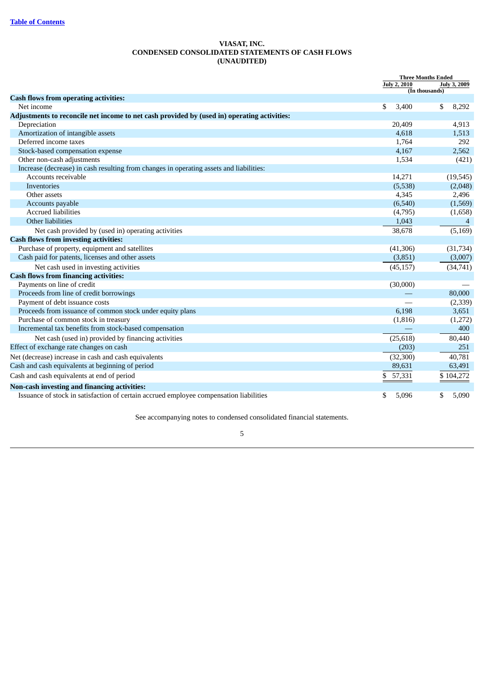### **VIASAT, INC. CONDENSED CONSOLIDATED STATEMENTS OF CASH FLOWS (UNAUDITED)**

<span id="page-5-0"></span>

|                                                                                             | <b>Three Months Ended</b>             |                     |  |
|---------------------------------------------------------------------------------------------|---------------------------------------|---------------------|--|
|                                                                                             | <b>July 2, 2010</b><br>(In thousands) | <b>July 3, 2009</b> |  |
| <b>Cash flows from operating activities:</b>                                                |                                       |                     |  |
| Net income                                                                                  | \$<br>3,400                           | \$<br>8,292         |  |
| Adjustments to reconcile net income to net cash provided by (used in) operating activities: |                                       |                     |  |
| Depreciation                                                                                | 20,409                                | 4,913               |  |
| Amortization of intangible assets                                                           | 4,618                                 | 1,513               |  |
| Deferred income taxes                                                                       | 1,764                                 | 292                 |  |
| Stock-based compensation expense                                                            | 4,167                                 | 2,562               |  |
| Other non-cash adjustments                                                                  | 1,534                                 | (421)               |  |
| Increase (decrease) in cash resulting from changes in operating assets and liabilities:     |                                       |                     |  |
| Accounts receivable                                                                         | 14,271                                | (19, 545)           |  |
| <b>Inventories</b>                                                                          | (5,538)                               | (2,048)             |  |
| Other assets                                                                                | 4,345                                 | 2,496               |  |
| Accounts payable                                                                            | (6,540)                               | (1,569)             |  |
| <b>Accrued liabilities</b>                                                                  | (4,795)                               | (1,658)             |  |
| Other liabilities                                                                           | 1,043                                 | $\overline{4}$      |  |
| Net cash provided by (used in) operating activities                                         | 38,678                                | (5, 169)            |  |
| <b>Cash flows from investing activities:</b>                                                |                                       |                     |  |
| Purchase of property, equipment and satellites                                              | (41,306)                              | (31, 734)           |  |
| Cash paid for patents, licenses and other assets                                            | (3,851)                               | (3,007)             |  |
| Net cash used in investing activities                                                       | (45, 157)                             | (34, 741)           |  |
| <b>Cash flows from financing activities:</b>                                                |                                       |                     |  |
| Payments on line of credit                                                                  | (30,000)                              |                     |  |
| Proceeds from line of credit borrowings                                                     |                                       | 80,000              |  |
| Payment of debt issuance costs                                                              |                                       | (2, 339)            |  |
| Proceeds from issuance of common stock under equity plans                                   | 6,198                                 | 3,651               |  |
| Purchase of common stock in treasury                                                        | (1, 816)                              | (1,272)             |  |
| Incremental tax benefits from stock-based compensation                                      |                                       | 400                 |  |
| Net cash (used in) provided by financing activities                                         | (25, 618)                             | 80,440              |  |
| Effect of exchange rate changes on cash                                                     | (203)                                 | 251                 |  |
| Net (decrease) increase in cash and cash equivalents                                        | (32,300)                              | 40,781              |  |
| Cash and cash equivalents at beginning of period                                            | 89,631                                | 63,491              |  |
| Cash and cash equivalents at end of period                                                  | \$57,331                              | \$104,272           |  |
| Non-cash investing and financing activities:                                                |                                       |                     |  |
| Issuance of stock in satisfaction of certain accrued employee compensation liabilities      | 5,096                                 | \$<br>5,090         |  |

See accompanying notes to condensed consolidated financial statements.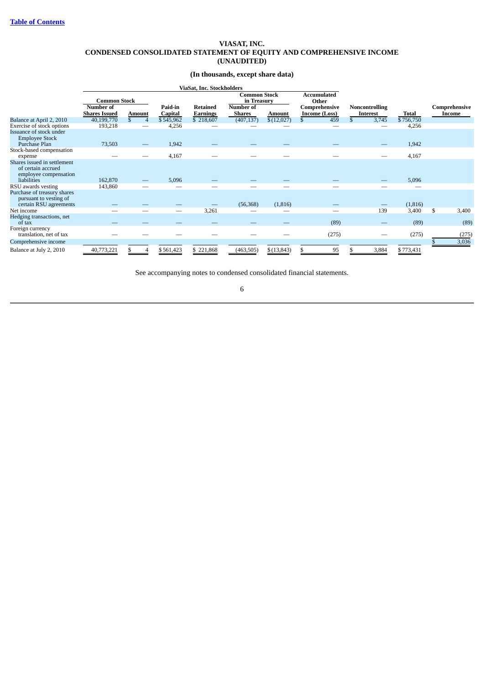### **VIASAT, INC. CONDENSED CONSOLIDATED STATEMENT OF EQUITY AND COMPREHENSIVE INCOME (UNAUDITED)**

# **(In thousands, except share data)**

<span id="page-6-0"></span>

|                                                                                           |                                   |               |                    | <b>ViaSat, Inc. Stockholders</b> |                                    |               |                                |                            |           |                         |
|-------------------------------------------------------------------------------------------|-----------------------------------|---------------|--------------------|----------------------------------|------------------------------------|---------------|--------------------------------|----------------------------|-----------|-------------------------|
|                                                                                           | <b>Common Stock</b>               |               |                    |                                  | <b>Common Stock</b><br>in Treasury |               | <b>Accumulated</b><br>Other    |                            |           |                         |
|                                                                                           | Number of<br><b>Shares Issued</b> | <b>Amount</b> | Paid-in<br>Capital | Retained<br><b>Earnings</b>      | Number of<br><b>Shares</b>         | <b>Amount</b> | Comprehensive<br>Income (Loss) | Noncontrolling<br>Interest | Total     | Comprehensive<br>Income |
| Balance at April 2, 2010                                                                  | 40,199,770                        | \$            | \$545,962          | \$218,607                        | (407, 137)                         | \$(12,027)    | 459                            | 3,745                      | \$756,750 |                         |
| Exercise of stock options                                                                 | 193,218                           |               | 4,256              |                                  |                                    |               |                                |                            | 4,256     |                         |
| Issuance of stock under<br><b>Employee Stock</b><br>Purchase Plan                         | 73,503                            |               | 1,942              |                                  |                                    |               |                                |                            | 1,942     |                         |
| Stock-based compensation<br>expense                                                       |                                   |               | 4,167              |                                  |                                    |               |                                |                            | 4,167     |                         |
| Shares issued in settlement<br>of certain accrued<br>employee compensation<br>liabilities | 162,870                           |               | 5,096              |                                  |                                    |               |                                |                            | 5,096     |                         |
| RSU awards vesting                                                                        | 143,860                           |               |                    |                                  |                                    |               |                                |                            |           |                         |
| Purchase of treasury shares<br>pursuant to vesting of<br>certain RSU agreements           |                                   |               |                    |                                  | (56, 368)                          | (1,816)       |                                | —                          | (1, 816)  |                         |
| Net income                                                                                |                                   |               | —                  | 3,261                            |                                    |               |                                | 139                        | 3,400     | \$<br>3,400             |
| Hedging transactions, net<br>of tax                                                       |                                   |               |                    |                                  |                                    |               | (89)                           |                            | (89)      | (89)                    |
| Foreign currency<br>translation, net of tax                                               |                                   |               |                    |                                  |                                    |               | (275)                          |                            | (275)     | (275)                   |
| Comprehensive income                                                                      |                                   |               |                    |                                  |                                    |               |                                |                            |           | 3,036                   |
| Balance at July 2, 2010                                                                   | 40,773,221                        |               | \$561,423          | \$221,868                        | (463, 505)                         | \$(13, 843)   | 95                             | 3,884                      | \$773,431 |                         |

See accompanying notes to condensed consolidated financial statements.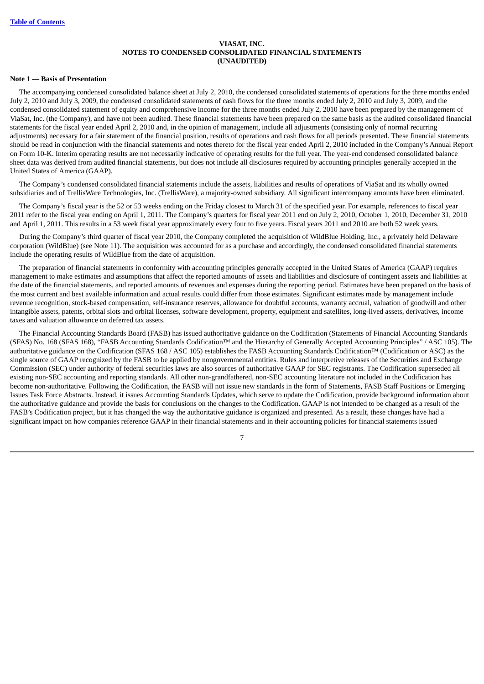### <span id="page-7-0"></span>**Note 1 — Basis of Presentation**

The accompanying condensed consolidated balance sheet at July 2, 2010, the condensed consolidated statements of operations for the three months ended July 2, 2010 and July 3, 2009, the condensed consolidated statements of cash flows for the three months ended July 2, 2010 and July 3, 2009, and the condensed consolidated statement of equity and comprehensive income for the three months ended July 2, 2010 have been prepared by the management of ViaSat, Inc. (the Company), and have not been audited. These financial statements have been prepared on the same basis as the audited consolidated financial statements for the fiscal year ended April 2, 2010 and, in the opinion of management, include all adjustments (consisting only of normal recurring adjustments) necessary for a fair statement of the financial position, results of operations and cash flows for all periods presented. These financial statements should be read in conjunction with the financial statements and notes thereto for the fiscal year ended April 2, 2010 included in the Company's Annual Report on Form 10-K. Interim operating results are not necessarily indicative of operating results for the full year. The year-end condensed consolidated balance sheet data was derived from audited financial statements, but does not include all disclosures required by accounting principles generally accepted in the United States of America (GAAP).

The Company's condensed consolidated financial statements include the assets, liabilities and results of operations of ViaSat and its wholly owned subsidiaries and of TrellisWare Technologies, Inc. (TrellisWare), a majority-owned subsidiary. All significant intercompany amounts have been eliminated.

The Company's fiscal year is the 52 or 53 weeks ending on the Friday closest to March 31 of the specified year. For example, references to fiscal year 2011 refer to the fiscal year ending on April 1, 2011. The Company's quarters for fiscal year 2011 end on July 2, 2010, October 1, 2010, December 31, 2010 and April 1, 2011. This results in a 53 week fiscal year approximately every four to five years. Fiscal years 2011 and 2010 are both 52 week years.

During the Company's third quarter of fiscal year 2010, the Company completed the acquisition of WildBlue Holding, Inc., a privately held Delaware corporation (WildBlue) (see Note 11). The acquisition was accounted for as a purchase and accordingly, the condensed consolidated financial statements include the operating results of WildBlue from the date of acquisition.

The preparation of financial statements in conformity with accounting principles generally accepted in the United States of America (GAAP) requires management to make estimates and assumptions that affect the reported amounts of assets and liabilities and disclosure of contingent assets and liabilities at the date of the financial statements, and reported amounts of revenues and expenses during the reporting period. Estimates have been prepared on the basis of the most current and best available information and actual results could differ from those estimates. Significant estimates made by management include revenue recognition, stock-based compensation, self-insurance reserves, allowance for doubtful accounts, warranty accrual, valuation of goodwill and other intangible assets, patents, orbital slots and orbital licenses, software development, property, equipment and satellites, long-lived assets, derivatives, income taxes and valuation allowance on deferred tax assets.

The Financial Accounting Standards Board (FASB) has issued authoritative guidance on the Codification (Statements of Financial Accounting Standards (SFAS) No. 168 (SFAS 168), "FASB Accounting Standards Codification™ and the Hierarchy of Generally Accepted Accounting Principles" / ASC 105). The authoritative guidance on the Codification (SFAS 168 / ASC 105) establishes the FASB Accounting Standards Codification™ (Codification or ASC) as the single source of GAAP recognized by the FASB to be applied by nongovernmental entities. Rules and interpretive releases of the Securities and Exchange Commission (SEC) under authority of federal securities laws are also sources of authoritative GAAP for SEC registrants. The Codification superseded all existing non-SEC accounting and reporting standards. All other non-grandfathered, non-SEC accounting literature not included in the Codification has become non-authoritative. Following the Codification, the FASB will not issue new standards in the form of Statements, FASB Staff Positions or Emerging Issues Task Force Abstracts. Instead, it issues Accounting Standards Updates, which serve to update the Codification, provide background information about the authoritative guidance and provide the basis for conclusions on the changes to the Codification. GAAP is not intended to be changed as a result of the FASB's Codification project, but it has changed the way the authoritative guidance is organized and presented. As a result, these changes have had a significant impact on how companies reference GAAP in their financial statements and in their accounting policies for financial statements issued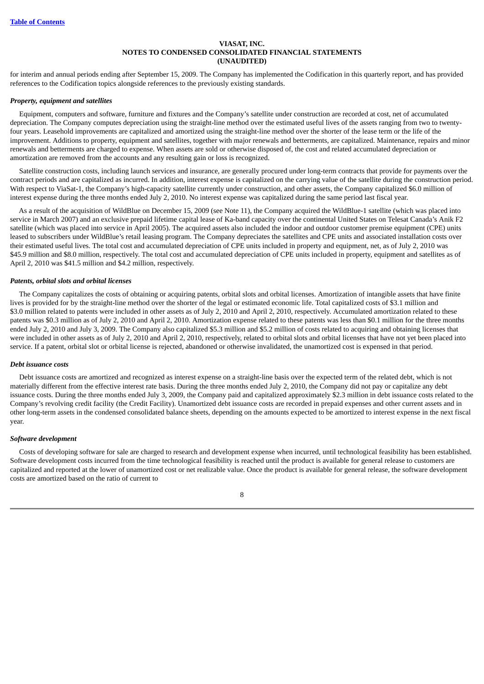for interim and annual periods ending after September 15, 2009. The Company has implemented the Codification in this quarterly report, and has provided references to the Codification topics alongside references to the previously existing standards.

### *Property, equipment and satellites*

Equipment, computers and software, furniture and fixtures and the Company's satellite under construction are recorded at cost, net of accumulated depreciation. The Company computes depreciation using the straight-line method over the estimated useful lives of the assets ranging from two to twentyfour years. Leasehold improvements are capitalized and amortized using the straight-line method over the shorter of the lease term or the life of the improvement. Additions to property, equipment and satellites, together with major renewals and betterments, are capitalized. Maintenance, repairs and minor renewals and betterments are charged to expense. When assets are sold or otherwise disposed of, the cost and related accumulated depreciation or amortization are removed from the accounts and any resulting gain or loss is recognized.

Satellite construction costs, including launch services and insurance, are generally procured under long-term contracts that provide for payments over the contract periods and are capitalized as incurred. In addition, interest expense is capitalized on the carrying value of the satellite during the construction period. With respect to ViaSat-1, the Company's high-capacity satellite currently under construction, and other assets, the Company capitalized \$6.0 million of interest expense during the three months ended July 2, 2010. No interest expense was capitalized during the same period last fiscal year.

As a result of the acquisition of WildBlue on December 15, 2009 (see Note 11), the Company acquired the WildBlue-1 satellite (which was placed into service in March 2007) and an exclusive prepaid lifetime capital lease of Ka-band capacity over the continental United States on Telesat Canada's Anik F2 satellite (which was placed into service in April 2005). The acquired assets also included the indoor and outdoor customer premise equipment (CPE) units leased to subscribers under WildBlue's retail leasing program. The Company depreciates the satellites and CPE units and associated installation costs over their estimated useful lives. The total cost and accumulated depreciation of CPE units included in property and equipment, net, as of July 2, 2010 was \$45.9 million and \$8.0 million, respectively. The total cost and accumulated depreciation of CPE units included in property, equipment and satellites as of April 2, 2010 was \$41.5 million and \$4.2 million, respectively.

### *Patents, orbital slots and orbital licenses*

The Company capitalizes the costs of obtaining or acquiring patents, orbital slots and orbital licenses. Amortization of intangible assets that have finite lives is provided for by the straight-line method over the shorter of the legal or estimated economic life. Total capitalized costs of \$3.1 million and \$3.0 million related to patents were included in other assets as of July 2, 2010 and April 2, 2010, respectively. Accumulated amortization related to these patents was \$0.3 million as of July 2, 2010 and April 2, 2010. Amortization expense related to these patents was less than \$0.1 million for the three months ended July 2, 2010 and July 3, 2009. The Company also capitalized \$5.3 million and \$5.2 million of costs related to acquiring and obtaining licenses that were included in other assets as of July 2, 2010 and April 2, 2010, respectively, related to orbital slots and orbital licenses that have not yet been placed into service. If a patent, orbital slot or orbital license is rejected, abandoned or otherwise invalidated, the unamortized cost is expensed in that period.

#### *Debt issuance costs*

Debt issuance costs are amortized and recognized as interest expense on a straight-line basis over the expected term of the related debt, which is not materially different from the effective interest rate basis. During the three months ended July 2, 2010, the Company did not pay or capitalize any debt issuance costs. During the three months ended July 3, 2009, the Company paid and capitalized approximately \$2.3 million in debt issuance costs related to the Company's revolving credit facility (the Credit Facility). Unamortized debt issuance costs are recorded in prepaid expenses and other current assets and in other long-term assets in the condensed consolidated balance sheets, depending on the amounts expected to be amortized to interest expense in the next fiscal year.

#### *Software development*

Costs of developing software for sale are charged to research and development expense when incurred, until technological feasibility has been established. Software development costs incurred from the time technological feasibility is reached until the product is available for general release to customers are capitalized and reported at the lower of unamortized cost or net realizable value. Once the product is available for general release, the software development costs are amortized based on the ratio of current to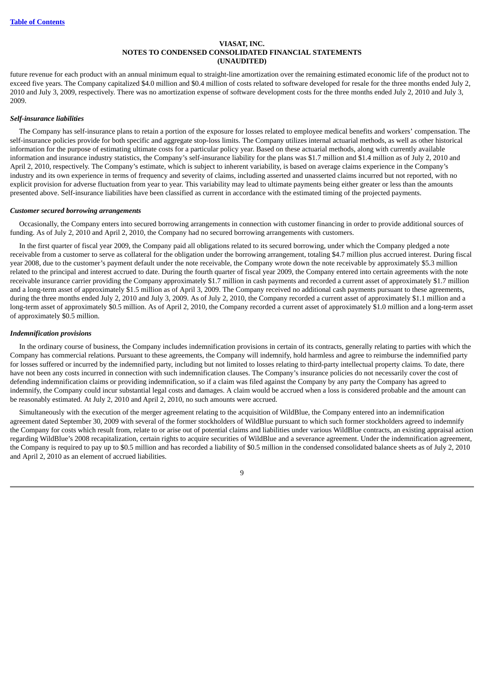future revenue for each product with an annual minimum equal to straight-line amortization over the remaining estimated economic life of the product not to exceed five years. The Company capitalized \$4.0 million and \$0.4 million of costs related to software developed for resale for the three months ended July 2, 2010 and July 3, 2009, respectively. There was no amortization expense of software development costs for the three months ended July 2, 2010 and July 3, 2009.

### *Self-insurance liabilities*

The Company has self-insurance plans to retain a portion of the exposure for losses related to employee medical benefits and workers' compensation. The self-insurance policies provide for both specific and aggregate stop-loss limits. The Company utilizes internal actuarial methods, as well as other historical information for the purpose of estimating ultimate costs for a particular policy year. Based on these actuarial methods, along with currently available information and insurance industry statistics, the Company's self-insurance liability for the plans was \$1.7 million and \$1.4 million as of July 2, 2010 and April 2, 2010, respectively. The Company's estimate, which is subject to inherent variability, is based on average claims experience in the Company's industry and its own experience in terms of frequency and severity of claims, including asserted and unasserted claims incurred but not reported, with no explicit provision for adverse fluctuation from year to year. This variability may lead to ultimate payments being either greater or less than the amounts presented above. Self-insurance liabilities have been classified as current in accordance with the estimated timing of the projected payments.

#### *Customer secured borrowing arrangements*

Occasionally, the Company enters into secured borrowing arrangements in connection with customer financing in order to provide additional sources of funding. As of July 2, 2010 and April 2, 2010, the Company had no secured borrowing arrangements with customers.

In the first quarter of fiscal year 2009, the Company paid all obligations related to its secured borrowing, under which the Company pledged a note receivable from a customer to serve as collateral for the obligation under the borrowing arrangement, totaling \$4.7 million plus accrued interest. During fiscal year 2008, due to the customer's payment default under the note receivable, the Company wrote down the note receivable by approximately \$5.3 million related to the principal and interest accrued to date. During the fourth quarter of fiscal year 2009, the Company entered into certain agreements with the note receivable insurance carrier providing the Company approximately \$1.7 million in cash payments and recorded a current asset of approximately \$1.7 million and a long-term asset of approximately \$1.5 million as of April 3, 2009. The Company received no additional cash payments pursuant to these agreements, during the three months ended July 2, 2010 and July 3, 2009. As of July 2, 2010, the Company recorded a current asset of approximately \$1.1 million and a long-term asset of approximately \$0.5 million. As of April 2, 2010, the Company recorded a current asset of approximately \$1.0 million and a long-term asset of approximately \$0.5 million.

### *Indemnification provisions*

In the ordinary course of business, the Company includes indemnification provisions in certain of its contracts, generally relating to parties with which the Company has commercial relations. Pursuant to these agreements, the Company will indemnify, hold harmless and agree to reimburse the indemnified party for losses suffered or incurred by the indemnified party, including but not limited to losses relating to third-party intellectual property claims. To date, there have not been any costs incurred in connection with such indemnification clauses. The Company's insurance policies do not necessarily cover the cost of defending indemnification claims or providing indemnification, so if a claim was filed against the Company by any party the Company has agreed to indemnify, the Company could incur substantial legal costs and damages. A claim would be accrued when a loss is considered probable and the amount can be reasonably estimated. At July 2, 2010 and April 2, 2010, no such amounts were accrued.

Simultaneously with the execution of the merger agreement relating to the acquisition of WildBlue, the Company entered into an indemnification agreement dated September 30, 2009 with several of the former stockholders of WildBlue pursuant to which such former stockholders agreed to indemnify the Company for costs which result from, relate to or arise out of potential claims and liabilities under various WildBlue contracts, an existing appraisal action regarding WildBlue's 2008 recapitalization, certain rights to acquire securities of WildBlue and a severance agreement. Under the indemnification agreement, the Company is required to pay up to \$0.5 million and has recorded a liability of \$0.5 million in the condensed consolidated balance sheets as of July 2, 2010 and April 2, 2010 as an element of accrued liabilities.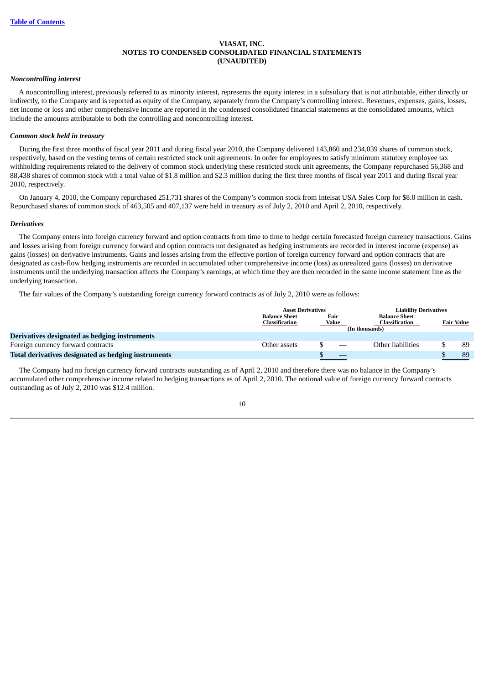#### *Noncontrolling interest*

A noncontrolling interest, previously referred to as minority interest, represents the equity interest in a subsidiary that is not attributable, either directly or indirectly, to the Company and is reported as equity of the Company, separately from the Company's controlling interest. Revenues, expenses, gains, losses, net income or loss and other comprehensive income are reported in the condensed consolidated financial statements at the consolidated amounts, which include the amounts attributable to both the controlling and noncontrolling interest.

#### *Common stock held in treasury*

During the first three months of fiscal year 2011 and during fiscal year 2010, the Company delivered 143,860 and 234,039 shares of common stock, respectively, based on the vesting terms of certain restricted stock unit agreements. In order for employees to satisfy minimum statutory employee tax withholding requirements related to the delivery of common stock underlying these restricted stock unit agreements, the Company repurchased 56,368 and 88,438 shares of common stock with a total value of \$1.8 million and \$2.3 million during the first three months of fiscal year 2011 and during fiscal year 2010, respectively.

On January 4, 2010, the Company repurchased 251,731 shares of the Company's common stock from Intelsat USA Sales Corp for \$8.0 million in cash. Repurchased shares of common stock of 463,505 and 407,137 were held in treasury as of July 2, 2010 and April 2, 2010, respectively.

#### *Derivatives*

The Company enters into foreign currency forward and option contracts from time to time to hedge certain forecasted foreign currency transactions. Gains and losses arising from foreign currency forward and option contracts not designated as hedging instruments are recorded in interest income (expense) as gains (losses) on derivative instruments. Gains and losses arising from the effective portion of foreign currency forward and option contracts that are designated as cash-flow hedging instruments are recorded in accumulated other comprehensive income (loss) as unrealized gains (losses) on derivative instruments until the underlying transaction affects the Company's earnings, at which time they are then recorded in the same income statement line as the underlying transaction.

The fair values of the Company's outstanding foreign currency forward contracts as of July 2, 2010 were as follows:

|                                                     | <b>Asset Derivatives</b><br><b>Balance Sheet</b><br>Fair<br>Value<br>Classification |  | <b>Liability Derivatives</b><br><b>Balance Sheet</b><br><b>Classification</b> | <b>Fair Value</b> |  |
|-----------------------------------------------------|-------------------------------------------------------------------------------------|--|-------------------------------------------------------------------------------|-------------------|--|
| Derivatives designated as hedging instruments       |                                                                                     |  | (In thousands)                                                                |                   |  |
| Foreign currency forward contracts                  | Other assets                                                                        |  | Other liabilities                                                             | 89                |  |
| Total derivatives designated as hedging instruments |                                                                                     |  |                                                                               | 89                |  |

The Company had no foreign currency forward contracts outstanding as of April 2, 2010 and therefore there was no balance in the Company's accumulated other comprehensive income related to hedging transactions as of April 2, 2010. The notional value of foreign currency forward contracts outstanding as of July 2, 2010 was \$12.4 million.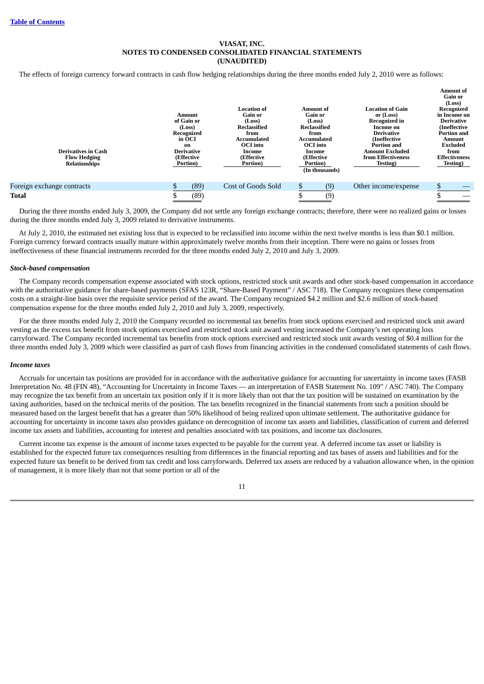**Amount of**

The effects of foreign currency forward contracts in cash flow hedging relationships during the three months ended July 2, 2010 were as follows:

| <b>Derivatives in Cash</b><br><b>Flow Hedging</b><br><b>Relationships</b> | Amount<br>of Gain or<br>(Loss)<br>Recognized<br>in OCI<br>on<br><b>Derivative</b><br>(Effective<br>Portion) | <b>Location of</b><br><b>Gain</b> or<br>(Loss)<br><b>Reclassified</b><br>from<br>Accumulated<br><b>OCI</b> into<br>Income<br><b>(Effective</b><br>Portion) | Amount of<br>Gain or<br>(Loss)<br>Reclassified<br>from<br>Accumulated<br><b>OCI</b> into<br>Income<br>(Effective<br>Portion)<br>(In thousands) | <b>Location of Gain</b><br>or (Loss)<br><b>Recognized in</b><br>Income on<br><b>Derivative</b><br>(Ineffective<br><b>Portion and</b><br><b>Amount Excluded</b><br>from Effectiveness<br><b>Testing</b> ) | тиночны от<br>Gain or<br>(Loss)<br>Recognized<br>in Income on<br><b>Derivative</b><br>(Ineffective<br><b>Portion and</b><br>Amount<br><b>Excluded</b><br>from<br>Effectiveness<br><b>Testing</b> ) |
|---------------------------------------------------------------------------|-------------------------------------------------------------------------------------------------------------|------------------------------------------------------------------------------------------------------------------------------------------------------------|------------------------------------------------------------------------------------------------------------------------------------------------|----------------------------------------------------------------------------------------------------------------------------------------------------------------------------------------------------------|----------------------------------------------------------------------------------------------------------------------------------------------------------------------------------------------------|
| Foreign exchange contracts                                                | (89)                                                                                                        | Cost of Goods Sold                                                                                                                                         | (9)                                                                                                                                            | Other income/expense                                                                                                                                                                                     |                                                                                                                                                                                                    |
| Total                                                                     | (89)                                                                                                        |                                                                                                                                                            | (9)                                                                                                                                            |                                                                                                                                                                                                          |                                                                                                                                                                                                    |

During the three months ended July 3, 2009, the Company did not settle any foreign exchange contracts; therefore, there were no realized gains or losses during the three months ended July 3, 2009 related to derivative instruments.

At July 2, 2010, the estimated net existing loss that is expected to be reclassified into income within the next twelve months is less than \$0.1 million. Foreign currency forward contracts usually mature within approximately twelve months from their inception. There were no gains or losses from ineffectiveness of these financial instruments recorded for the three months ended July 2, 2010 and July 3, 2009.

### *Stock-based compensation*

The Company records compensation expense associated with stock options, restricted stock unit awards and other stock-based compensation in accordance with the authoritative guidance for share-based payments (SFAS 123R, "Share-Based Payment" / ASC 718). The Company recognizes these compensation costs on a straight-line basis over the requisite service period of the award. The Company recognized \$4.2 million and \$2.6 million of stock-based compensation expense for the three months ended July 2, 2010 and July 3, 2009, respectively.

For the three months ended July 2, 2010 the Company recorded no incremental tax benefits from stock options exercised and restricted stock unit award vesting as the excess tax benefit from stock options exercised and restricted stock unit award vesting increased the Company's net operating loss carryforward. The Company recorded incremental tax benefits from stock options exercised and restricted stock unit awards vesting of \$0.4 million for the three months ended July 3, 2009 which were classified as part of cash flows from financing activities in the condensed consolidated statements of cash flows.

### *Income taxes*

Accruals for uncertain tax positions are provided for in accordance with the authoritative guidance for accounting for uncertainty in income taxes (FASB Interpretation No. 48 (FIN 48), "Accounting for Uncertainty in Income Taxes — an interpretation of FASB Statement No. 109" / ASC 740). The Company may recognize the tax benefit from an uncertain tax position only if it is more likely than not that the tax position will be sustained on examination by the taxing authorities, based on the technical merits of the position. The tax benefits recognized in the financial statements from such a position should be measured based on the largest benefit that has a greater than 50% likelihood of being realized upon ultimate settlement. The authoritative guidance for accounting for uncertainty in income taxes also provides guidance on derecognition of income tax assets and liabilities, classification of current and deferred income tax assets and liabilities, accounting for interest and penalties associated with tax positions, and income tax disclosures.

Current income tax expense is the amount of income taxes expected to be payable for the current year. A deferred income tax asset or liability is established for the expected future tax consequences resulting from differences in the financial reporting and tax bases of assets and liabilities and for the expected future tax benefit to be derived from tax credit and loss carryforwards. Deferred tax assets are reduced by a valuation allowance when, in the opinion of management, it is more likely than not that some portion or all of the

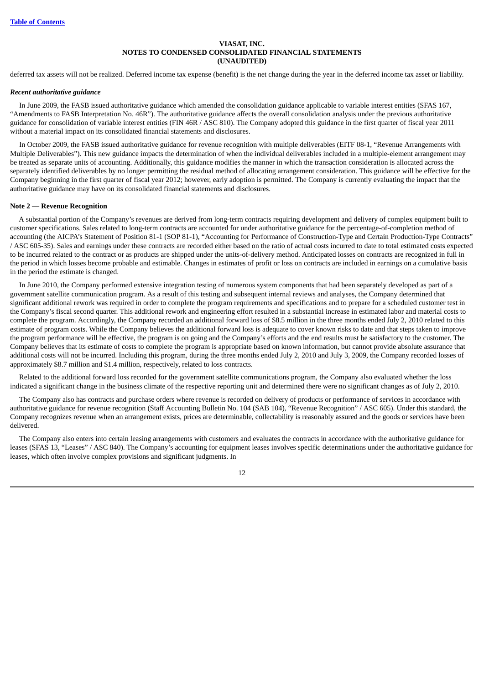deferred tax assets will not be realized. Deferred income tax expense (benefit) is the net change during the year in the deferred income tax asset or liability.

### *Recent authoritative guidance*

In June 2009, the FASB issued authoritative guidance which amended the consolidation guidance applicable to variable interest entities (SFAS 167, "Amendments to FASB Interpretation No. 46R"). The authoritative guidance affects the overall consolidation analysis under the previous authoritative guidance for consolidation of variable interest entities (FIN 46R / ASC 810). The Company adopted this guidance in the first quarter of fiscal year 2011 without a material impact on its consolidated financial statements and disclosures.

In October 2009, the FASB issued authoritative guidance for revenue recognition with multiple deliverables (EITF 08-1, "Revenue Arrangements with Multiple Deliverables"). This new guidance impacts the determination of when the individual deliverables included in a multiple-element arrangement may be treated as separate units of accounting. Additionally, this guidance modifies the manner in which the transaction consideration is allocated across the separately identified deliverables by no longer permitting the residual method of allocating arrangement consideration. This guidance will be effective for the Company beginning in the first quarter of fiscal year 2012; however, early adoption is permitted. The Company is currently evaluating the impact that the authoritative guidance may have on its consolidated financial statements and disclosures.

#### **Note 2 — Revenue Recognition**

A substantial portion of the Company's revenues are derived from long-term contracts requiring development and delivery of complex equipment built to customer specifications. Sales related to long-term contracts are accounted for under authoritative guidance for the percentage-of-completion method of accounting (the AICPA's Statement of Position 81-1 (SOP 81-1), "Accounting for Performance of Construction-Type and Certain Production-Type Contracts" / ASC 605-35). Sales and earnings under these contracts are recorded either based on the ratio of actual costs incurred to date to total estimated costs expected to be incurred related to the contract or as products are shipped under the units-of-delivery method. Anticipated losses on contracts are recognized in full in the period in which losses become probable and estimable. Changes in estimates of profit or loss on contracts are included in earnings on a cumulative basis in the period the estimate is changed.

In June 2010, the Company performed extensive integration testing of numerous system components that had been separately developed as part of a government satellite communication program. As a result of this testing and subsequent internal reviews and analyses, the Company determined that significant additional rework was required in order to complete the program requirements and specifications and to prepare for a scheduled customer test in the Company's fiscal second quarter. This additional rework and engineering effort resulted in a substantial increase in estimated labor and material costs to complete the program. Accordingly, the Company recorded an additional forward loss of \$8.5 million in the three months ended July 2, 2010 related to this estimate of program costs. While the Company believes the additional forward loss is adequate to cover known risks to date and that steps taken to improve the program performance will be effective, the program is on going and the Company's efforts and the end results must be satisfactory to the customer. The Company believes that its estimate of costs to complete the program is appropriate based on known information, but cannot provide absolute assurance that additional costs will not be incurred. Including this program, during the three months ended July 2, 2010 and July 3, 2009, the Company recorded losses of approximately \$8.7 million and \$1.4 million, respectively, related to loss contracts.

Related to the additional forward loss recorded for the government satellite communications program, the Company also evaluated whether the loss indicated a significant change in the business climate of the respective reporting unit and determined there were no significant changes as of July 2, 2010.

The Company also has contracts and purchase orders where revenue is recorded on delivery of products or performance of services in accordance with authoritative guidance for revenue recognition (Staff Accounting Bulletin No. 104 (SAB 104), "Revenue Recognition" / ASC 605). Under this standard, the Company recognizes revenue when an arrangement exists, prices are determinable, collectability is reasonably assured and the goods or services have been delivered.

The Company also enters into certain leasing arrangements with customers and evaluates the contracts in accordance with the authoritative guidance for leases (SFAS 13, "Leases" / ASC 840). The Company's accounting for equipment leases involves specific determinations under the authoritative guidance for leases, which often involve complex provisions and significant judgments. In

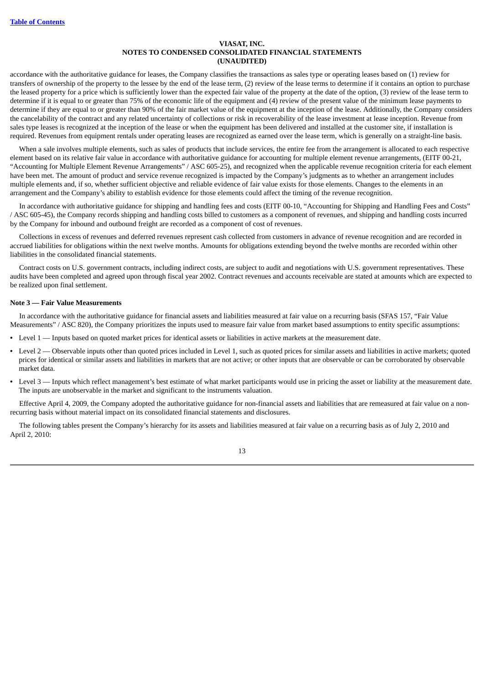accordance with the authoritative guidance for leases, the Company classifies the transactions as sales type or operating leases based on (1) review for transfers of ownership of the property to the lessee by the end of the lease term, (2) review of the lease terms to determine if it contains an option to purchase the leased property for a price which is sufficiently lower than the expected fair value of the property at the date of the option, (3) review of the lease term to determine if it is equal to or greater than 75% of the economic life of the equipment and (4) review of the present value of the minimum lease payments to determine if they are equal to or greater than 90% of the fair market value of the equipment at the inception of the lease. Additionally, the Company considers the cancelability of the contract and any related uncertainty of collections or risk in recoverability of the lease investment at lease inception. Revenue from sales type leases is recognized at the inception of the lease or when the equipment has been delivered and installed at the customer site, if installation is required. Revenues from equipment rentals under operating leases are recognized as earned over the lease term, which is generally on a straight-line basis.

When a sale involves multiple elements, such as sales of products that include services, the entire fee from the arrangement is allocated to each respective element based on its relative fair value in accordance with authoritative guidance for accounting for multiple element revenue arrangements, (EITF 00-21, "Accounting for Multiple Element Revenue Arrangements" / ASC 605-25), and recognized when the applicable revenue recognition criteria for each element have been met. The amount of product and service revenue recognized is impacted by the Company's judgments as to whether an arrangement includes multiple elements and, if so, whether sufficient objective and reliable evidence of fair value exists for those elements. Changes to the elements in an arrangement and the Company's ability to establish evidence for those elements could affect the timing of the revenue recognition.

In accordance with authoritative guidance for shipping and handling fees and costs (EITF 00-10, "Accounting for Shipping and Handling Fees and Costs" / ASC 605-45), the Company records shipping and handling costs billed to customers as a component of revenues, and shipping and handling costs incurred by the Company for inbound and outbound freight are recorded as a component of cost of revenues.

Collections in excess of revenues and deferred revenues represent cash collected from customers in advance of revenue recognition and are recorded in accrued liabilities for obligations within the next twelve months. Amounts for obligations extending beyond the twelve months are recorded within other liabilities in the consolidated financial statements.

Contract costs on U.S. government contracts, including indirect costs, are subject to audit and negotiations with U.S. government representatives. These audits have been completed and agreed upon through fiscal year 2002. Contract revenues and accounts receivable are stated at amounts which are expected to be realized upon final settlement.

### **Note 3 — Fair Value Measurements**

In accordance with the authoritative guidance for financial assets and liabilities measured at fair value on a recurring basis (SFAS 157, "Fair Value Measurements" / ASC 820), the Company prioritizes the inputs used to measure fair value from market based assumptions to entity specific assumptions:

- **•** Level 1 Inputs based on quoted market prices for identical assets or liabilities in active markets at the measurement date.
- **•** Level 2 Observable inputs other than quoted prices included in Level 1, such as quoted prices for similar assets and liabilities in active markets; quoted prices for identical or similar assets and liabilities in markets that are not active; or other inputs that are observable or can be corroborated by observable market data.
- **•** Level 3 Inputs which reflect management's best estimate of what market participants would use in pricing the asset or liability at the measurement date. The inputs are unobservable in the market and significant to the instruments valuation.

Effective April 4, 2009, the Company adopted the authoritative guidance for non-financial assets and liabilities that are remeasured at fair value on a nonrecurring basis without material impact on its consolidated financial statements and disclosures.

The following tables present the Company's hierarchy for its assets and liabilities measured at fair value on a recurring basis as of July 2, 2010 and April 2, 2010: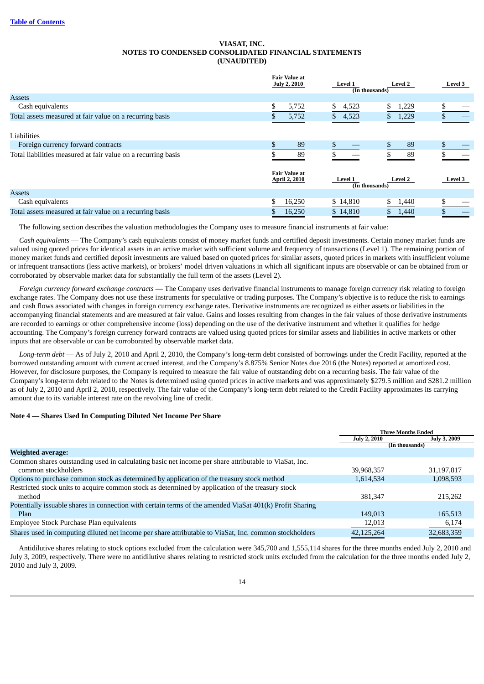|                                                               | <b>Fair Value at</b><br><b>July 2, 2010</b> | Level 1<br>(In thousands) | <b>Level 2</b> | Level 3        |
|---------------------------------------------------------------|---------------------------------------------|---------------------------|----------------|----------------|
| <b>Assets</b>                                                 |                                             |                           |                |                |
| Cash equivalents                                              | S<br>5,752                                  | \$<br>4,523               | \$<br>1,229    |                |
| Total assets measured at fair value on a recurring basis      | 5,752                                       | 4,523                     | 1,229          |                |
|                                                               |                                             |                           |                |                |
| Liabilities                                                   |                                             |                           |                |                |
| Foreign currency forward contracts                            | 89<br>\$                                    | \$                        | 89             |                |
| Total liabilities measured at fair value on a recurring basis | 89                                          |                           | 89             |                |
|                                                               | <b>Fair Value at</b><br>April 2, 2010       | Level 1<br>(In thousands) | <b>Level 2</b> | <b>Level 3</b> |
| <b>Assets</b>                                                 |                                             |                           |                |                |
| Cash equivalents                                              | S<br>16,250                                 | \$14,810                  | \$<br>1,440    |                |
| Total assets measured at fair value on a recurring basis      | 16,250                                      | \$14,810                  | 1,440          |                |
|                                                               |                                             |                           |                |                |

The following section describes the valuation methodologies the Company uses to measure financial instruments at fair value:

*Cash equivalents* — The Company's cash equivalents consist of money market funds and certified deposit investments. Certain money market funds are valued using quoted prices for identical assets in an active market with sufficient volume and frequency of transactions (Level 1). The remaining portion of money market funds and certified deposit investments are valued based on quoted prices for similar assets, quoted prices in markets with insufficient volume or infrequent transactions (less active markets), or brokers' model driven valuations in which all significant inputs are observable or can be obtained from or corroborated by observable market data for substantially the full term of the assets (Level 2).

*Foreign currency forward exchange contracts* — The Company uses derivative financial instruments to manage foreign currency risk relating to foreign exchange rates. The Company does not use these instruments for speculative or trading purposes. The Company's objective is to reduce the risk to earnings and cash flows associated with changes in foreign currency exchange rates. Derivative instruments are recognized as either assets or liabilities in the accompanying financial statements and are measured at fair value. Gains and losses resulting from changes in the fair values of those derivative instruments are recorded to earnings or other comprehensive income (loss) depending on the use of the derivative instrument and whether it qualifies for hedge accounting. The Company's foreign currency forward contracts are valued using quoted prices for similar assets and liabilities in active markets or other inputs that are observable or can be corroborated by observable market data.

*Long-term debt* — As of July 2, 2010 and April 2, 2010, the Company's long-term debt consisted of borrowings under the Credit Facility, reported at the borrowed outstanding amount with current accrued interest, and the Company's 8.875% Senior Notes due 2016 (the Notes) reported at amortized cost. However, for disclosure purposes, the Company is required to measure the fair value of outstanding debt on a recurring basis. The fair value of the Company's long-term debt related to the Notes is determined using quoted prices in active markets and was approximately \$279.5 million and \$281.2 million as of July 2, 2010 and April 2, 2010, respectively. The fair value of the Company's long-term debt related to the Credit Facility approximates its carrying amount due to its variable interest rate on the revolving line of credit.

### **Note 4 — Shares Used In Computing Diluted Net Income Per Share**

|                                                                                                          | <b>Three Months Ended</b> |                     |  |
|----------------------------------------------------------------------------------------------------------|---------------------------|---------------------|--|
|                                                                                                          | <b>July 2, 2010</b>       | <b>July 3, 2009</b> |  |
|                                                                                                          |                           | (In thousands)      |  |
| <b>Weighted average:</b>                                                                                 |                           |                     |  |
| Common shares outstanding used in calculating basic net income per share attributable to ViaSat, Inc.    |                           |                     |  |
| common stockholders                                                                                      | 39,968,357                | 31,197,817          |  |
| Options to purchase common stock as determined by application of the treasury stock method               | 1,614,534                 | 1,098,593           |  |
| Restricted stock units to acquire common stock as determined by application of the treasury stock        |                           |                     |  |
| method                                                                                                   | 381,347                   | 215.262             |  |
| Potentially issuable shares in connection with certain terms of the amended ViaSat 401(k) Profit Sharing |                           |                     |  |
| Plan                                                                                                     | 149,013                   | 165,513             |  |
| Employee Stock Purchase Plan equivalents                                                                 | 12,013                    | 6,174               |  |
| Shares used in computing diluted net income per share attributable to ViaSat, Inc. common stockholders   | 42,125,264                | 32,683,359          |  |

Antidilutive shares relating to stock options excluded from the calculation were 345,700 and 1,555,114 shares for the three months ended July 2, 2010 and July 3, 2009, respectively. There were no antidilutive shares relating to restricted stock units excluded from the calculation for the three months ended July 2, 2010 and July 3, 2009.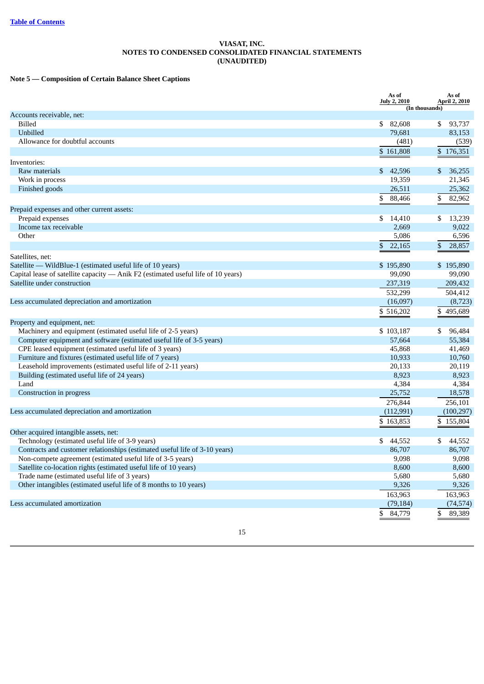# **Note 5 — Composition of Certain Balance Sheet Captions**

|                                                                                   | As of<br><b>July 2, 2010</b>       | As of<br>April 2, 2010 |
|-----------------------------------------------------------------------------------|------------------------------------|------------------------|
|                                                                                   | $\overline{(\text{In thousands})}$ |                        |
| Accounts receivable, net:                                                         |                                    |                        |
| <b>Billed</b>                                                                     | \$82,608                           | \$<br>93,737           |
| <b>Unbilled</b>                                                                   | 79,681                             | 83,153                 |
| Allowance for doubtful accounts                                                   | (481)                              | (539)                  |
|                                                                                   | \$161,808                          | \$176,351              |
| Inventories:                                                                      |                                    |                        |
| Raw materials                                                                     | \$42,596                           | 36,255<br>\$           |
| Work in process                                                                   | 19,359                             | 21,345                 |
| Finished goods                                                                    | 26,511                             | 25,362                 |
|                                                                                   | \$<br>88,466                       | \$<br>82,962           |
| Prepaid expenses and other current assets:                                        |                                    |                        |
| Prepaid expenses                                                                  | \$14,410                           | 13,239<br>\$           |
| Income tax receivable                                                             | 2,669                              | 9,022                  |
| Other                                                                             | 5,086                              | 6,596                  |
|                                                                                   | \$<br>22,165                       | \$<br>28.857           |
|                                                                                   |                                    |                        |
| Satellites, net:                                                                  |                                    |                        |
| Satellite - WildBlue-1 (estimated useful life of 10 years)                        | \$195,890                          | \$195,890              |
| Capital lease of satellite capacity - Anik F2 (estimated useful life of 10 years) | 99,090                             | 99,090                 |
| Satellite under construction                                                      | 237,319                            | 209,432                |
|                                                                                   | 532,299                            | 504,412                |
| Less accumulated depreciation and amortization                                    | (16,097)                           | (8,723)                |
|                                                                                   | \$516,202                          | \$495,689              |
| Property and equipment, net:                                                      |                                    |                        |
| Machinery and equipment (estimated useful life of 2-5 years)                      | \$103,187                          | \$<br>96,484           |
| Computer equipment and software (estimated useful life of 3-5 years)              | 57,664                             | 55,384                 |
| CPE leased equipment (estimated useful life of 3 years)                           | 45,868                             | 41,469                 |
| Furniture and fixtures (estimated useful life of 7 years)                         | 10,933                             | 10,760                 |
| Leasehold improvements (estimated useful life of 2-11 years)                      | 20,133                             | 20,119                 |
| Building (estimated useful life of 24 years)                                      | 8,923                              | 8,923                  |
| Land                                                                              | 4,384                              | 4,384                  |
| Construction in progress                                                          | 25,752                             | 18,578                 |
|                                                                                   | 276,844                            | 256,101                |
| Less accumulated depreciation and amortization                                    | (112, 991)                         | (100, 297)             |
|                                                                                   | \$163,853                          | \$155,804              |
| Other acquired intangible assets, net:                                            |                                    |                        |
| Technology (estimated useful life of 3-9 years)                                   | \$44,552                           | \$<br>44,552           |
| Contracts and customer relationships (estimated useful life of 3-10 years)        | 86,707                             | 86,707                 |
| Non-compete agreement (estimated useful life of 3-5 years)                        | 9,098                              | 9,098                  |
| Satellite co-location rights (estimated useful life of 10 years)                  | 8,600                              | 8,600                  |
| Trade name (estimated useful life of 3 years)                                     | 5,680                              | 5,680                  |
| Other intangibles (estimated useful life of 8 months to 10 years)                 | 9,326                              | 9,326                  |
|                                                                                   | 163,963                            | 163,963                |
| Less accumulated amortization                                                     | (79, 184)                          | (74, 574)              |
|                                                                                   | \$ 84,779                          | \$<br>89,389           |
|                                                                                   |                                    |                        |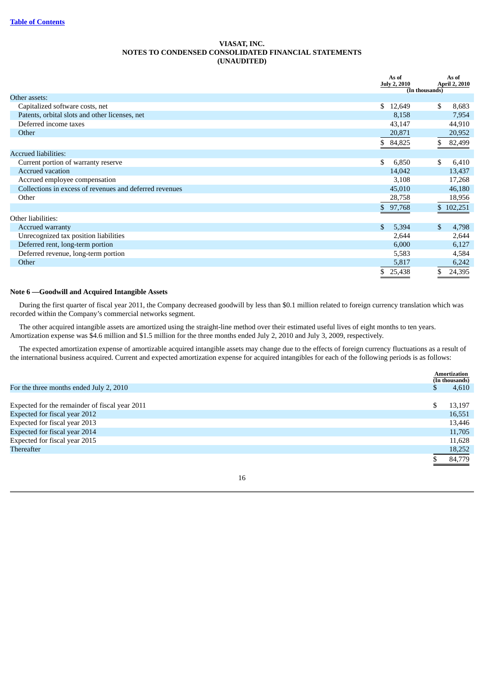|                                                         | As of               | As of                           |
|---------------------------------------------------------|---------------------|---------------------------------|
|                                                         | <b>July 2, 2010</b> | April 2, 2010<br>(In thousands) |
| Other assets:                                           |                     |                                 |
| Capitalized software costs, net                         | 12,649<br>\$        | \$<br>8,683                     |
| Patents, orbital slots and other licenses, net          | 8,158               | 7,954                           |
| Deferred income taxes                                   | 43,147              | 44,910                          |
| Other                                                   | 20,871              | 20,952                          |
|                                                         | \$ 84,825           | 82,499                          |
| <b>Accrued liabilities:</b>                             |                     |                                 |
| Current portion of warranty reserve                     | \$<br>6,850         | \$<br>6,410                     |
| <b>Accrued vacation</b>                                 | 14,042              | 13,437                          |
| Accrued employee compensation                           | 3,108               | 17,268                          |
| Collections in excess of revenues and deferred revenues | 45,010              | 46,180                          |
| Other                                                   | 28,758              | 18,956                          |
|                                                         | \$97,768            | 102,251                         |
| Other liabilities:                                      |                     |                                 |
| Accrued warranty                                        | \$<br>5,394         | \$<br>4,798                     |
| Unrecognized tax position liabilities                   | 2,644               | 2,644                           |
| Deferred rent, long-term portion                        | 6,000               | 6,127                           |
| Deferred revenue, long-term portion                     | 5,583               | 4,584                           |
| Other                                                   | 5,817               | 6,242                           |
|                                                         | 25,438<br>\$        | 24,395                          |

### **Note 6 —Goodwill and Acquired Intangible Assets**

During the first quarter of fiscal year 2011, the Company decreased goodwill by less than \$0.1 million related to foreign currency translation which was recorded within the Company's commercial networks segment.

The other acquired intangible assets are amortized using the straight-line method over their estimated useful lives of eight months to ten years. Amortization expense was \$4.6 million and \$1.5 million for the three months ended July 2, 2010 and July 3, 2009, respectively.

The expected amortization expense of amortizable acquired intangible assets may change due to the effects of foreign currency fluctuations as a result of the international business acquired. Current and expected amortization expense for acquired intangibles for each of the following periods is as follows:

|                                                | Amortization<br>(In thousands) |
|------------------------------------------------|--------------------------------|
| For the three months ended July 2, 2010        | 4,610                          |
| Expected for the remainder of fiscal year 2011 | 13,197                         |
| Expected for fiscal year 2012                  | 16,551                         |
| Expected for fiscal year 2013                  | 13,446                         |
| Expected for fiscal year 2014                  | 11,705                         |
| Expected for fiscal year 2015                  | 11,628                         |
| Thereafter                                     | 18,252                         |
|                                                | 84,779                         |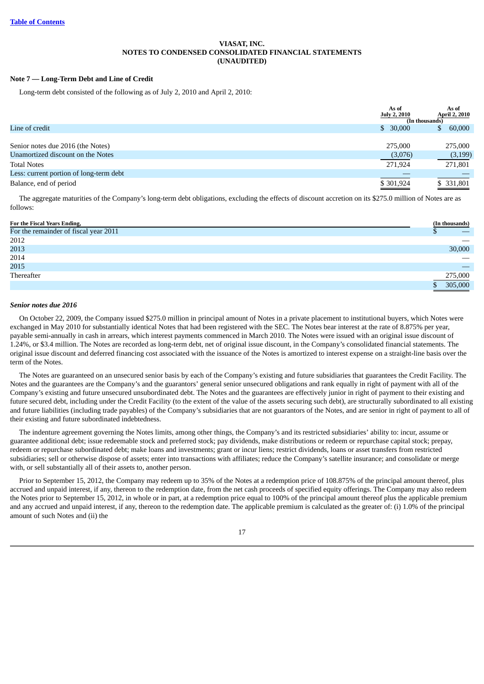### **Note 7 — Long-Term Debt and Line of Credit**

Long-term debt consisted of the following as of July 2, 2010 and April 2, 2010:

|                                         | As of               |                | As of         |
|-----------------------------------------|---------------------|----------------|---------------|
|                                         | <b>July 2, 2010</b> | (In thousands) | April 2, 2010 |
| Line of credit                          | \$30,000            |                | 60,000        |
|                                         |                     |                |               |
| Senior notes due 2016 (the Notes)       | 275,000             |                | 275,000       |
| Unamortized discount on the Notes       | (3,076)             |                | (3, 199)      |
| <b>Total Notes</b>                      | 271,924             |                | 271,801       |
| Less: current portion of long-term debt |                     |                |               |
| Balance, end of period                  | \$301,924           |                | \$ 331,801    |

The aggregate maturities of the Company's long-term debt obligations, excluding the effects of discount accretion on its \$275.0 million of Notes are as follows:

| For the Fiscal Years Ending,          | (In thousands) |
|---------------------------------------|----------------|
| For the remainder of fiscal year 2011 |                |
| 2012                                  |                |
| 2013                                  | 30,000         |
| 2014                                  |                |
| 2015                                  |                |
| Thereafter                            | 275,000        |
|                                       | 305,000        |

### *Senior notes due 2016*

On October 22, 2009, the Company issued \$275.0 million in principal amount of Notes in a private placement to institutional buyers, which Notes were exchanged in May 2010 for substantially identical Notes that had been registered with the SEC. The Notes bear interest at the rate of 8.875% per year, payable semi-annually in cash in arrears, which interest payments commenced in March 2010. The Notes were issued with an original issue discount of 1.24%, or \$3.4 million. The Notes are recorded as long-term debt, net of original issue discount, in the Company's consolidated financial statements. The original issue discount and deferred financing cost associated with the issuance of the Notes is amortized to interest expense on a straight-line basis over the term of the Notes.

The Notes are guaranteed on an unsecured senior basis by each of the Company's existing and future subsidiaries that guarantees the Credit Facility. The Notes and the guarantees are the Company's and the guarantors' general senior unsecured obligations and rank equally in right of payment with all of the Company's existing and future unsecured unsubordinated debt. The Notes and the guarantees are effectively junior in right of payment to their existing and future secured debt, including under the Credit Facility (to the extent of the value of the assets securing such debt), are structurally subordinated to all existing and future liabilities (including trade payables) of the Company's subsidiaries that are not guarantors of the Notes, and are senior in right of payment to all of their existing and future subordinated indebtedness.

The indenture agreement governing the Notes limits, among other things, the Company's and its restricted subsidiaries' ability to: incur, assume or guarantee additional debt; issue redeemable stock and preferred stock; pay dividends, make distributions or redeem or repurchase capital stock; prepay, redeem or repurchase subordinated debt; make loans and investments; grant or incur liens; restrict dividends, loans or asset transfers from restricted subsidiaries; sell or otherwise dispose of assets; enter into transactions with affiliates; reduce the Company's satellite insurance; and consolidate or merge with, or sell substantially all of their assets to, another person.

Prior to September 15, 2012, the Company may redeem up to 35% of the Notes at a redemption price of 108.875% of the principal amount thereof, plus accrued and unpaid interest, if any, thereon to the redemption date, from the net cash proceeds of specified equity offerings. The Company may also redeem the Notes prior to September 15, 2012, in whole or in part, at a redemption price equal to 100% of the principal amount thereof plus the applicable premium and any accrued and unpaid interest, if any, thereon to the redemption date. The applicable premium is calculated as the greater of: (i) 1.0% of the principal amount of such Notes and (ii) the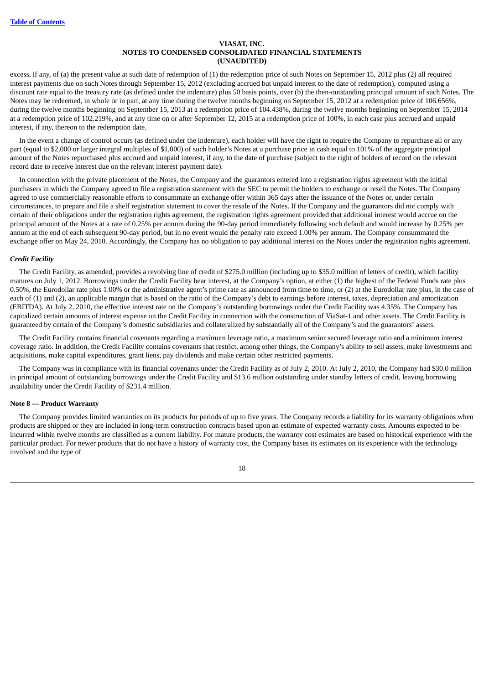excess, if any, of (a) the present value at such date of redemption of (1) the redemption price of such Notes on September 15, 2012 plus (2) all required interest payments due on such Notes through September 15, 2012 (excluding accrued but unpaid interest to the date of redemption), computed using a discount rate equal to the treasury rate (as defined under the indenture) plus 50 basis points, over (b) the then-outstanding principal amount of such Notes. The Notes may be redeemed, in whole or in part, at any time during the twelve months beginning on September 15, 2012 at a redemption price of 106.656%, during the twelve months beginning on September 15, 2013 at a redemption price of 104.438%, during the twelve months beginning on September 15, 2014 at a redemption price of 102.219%, and at any time on or after September 12, 2015 at a redemption price of 100%, in each case plus accrued and unpaid interest, if any, thereon to the redemption date.

In the event a change of control occurs (as defined under the indenture), each holder will have the right to require the Company to repurchase all or any part (equal to \$2,000 or larger integral multiples of \$1,000) of such holder's Notes at a purchase price in cash equal to 101% of the aggregate principal amount of the Notes repurchased plus accrued and unpaid interest, if any, to the date of purchase (subject to the right of holders of record on the relevant record date to receive interest due on the relevant interest payment date).

In connection with the private placement of the Notes, the Company and the guarantors entered into a registration rights agreement with the initial purchasers in which the Company agreed to file a registration statement with the SEC to permit the holders to exchange or resell the Notes. The Company agreed to use commercially reasonable efforts to consummate an exchange offer within 365 days after the issuance of the Notes or, under certain circumstances, to prepare and file a shelf registration statement to cover the resale of the Notes. If the Company and the guarantors did not comply with certain of their obligations under the registration rights agreement, the registration rights agreement provided that additional interest would accrue on the principal amount of the Notes at a rate of 0.25% per annum during the 90-day period immediately following such default and would increase by 0.25% per annum at the end of each subsequent 90-day period, but in no event would the penalty rate exceed 1.00% per annum. The Company consummated the exchange offer on May 24, 2010. Accordingly, the Company has no obligation to pay additional interest on the Notes under the registration rights agreement.

#### *Credit Facility*

The Credit Facility, as amended, provides a revolving line of credit of \$275.0 million (including up to \$35.0 million of letters of credit), which facility matures on July 1, 2012. Borrowings under the Credit Facility bear interest, at the Company's option, at either (1) the highest of the Federal Funds rate plus 0.50%, the Eurodollar rate plus 1.00% or the administrative agent's prime rate as announced from time to time, or (2) at the Eurodollar rate plus, in the case of each of (1) and (2), an applicable margin that is based on the ratio of the Company's debt to earnings before interest, taxes, depreciation and amortization (EBITDA). At July 2, 2010, the effective interest rate on the Company's outstanding borrowings under the Credit Facility was 4.35%. The Company has capitalized certain amounts of interest expense on the Credit Facility in connection with the construction of ViaSat-1 and other assets. The Credit Facility is guaranteed by certain of the Company's domestic subsidiaries and collateralized by substantially all of the Company's and the guarantors' assets.

The Credit Facility contains financial covenants regarding a maximum leverage ratio, a maximum senior secured leverage ratio and a minimum interest coverage ratio. In addition, the Credit Facility contains covenants that restrict, among other things, the Company's ability to sell assets, make investments and acquisitions, make capital expenditures, grant liens, pay dividends and make certain other restricted payments.

The Company was in compliance with its financial covenants under the Credit Facility as of July 2, 2010. At July 2, 2010, the Company had \$30.0 million in principal amount of outstanding borrowings under the Credit Facility and \$13.6 million outstanding under standby letters of credit, leaving borrowing availability under the Credit Facility of \$231.4 million.

### **Note 8 — Product Warranty**

The Company provides limited warranties on its products for periods of up to five years. The Company records a liability for its warranty obligations when products are shipped or they are included in long-term construction contracts based upon an estimate of expected warranty costs. Amounts expected to be incurred within twelve months are classified as a current liability. For mature products, the warranty cost estimates are based on historical experience with the particular product. For newer products that do not have a history of warranty cost, the Company bases its estimates on its experience with the technology involved and the type of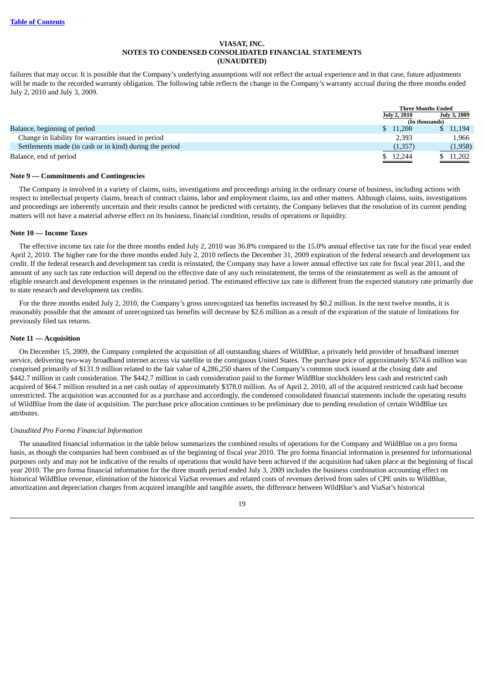failures that may occur. It is possible that the Company's underlying assumptions will not reflect the actual experience and in that case, future adjustments will be made to the recorded warranty obligation. The following table reflects the change in the Company's warranty accrual during the three months ended July 2, 2010 and July 3, 2009.

|                                                         |                     | <b>Three Months Ended</b> |
|---------------------------------------------------------|---------------------|---------------------------|
|                                                         | <b>July 2, 2010</b> | <b>July 3, 2009</b>       |
|                                                         |                     | (In thousands)            |
| Balance, beginning of period                            | \$11,208            | \$11,194                  |
| Change in liability for warranties issued in period     | 2,393               | 1,966                     |
| Settlements made (in cash or in kind) during the period | (1,357)             | (1,958)                   |
| Balance, end of period                                  | 12,244              | 11.202                    |

### **Note 9 — Commitments and Contingencies**

The Company is involved in a variety of claims, suits, investigations and proceedings arising in the ordinary course of business, including actions with respect to intellectual property claims, breach of contract claims, labor and employment claims, tax and other matters. Although claims, suits, investigations and proceedings are inherently uncertain and their results cannot be predicted with certainty, the Company believes that the resolution of its current pending matters will not have a material adverse effect on its business, financial condition, results of operations or liquidity.

#### **Note 10 — Income Taxes**

The effective income tax rate for the three months ended July 2, 2010 was 36.8% compared to the 15.0% annual effective tax rate for the fiscal year ended April 2, 2010. The higher rate for the three months ended July 2, 2010 reflects the December 31, 2009 expiration of the federal research and development tax credit. If the federal research and development tax credit is reinstated, the Company may have a lower annual effective tax rate for fiscal year 2011, and the amount of any such tax rate reduction will depend on the effective date of any such reinstatement, the terms of the reinstatement as well as the amount of eligible research and development expenses in the reinstated period. The estimated effective tax rate is different from the expected statutory rate primarily due to state research and development tax credits.

For the three months ended July 2, 2010, the Company's gross unrecognized tax benefits increased by \$0.2 million. In the next twelve months, it is reasonably possible that the amount of unrecognized tax benefits will decrease by \$2.6 million as a result of the expiration of the statute of limitations for previously filed tax returns.

### **Note 11 — Acquisition**

On December 15, 2009, the Company completed the acquisition of all outstanding shares of WildBlue, a privately held provider of broadband internet service, delivering two-way broadband internet access via satellite in the contiguous United States. The purchase price of approximately \$574.6 million was comprised primarily of \$131.9 million related to the fair value of 4,286,250 shares of the Company's common stock issued at the closing date and \$442.7 million in cash consideration. The \$442.7 million in cash consideration paid to the former WildBlue stockholders less cash and restricted cash acquired of \$64.7 million resulted in a net cash outlay of approximately \$378.0 million. As of April 2, 2010, all of the acquired restricted cash had become unrestricted. The acquisition was accounted for as a purchase and accordingly, the condensed consolidated financial statements include the operating results of WildBlue from the date of acquisition. The purchase price allocation continues to be preliminary due to pending resolution of certain WildBlue tax attributes.

### *Unaudited Pro Forma Financial Information*

The unaudited financial information in the table below summarizes the combined results of operations for the Company and WildBlue on a pro forma basis, as though the companies had been combined as of the beginning of fiscal year 2010. The pro forma financial information is presented for informational purposes only and may not be indicative of the results of operations that would have been achieved if the acquisition had taken place at the beginning of fiscal year 2010. The pro forma financial information for the three month period ended July 3, 2009 includes the business combination accounting effect on historical WildBlue revenue, elimination of the historical ViaSat revenues and related costs of revenues derived from sales of CPE units to WildBlue, amortization and depreciation charges from acquired intangible and tangible assets, the difference between WildBlue's and ViaSat's historical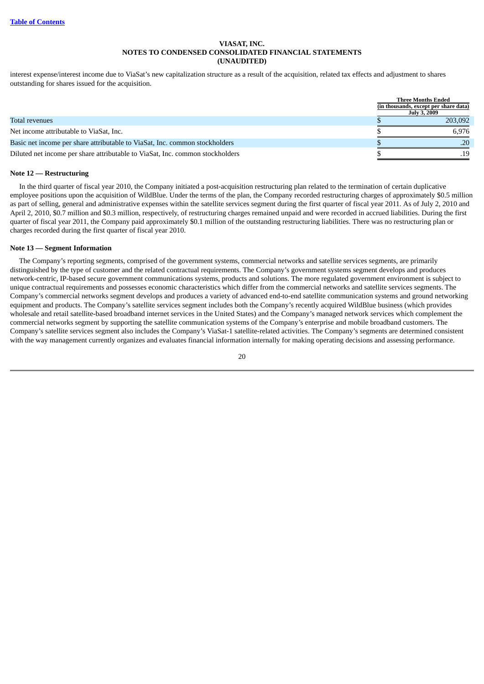interest expense/interest income due to ViaSat's new capitalization structure as a result of the acquisition, related tax effects and adjustment to shares outstanding for shares issued for the acquisition.

|                                                                               | <b>Three Months Ended</b><br>(in thousands, except per share data)<br>July 3, 2009 |
|-------------------------------------------------------------------------------|------------------------------------------------------------------------------------|
| Total revenues                                                                | 203,092                                                                            |
| Net income attributable to ViaSat, Inc.                                       | 6.976                                                                              |
| Basic net income per share attributable to ViaSat, Inc. common stockholders   | .20 <sub>1</sub>                                                                   |
| Diluted net income per share attributable to ViaSat, Inc. common stockholders | .19                                                                                |

### **Note 12 — Restructuring**

In the third quarter of fiscal year 2010, the Company initiated a post-acquisition restructuring plan related to the termination of certain duplicative employee positions upon the acquisition of WildBlue. Under the terms of the plan, the Company recorded restructuring charges of approximately \$0.5 million as part of selling, general and administrative expenses within the satellite services segment during the first quarter of fiscal year 2011. As of July 2, 2010 and April 2, 2010, \$0.7 million and \$0.3 million, respectively, of restructuring charges remained unpaid and were recorded in accrued liabilities. During the first quarter of fiscal year 2011, the Company paid approximately \$0.1 million of the outstanding restructuring liabilities. There was no restructuring plan or charges recorded during the first quarter of fiscal year 2010.

### **Note 13 — Segment Information**

The Company's reporting segments, comprised of the government systems, commercial networks and satellite services segments, are primarily distinguished by the type of customer and the related contractual requirements. The Company's government systems segment develops and produces network-centric, IP-based secure government communications systems, products and solutions. The more regulated government environment is subject to unique contractual requirements and possesses economic characteristics which differ from the commercial networks and satellite services segments. The Company's commercial networks segment develops and produces a variety of advanced end-to-end satellite communication systems and ground networking equipment and products. The Company's satellite services segment includes both the Company's recently acquired WildBlue business (which provides wholesale and retail satellite-based broadband internet services in the United States) and the Company's managed network services which complement the commercial networks segment by supporting the satellite communication systems of the Company's enterprise and mobile broadband customers. The Company's satellite services segment also includes the Company's ViaSat-1 satellite-related activities. The Company's segments are determined consistent with the way management currently organizes and evaluates financial information internally for making operating decisions and assessing performance.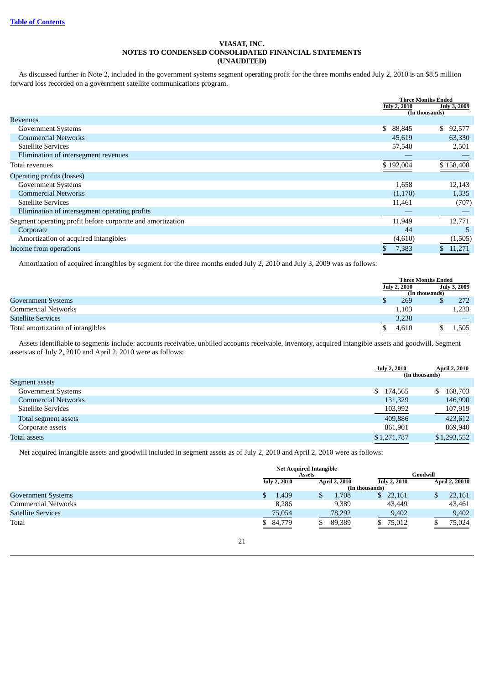As discussed further in Note 2, included in the government systems segment operating profit for the three months ended July 2, 2010 is an \$8.5 million forward loss recorded on a government satellite communications program.

|                                                            | <b>Three Months Ended</b> |                                       |
|------------------------------------------------------------|---------------------------|---------------------------------------|
|                                                            | <b>July 2, 2010</b>       | <b>July 3, 2009</b><br>(In thousands) |
| Revenues                                                   |                           |                                       |
| <b>Government Systems</b>                                  | \$88,845                  | \$92,577                              |
| <b>Commercial Networks</b>                                 | 45,619                    | 63,330                                |
| <b>Satellite Services</b>                                  | 57,540                    | 2,501                                 |
| Elimination of intersegment revenues                       |                           |                                       |
| Total revenues                                             | \$192,004                 | \$158,408                             |
| Operating profits (losses)                                 |                           |                                       |
| <b>Government Systems</b>                                  | 1,658                     | 12,143                                |
| <b>Commercial Networks</b>                                 | (1,170)                   | 1,335                                 |
| <b>Satellite Services</b>                                  | 11,461                    | (707)                                 |
| Elimination of intersegment operating profits              |                           |                                       |
| Segment operating profit before corporate and amortization | 11,949                    | 12,771                                |
| Corporate                                                  | 44                        | 5                                     |
| Amortization of acquired intangibles                       | (4,610)                   | (1,505)                               |
| Income from operations                                     | 7,383                     | 11,271                                |

Amortization of acquired intangibles by segment for the three months ended July 2, 2010 and July 3, 2009 was as follows:

|                                   |                     | <b>Three Months Ended</b> |
|-----------------------------------|---------------------|---------------------------|
|                                   | <b>July 2, 2010</b> | <b>July 3, 2009</b>       |
|                                   |                     | (In thousands)            |
| <b>Government Systems</b>         | 269                 | 272                       |
| <b>Commercial Networks</b>        | 1,103               | 1,233                     |
| <b>Satellite Services</b>         | 3,238               |                           |
| Total amortization of intangibles | 4,610               | .505                      |

Assets identifiable to segments include: accounts receivable, unbilled accounts receivable, inventory, acquired intangible assets and goodwill. Segment assets as of July 2, 2010 and April 2, 2010 were as follows:

|                            | <b>July 2, 2010</b> | <b>April 2, 2010</b><br>(In thousands) |
|----------------------------|---------------------|----------------------------------------|
| Segment assets             |                     |                                        |
| <b>Government Systems</b>  | \$174,565           | 168,703<br>S.                          |
| <b>Commercial Networks</b> | 131,329             | 146,990                                |
| <b>Satellite Services</b>  | 103,992             | 107,919                                |
| Total segment assets       | 409,886             | 423,612                                |
| Corporate assets           | 861,901             | 869,940                                |
| Total assets               | \$1,271,787         | \$1,293,552                            |

Net acquired intangible assets and goodwill included in segment assets as of July 2, 2010 and April 2, 2010 were as follows:

|                           |                     | <b>Net Acquired Intangible</b> |                     |                |  |
|---------------------------|---------------------|--------------------------------|---------------------|----------------|--|
|                           |                     | <b>Assets</b>                  | Goodwill            |                |  |
|                           | <b>July 2, 2010</b> | <b>April 2, 2010</b>           | <b>July 2, 2010</b> | April 2, 20010 |  |
|                           |                     | (In thousands)                 |                     |                |  |
| <b>Government Systems</b> | 1,439               | 1,708<br>P                     | 22,161              | 22,161         |  |
| Commercial Networks       | 8,286               | 9,389                          | 43,449              | 43,461         |  |
| <b>Satellite Services</b> | 75,054              | 78,292                         | 9,402               | 9,402          |  |
| Total                     | \$ 84,779           | 89,389                         | 75,012              | 75.024         |  |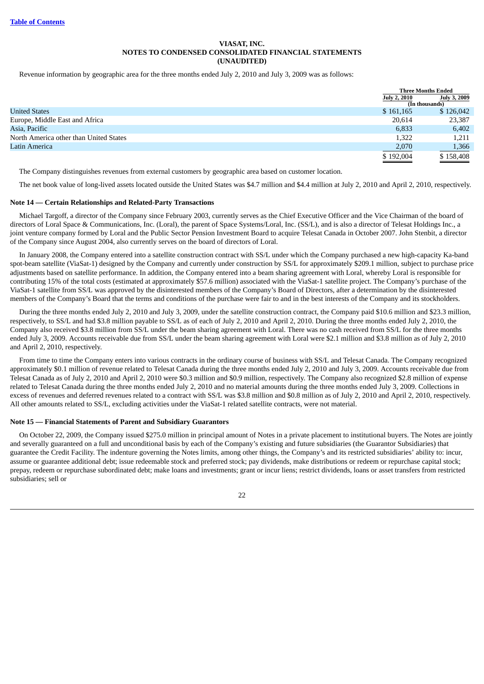Revenue information by geographic area for the three months ended July 2, 2010 and July 3, 2009 was as follows:

|                                        |                     | <b>Three Months Ended</b> |
|----------------------------------------|---------------------|---------------------------|
|                                        | <b>July 2, 2010</b> | <b>July 3, 2009</b>       |
|                                        |                     | (In thousands)            |
| <b>United States</b>                   | \$161,165           | \$126,042                 |
| Europe, Middle East and Africa         | 20,614              | 23,387                    |
| Asia, Pacific                          | 6,833               | 6,402                     |
| North America other than United States | 1,322               | 1,211                     |
| Latin America                          | 2,070               | 1,366                     |
|                                        | \$192,004           | \$158,408                 |

The Company distinguishes revenues from external customers by geographic area based on customer location.

The net book value of long-lived assets located outside the United States was \$4.7 million and \$4.4 million at July 2, 2010 and April 2, 2010, respectively.

### **Note 14 — Certain Relationships and Related-Party Transactions**

Michael Targoff, a director of the Company since February 2003, currently serves as the Chief Executive Officer and the Vice Chairman of the board of directors of Loral Space & Communications, Inc. (Loral), the parent of Space Systems/Loral, Inc. (SS/L), and is also a director of Telesat Holdings Inc., a joint venture company formed by Loral and the Public Sector Pension Investment Board to acquire Telesat Canada in October 2007. John Stenbit, a director of the Company since August 2004, also currently serves on the board of directors of Loral.

In January 2008, the Company entered into a satellite construction contract with SS/L under which the Company purchased a new high-capacity Ka-band spot-beam satellite (ViaSat-1) designed by the Company and currently under construction by SS/L for approximately \$209.1 million, subject to purchase price adjustments based on satellite performance. In addition, the Company entered into a beam sharing agreement with Loral, whereby Loral is responsible for contributing 15% of the total costs (estimated at approximately \$57.6 million) associated with the ViaSat-1 satellite project. The Company's purchase of the ViaSat-1 satellite from SS/L was approved by the disinterested members of the Company's Board of Directors, after a determination by the disinterested members of the Company's Board that the terms and conditions of the purchase were fair to and in the best interests of the Company and its stockholders.

During the three months ended July 2, 2010 and July 3, 2009, under the satellite construction contract, the Company paid \$10.6 million and \$23.3 million, respectively, to SS/L and had \$3.8 million payable to SS/L as of each of July 2, 2010 and April 2, 2010. During the three months ended July 2, 2010, the Company also received \$3.8 million from SS/L under the beam sharing agreement with Loral. There was no cash received from SS/L for the three months ended July 3, 2009. Accounts receivable due from SS/L under the beam sharing agreement with Loral were \$2.1 million and \$3.8 million as of July 2, 2010 and April 2, 2010, respectively.

From time to time the Company enters into various contracts in the ordinary course of business with SS/L and Telesat Canada. The Company recognized approximately \$0.1 million of revenue related to Telesat Canada during the three months ended July 2, 2010 and July 3, 2009. Accounts receivable due from Telesat Canada as of July 2, 2010 and April 2, 2010 were \$0.3 million and \$0.9 million, respectively. The Company also recognized \$2.8 million of expense related to Telesat Canada during the three months ended July 2, 2010 and no material amounts during the three months ended July 3, 2009. Collections in excess of revenues and deferred revenues related to a contract with SS/L was \$3.8 million and \$0.8 million as of July 2, 2010 and April 2, 2010, respectively. All other amounts related to SS/L, excluding activities under the ViaSat-1 related satellite contracts, were not material.

### **Note 15 — Financial Statements of Parent and Subsidiary Guarantors**

On October 22, 2009, the Company issued \$275.0 million in principal amount of Notes in a private placement to institutional buyers. The Notes are jointly and severally guaranteed on a full and unconditional basis by each of the Company's existing and future subsidiaries (the Guarantor Subsidiaries) that guarantee the Credit Facility. The indenture governing the Notes limits, among other things, the Company's and its restricted subsidiaries' ability to: incur, assume or guarantee additional debt; issue redeemable stock and preferred stock; pay dividends, make distributions or redeem or repurchase capital stock; prepay, redeem or repurchase subordinated debt; make loans and investments; grant or incur liens; restrict dividends, loans or asset transfers from restricted subsidiaries; sell or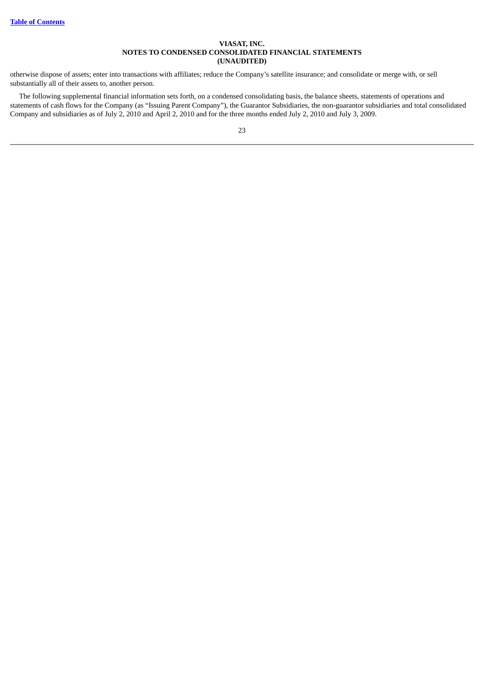otherwise dispose of assets; enter into transactions with affiliates; reduce the Company's satellite insurance; and consolidate or merge with, or sell substantially all of their assets to, another person.

The following supplemental financial information sets forth, on a condensed consolidating basis, the balance sheets, statements of operations and statements of cash flows for the Company (as "Issuing Parent Company"), the Guarantor Subsidiaries, the non-guarantor subsidiaries and total consolidated Company and subsidiaries as of July 2, 2010 and April 2, 2010 and for the three months ended July 2, 2010 and July 3, 2009.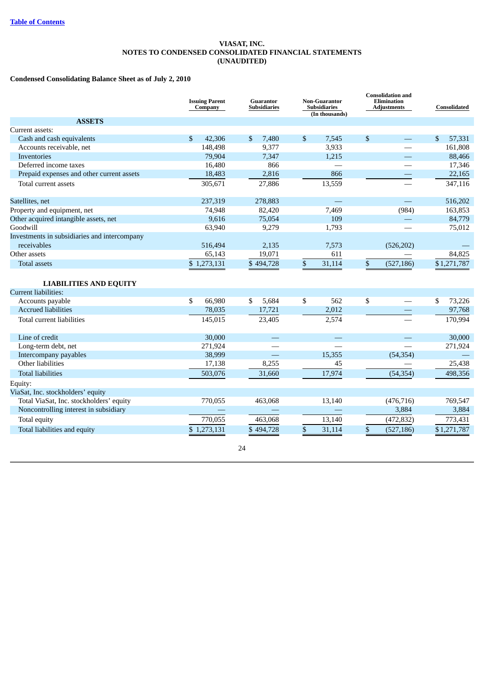# **Condensed Consolidating Balance Sheet as of July 2, 2010**

|                                              |               | <b>Issuing Parent</b><br>Company | <b>Guarantor</b><br>Subsidiaries | <b>Non-Guarantor</b><br><b>Subsidiaries</b><br>(In thousands) |                | <b>Consolidation and</b><br><b>Elimination</b><br><b>Adjustments</b> | Consolidated |
|----------------------------------------------|---------------|----------------------------------|----------------------------------|---------------------------------------------------------------|----------------|----------------------------------------------------------------------|--------------|
| <b>ASSETS</b>                                |               |                                  |                                  |                                                               |                |                                                                      |              |
| Current assets:                              |               |                                  |                                  |                                                               |                |                                                                      |              |
| Cash and cash equivalents                    | <sup>\$</sup> | 42,306                           | \$<br>7,480                      | \$<br>7,545                                                   | $\mathbb{S}$   |                                                                      | \$<br>57,331 |
| Accounts receivable, net                     |               | 148,498                          | 9,377                            | 3,933                                                         |                |                                                                      | 161,808      |
| <b>Inventories</b>                           |               | 79,904                           | 7,347                            | 1,215                                                         |                |                                                                      | 88,466       |
| Deferred income taxes                        |               | 16,480                           | 866                              |                                                               |                |                                                                      | 17,346       |
| Prepaid expenses and other current assets    |               | 18,483                           | 2,816                            | 866                                                           |                |                                                                      | 22,165       |
| Total current assets                         |               | 305,671                          | 27,886                           | 13,559                                                        |                |                                                                      | 347,116      |
| Satellites, net                              |               | 237,319                          | 278,883                          |                                                               |                |                                                                      | 516,202      |
| Property and equipment, net                  |               | 74,948                           | 82,420                           | 7,469                                                         |                | (984)                                                                | 163,853      |
| Other acquired intangible assets, net        |               | 9,616                            | 75,054                           | 109                                                           |                |                                                                      | 84,779       |
| Goodwill                                     |               | 63,940                           | 9,279                            | 1,793                                                         |                |                                                                      | 75,012       |
| Investments in subsidiaries and intercompany |               |                                  |                                  |                                                               |                |                                                                      |              |
| receivables                                  |               | 516,494                          | 2,135                            | 7,573                                                         |                | (526, 202)                                                           |              |
| Other assets                                 |               | 65,143                           | 19,071                           | 611                                                           |                |                                                                      | 84,825       |
| <b>Total assets</b>                          |               | \$1,273,131                      | \$494,728                        | \$<br>31,114                                                  | $\mathfrak{S}$ | (527, 186)                                                           | \$1,271,787  |
| <b>LIABILITIES AND EQUITY</b>                |               |                                  |                                  |                                                               |                |                                                                      |              |
| <b>Current liabilities:</b>                  |               |                                  |                                  |                                                               |                |                                                                      |              |
| Accounts payable                             | \$            | 66,980                           | \$<br>5,684                      | \$<br>562                                                     | \$             |                                                                      | \$<br>73,226 |
| <b>Accrued liabilities</b>                   |               | 78,035                           | 17,721                           | 2,012                                                         |                |                                                                      | 97,768       |
| Total current liabilities                    |               | 145,015                          | 23,405                           | 2,574                                                         |                |                                                                      | 170,994      |
|                                              |               |                                  |                                  |                                                               |                |                                                                      |              |
| Line of credit                               |               | 30,000                           |                                  |                                                               |                |                                                                      | 30,000       |
| Long-term debt, net                          |               | 271,924                          |                                  |                                                               |                |                                                                      | 271,924      |
| Intercompany payables                        |               | 38,999                           |                                  | 15,355                                                        |                | (54, 354)                                                            |              |
| Other liabilities                            |               | 17,138                           | 8,255                            | 45                                                            |                |                                                                      | 25,438       |
| <b>Total liabilities</b>                     |               | 503,076                          | 31,660                           | 17,974                                                        |                | (54, 354)                                                            | 498,356      |
| Equity:                                      |               |                                  |                                  |                                                               |                |                                                                      |              |
| ViaSat, Inc. stockholders' equity            |               |                                  |                                  |                                                               |                |                                                                      |              |
| Total ViaSat, Inc. stockholders' equity      |               | 770,055                          | 463,068                          | 13,140                                                        |                | (476, 716)                                                           | 769,547      |
| Noncontrolling interest in subsidiary        |               |                                  |                                  |                                                               |                | 3,884                                                                | 3,884        |
| Total equity                                 |               | 770.055                          | 463,068                          | 13,140                                                        |                | (472, 832)                                                           | 773,431      |
| Total liabilities and equity                 |               | \$1,273,131                      | \$494,728                        | \$<br>31,114                                                  | \$             | (527, 186)                                                           | \$1,271,787  |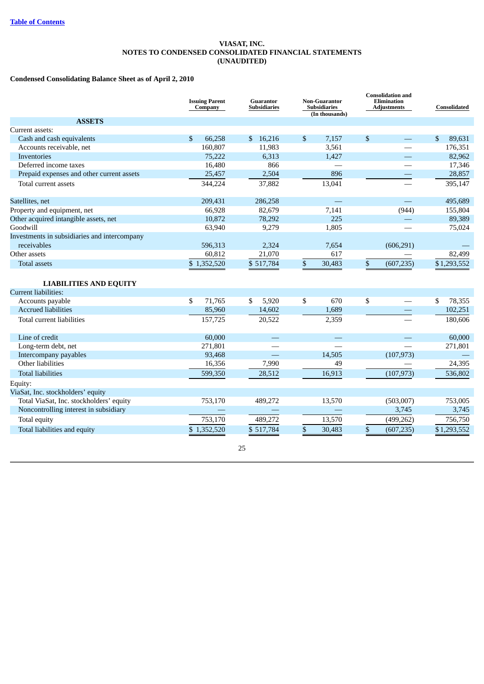# **Condensed Consolidating Balance Sheet as of April 2, 2010**

|                                                              | <b>Issuing Parent</b><br>Company | Guarantor<br><b>Subsidiaries</b> | <b>Non-Guarantor</b><br><b>Subsidiaries</b><br>(In thousands) | <b>Consolidation and</b><br><b>Elimination</b><br><b>Adjustments</b> | Consolidated |
|--------------------------------------------------------------|----------------------------------|----------------------------------|---------------------------------------------------------------|----------------------------------------------------------------------|--------------|
| <b>ASSETS</b>                                                |                                  |                                  |                                                               |                                                                      |              |
| Current assets:                                              |                                  |                                  |                                                               |                                                                      |              |
| Cash and cash equivalents                                    | $\mathbf{s}$<br>66,258           | \$16,216                         | $\mathbb{S}$<br>7,157                                         | $\mathbb{S}$                                                         | \$<br>89,631 |
| Accounts receivable, net                                     | 160,807                          | 11,983                           | 3,561                                                         |                                                                      | 176,351      |
| <b>Inventories</b>                                           | 75,222                           | 6,313                            | 1,427                                                         |                                                                      | 82,962       |
| Deferred income taxes                                        | 16,480                           | 866                              |                                                               |                                                                      | 17,346       |
| Prepaid expenses and other current assets                    | 25,457                           | 2,504                            | 896                                                           |                                                                      | 28,857       |
| Total current assets                                         | 344,224                          | 37,882                           | 13,041                                                        |                                                                      | 395,147      |
| Satellites, net                                              | 209,431                          | 286,258                          |                                                               |                                                                      | 495,689      |
| Property and equipment, net                                  | 66,928                           | 82,679                           | 7,141                                                         | (944)                                                                | 155,804      |
| Other acquired intangible assets, net                        | 10,872                           | 78,292                           | 225                                                           | —                                                                    | 89,389       |
| Goodwill                                                     | 63,940                           | 9,279                            | 1,805                                                         |                                                                      | 75,024       |
| Investments in subsidiaries and intercompany                 |                                  |                                  |                                                               |                                                                      |              |
| receivables                                                  | 596,313                          | 2,324                            | 7,654                                                         | (606, 291)                                                           |              |
| Other assets                                                 | 60,812                           | 21,070                           | 617                                                           |                                                                      | 82,499       |
| <b>Total assets</b>                                          | \$1,352,520                      | \$517,784                        | \$<br>30,483                                                  | \$<br>(607, 235)                                                     | \$1,293,552  |
|                                                              |                                  |                                  |                                                               |                                                                      |              |
| <b>LIABILITIES AND EQUITY</b><br><b>Current liabilities:</b> |                                  |                                  |                                                               |                                                                      |              |
| Accounts payable                                             | \$<br>71,765                     | 5,920<br>\$                      | 670<br>\$                                                     | \$                                                                   | 78,355<br>\$ |
| <b>Accrued liabilities</b>                                   | 85,960                           | 14,602                           | 1,689                                                         |                                                                      | 102,251      |
| Total current liabilities                                    | 157,725                          | 20,522                           | 2,359                                                         |                                                                      | 180,606      |
|                                                              |                                  |                                  |                                                               |                                                                      |              |
| Line of credit                                               | 60,000                           |                                  |                                                               |                                                                      | 60.000       |
| Long-term debt, net                                          | 271,801                          |                                  |                                                               |                                                                      | 271,801      |
| Intercompany payables                                        | 93,468                           |                                  | 14,505                                                        | (107, 973)                                                           |              |
| Other liabilities                                            | 16,356                           | 7,990                            | 49                                                            |                                                                      | 24,395       |
| <b>Total liabilities</b>                                     | 599,350                          | 28,512                           | 16,913                                                        | (107, 973)                                                           | 536,802      |
| Equity:                                                      |                                  |                                  |                                                               |                                                                      |              |
| ViaSat, Inc. stockholders' equity                            |                                  |                                  |                                                               |                                                                      |              |
| Total ViaSat, Inc. stockholders' equity                      | 753,170                          | 489,272                          | 13,570                                                        | (503,007)                                                            | 753,005      |
| Noncontrolling interest in subsidiary                        |                                  |                                  |                                                               | 3,745                                                                | 3,745        |
| Total equity                                                 | 753,170                          | 489,272                          | 13,570                                                        | (499, 262)                                                           | 756,750      |
| Total liabilities and equity                                 | \$1,352,520                      | \$517,784                        | \$<br>30,483                                                  | \$<br>(607, 235)                                                     | \$1,293,552  |
|                                                              |                                  |                                  |                                                               |                                                                      |              |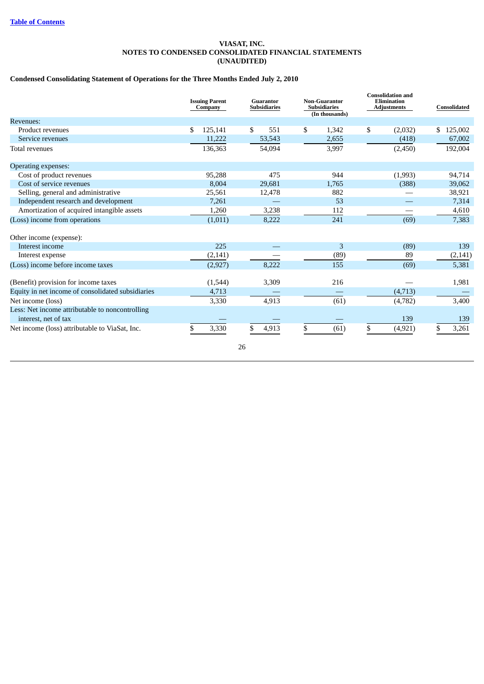# **Condensed Consolidating Statement of Operations for the Three Months Ended July 2, 2010**

|                                                                         | <b>Issuing Parent</b><br>Company | <b>Guarantor</b><br><b>Subsidiaries</b> | Non-Guarantor<br><b>Subsidiaries</b><br>(In thousands) | <b>Consolidation and</b><br><b>Elimination</b><br><b>Adiustments</b> | Consolidated  |  |
|-------------------------------------------------------------------------|----------------------------------|-----------------------------------------|--------------------------------------------------------|----------------------------------------------------------------------|---------------|--|
| <b>Revenues:</b>                                                        |                                  |                                         |                                                        |                                                                      |               |  |
| Product revenues                                                        | 125,141<br>\$                    | 551<br>\$                               | \$<br>1,342                                            | \$<br>(2,032)                                                        | 125,002<br>\$ |  |
| Service revenues                                                        | 11,222                           | 53,543                                  | 2,655                                                  | (418)                                                                | 67,002        |  |
| <b>Total revenues</b>                                                   | 136,363                          | 54,094                                  | 3,997                                                  | (2,450)                                                              | 192,004       |  |
| Operating expenses:                                                     |                                  |                                         |                                                        |                                                                      |               |  |
| Cost of product revenues                                                | 95,288                           | 475                                     | 944                                                    | (1,993)                                                              | 94,714        |  |
| Cost of service revenues                                                | 8,004                            | 29,681                                  | 1,765                                                  | (388)                                                                | 39,062        |  |
| Selling, general and administrative                                     | 25,561                           | 12,478                                  | 882                                                    |                                                                      | 38,921        |  |
| Independent research and development                                    | 7,261                            |                                         | 53                                                     |                                                                      | 7,314         |  |
| Amortization of acquired intangible assets                              | 1,260                            | 3,238                                   | 112                                                    |                                                                      | 4,610         |  |
| (Loss) income from operations                                           | (1,011)                          | 8,222                                   | 241                                                    | (69)                                                                 | 7,383         |  |
| Other income (expense):                                                 |                                  |                                         |                                                        |                                                                      |               |  |
| Interest income                                                         | 225                              |                                         | 3                                                      | (89)                                                                 | 139           |  |
| Interest expense                                                        | (2, 141)                         |                                         | (89)                                                   | 89                                                                   | (2, 141)      |  |
| (Loss) income before income taxes                                       | (2,927)                          | 8,222                                   | 155                                                    | (69)                                                                 | 5,381         |  |
| (Benefit) provision for income taxes                                    | (1,544)                          | 3,309                                   | 216                                                    |                                                                      | 1,981         |  |
| Equity in net income of consolidated subsidiaries                       | 4,713                            |                                         |                                                        | (4, 713)                                                             |               |  |
| Net income (loss)                                                       | 3,330                            | 4,913                                   | (61)                                                   | (4,782)                                                              | 3,400         |  |
| Less: Net income attributable to noncontrolling<br>interest, net of tax |                                  |                                         |                                                        | 139                                                                  | 139           |  |
| Net income (loss) attributable to ViaSat, Inc.                          | 3,330                            | \$<br>4,913                             | (61)                                                   | \$<br>(4, 921)                                                       | 3,261         |  |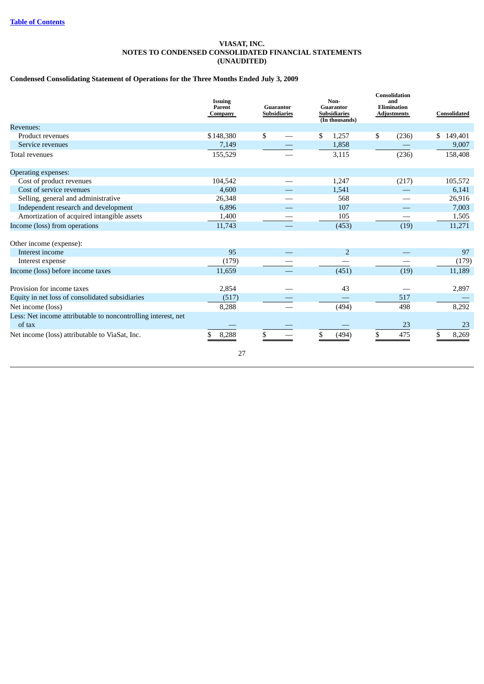# **Condensed Consolidating Statement of Operations for the Three Months Ended July 3, 2009**

|                                                                         | <b>Issuing</b><br>Parent<br>Company | Guarantor<br><b>Subsidiaries</b> | Non-<br>Guarantor<br><b>Subsidiaries</b><br>(In thousands) | <b>Consolidation</b><br>and<br><b>Elimination</b><br><b>Adjustments</b> | Consolidated  |
|-------------------------------------------------------------------------|-------------------------------------|----------------------------------|------------------------------------------------------------|-------------------------------------------------------------------------|---------------|
| Revenues:                                                               |                                     |                                  |                                                            |                                                                         |               |
| Product revenues                                                        | \$148,380                           | \$                               | 1,257<br>\$.                                               | \$<br>(236)                                                             | 149,401<br>\$ |
| Service revenues                                                        | 7,149                               |                                  | 1,858                                                      |                                                                         | 9,007         |
| <b>Total revenues</b>                                                   | 155,529                             |                                  | 3,115                                                      | (236)                                                                   | 158,408       |
| Operating expenses:                                                     |                                     |                                  |                                                            |                                                                         |               |
| Cost of product revenues                                                | 104,542                             |                                  | 1,247                                                      | (217)                                                                   | 105,572       |
| Cost of service revenues                                                | 4,600                               |                                  | 1,541                                                      |                                                                         | 6,141         |
| Selling, general and administrative                                     | 26,348                              |                                  | 568                                                        |                                                                         | 26,916        |
| Independent research and development                                    | 6,896                               |                                  | 107                                                        |                                                                         | 7,003         |
| Amortization of acquired intangible assets                              | 1,400                               |                                  | 105                                                        |                                                                         | 1,505         |
| Income (loss) from operations                                           | 11,743                              |                                  | (453)                                                      | (19)                                                                    | 11,271        |
| Other income (expense):                                                 |                                     |                                  |                                                            |                                                                         |               |
| Interest income                                                         | 95                                  |                                  | $\overline{2}$                                             |                                                                         | 97            |
| Interest expense                                                        | (179)                               |                                  |                                                            |                                                                         | (179)         |
| Income (loss) before income taxes                                       | 11,659                              |                                  | (451)                                                      | (19)                                                                    | 11,189        |
| Provision for income taxes                                              | 2,854                               |                                  | 43                                                         |                                                                         | 2,897         |
| Equity in net loss of consolidated subsidiaries                         | (517)                               |                                  |                                                            | 517                                                                     |               |
| Net income (loss)                                                       | 8,288                               |                                  | (494)                                                      | 498                                                                     | 8,292         |
| Less: Net income attributable to noncontrolling interest, net<br>of tax |                                     |                                  |                                                            | 23                                                                      | 23            |
| Net income (loss) attributable to ViaSat, Inc.                          | 8,288                               | \$                               | (494)<br>\$                                                | \$<br>475                                                               | 8,269         |
|                                                                         | 27                                  |                                  |                                                            |                                                                         |               |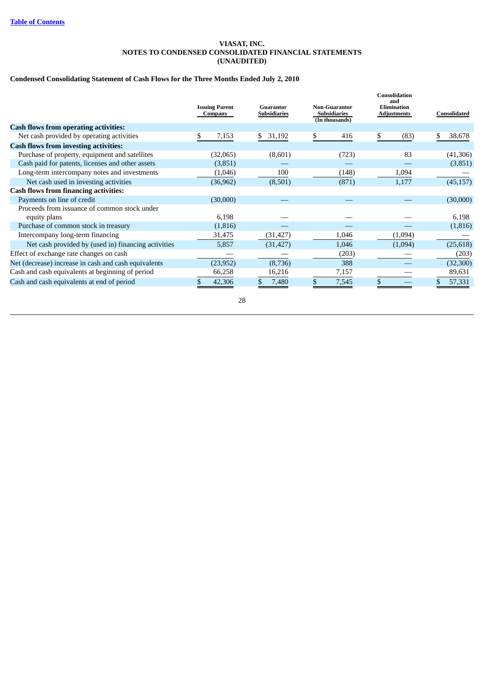# **Condensed Consolidating Statement of Cash Flows for the Three Months Ended July 2, 2010**

|                                                      | <b>Issuing Parent</b><br>Company | Guarantor<br><b>Subsidiaries</b> | <b>Non-Guarantor</b><br><b>Subsidiaries</b><br>(In thousands) | <b>Consolidation</b><br>and<br><b>Elimination</b><br><b>Adjustments</b> | Consolidated |
|------------------------------------------------------|----------------------------------|----------------------------------|---------------------------------------------------------------|-------------------------------------------------------------------------|--------------|
| <b>Cash flows from operating activities:</b>         |                                  |                                  |                                                               |                                                                         |              |
| Net cash provided by operating activities            | 7,153                            | \$.<br>31,192                    | 416<br>S.                                                     | \$.<br>(83)                                                             | 38,678       |
| <b>Cash flows from investing activities:</b>         |                                  |                                  |                                                               |                                                                         |              |
| Purchase of property, equipment and satellites       | (32,065)                         | (8,601)                          | (723)                                                         | 83                                                                      | (41,306)     |
| Cash paid for patents, licenses and other assets     | (3,851)                          |                                  |                                                               |                                                                         | (3,851)      |
| Long-term intercompany notes and investments         | (1,046)                          | 100                              | (148)                                                         | 1,094                                                                   |              |
| Net cash used in investing activities                | (36, 962)                        | (8,501)                          | (871)                                                         | 1,177                                                                   | (45, 157)    |
| <b>Cash flows from financing activities:</b>         |                                  |                                  |                                                               |                                                                         |              |
| Payments on line of credit                           | (30,000)                         |                                  |                                                               |                                                                         | (30,000)     |
| Proceeds from issuance of common stock under         |                                  |                                  |                                                               |                                                                         |              |
| equity plans                                         | 6,198                            |                                  |                                                               |                                                                         | 6,198        |
| Purchase of common stock in treasury                 | (1,816)                          |                                  |                                                               |                                                                         | (1,816)      |
| Intercompany long-term financing                     | 31,475                           | (31,427)                         | 1,046                                                         | (1,094)                                                                 |              |
| Net cash provided by (used in) financing activities  | 5,857                            | (31, 427)                        | 1,046                                                         | (1,094)                                                                 | (25, 618)    |
| Effect of exchange rate changes on cash              |                                  |                                  | (203)                                                         |                                                                         | (203)        |
| Net (decrease) increase in cash and cash equivalents | (23, 952)                        | (8,736)                          | 388                                                           |                                                                         | (32,300)     |
| Cash and cash equivalents at beginning of period     | 66,258                           | 16,216                           | 7,157                                                         |                                                                         | 89,631       |
| Cash and cash equivalents at end of period           | 42,306                           | 7,480                            | 7,545                                                         |                                                                         | 57,331       |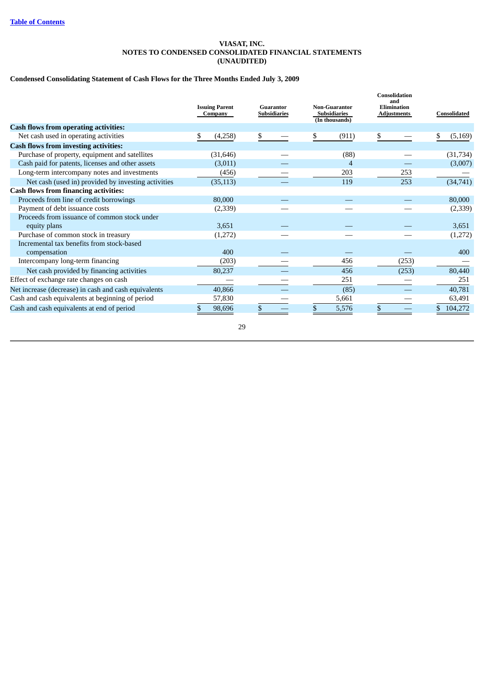# **Condensed Consolidating Statement of Cash Flows for the Three Months Ended July 3, 2009**

|                                                      | <b>Issuing Parent</b><br>Company | Guarantor<br><b>Subsidiaries</b> | <b>Non-Guarantor</b><br><b>Subsidiaries</b><br>(In thousands) |     | <b>Consolidation</b><br>and<br><b>Elimination</b><br><b>Adjustments</b> | Consolidated |
|------------------------------------------------------|----------------------------------|----------------------------------|---------------------------------------------------------------|-----|-------------------------------------------------------------------------|--------------|
| <b>Cash flows from operating activities:</b>         |                                  |                                  |                                                               |     |                                                                         |              |
| Net cash used in operating activities                | (4,258)                          | \$                               | \$<br>(911)                                                   | \$. |                                                                         | (5, 169)     |
| <b>Cash flows from investing activities:</b>         |                                  |                                  |                                                               |     |                                                                         |              |
| Purchase of property, equipment and satellites       | (31, 646)                        |                                  | (88)                                                          |     |                                                                         | (31, 734)    |
| Cash paid for patents, licenses and other assets     | (3,011)                          |                                  | 4                                                             |     |                                                                         | (3,007)      |
| Long-term intercompany notes and investments         | (456)                            |                                  | 203                                                           |     | 253                                                                     |              |
| Net cash (used in) provided by investing activities  | (35, 113)                        |                                  | 119                                                           |     | 253                                                                     | (34, 741)    |
| <b>Cash flows from financing activities:</b>         |                                  |                                  |                                                               |     |                                                                         |              |
| Proceeds from line of credit borrowings              | 80,000                           |                                  |                                                               |     |                                                                         | 80,000       |
| Payment of debt issuance costs                       | (2,339)                          |                                  |                                                               |     |                                                                         | (2, 339)     |
| Proceeds from issuance of common stock under         |                                  |                                  |                                                               |     |                                                                         |              |
| equity plans                                         | 3,651                            |                                  |                                                               |     |                                                                         | 3,651        |
| Purchase of common stock in treasury                 | (1,272)                          |                                  |                                                               |     |                                                                         | (1,272)      |
| Incremental tax benefits from stock-based            |                                  |                                  |                                                               |     |                                                                         |              |
| compensation                                         | 400                              |                                  |                                                               |     |                                                                         | 400          |
| Intercompany long-term financing                     | (203)                            |                                  | 456                                                           |     | (253)                                                                   |              |
| Net cash provided by financing activities            | 80,237                           |                                  | 456                                                           |     | (253)                                                                   | 80,440       |
| Effect of exchange rate changes on cash              |                                  |                                  | 251                                                           |     |                                                                         | 251          |
| Net increase (decrease) in cash and cash equivalents | 40,866                           |                                  | (85)                                                          |     |                                                                         | 40,781       |
| Cash and cash equivalents at beginning of period     | 57,830                           |                                  | 5,661                                                         |     |                                                                         | 63,491       |
| Cash and cash equivalents at end of period           | 98,696                           |                                  | 5,576                                                         |     |                                                                         | 104,272      |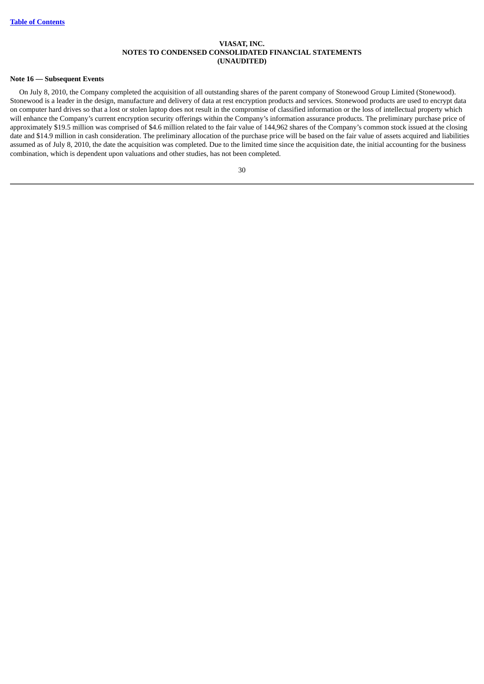### **Note 16 — Subsequent Events**

On July 8, 2010, the Company completed the acquisition of all outstanding shares of the parent company of Stonewood Group Limited (Stonewood). Stonewood is a leader in the design, manufacture and delivery of data at rest encryption products and services. Stonewood products are used to encrypt data on computer hard drives so that a lost or stolen laptop does not result in the compromise of classified information or the loss of intellectual property which will enhance the Company's current encryption security offerings within the Company's information assurance products. The preliminary purchase price of approximately \$19.5 million was comprised of \$4.6 million related to the fair value of 144,962 shares of the Company's common stock issued at the closing date and \$14.9 million in cash consideration. The preliminary allocation of the purchase price will be based on the fair value of assets acquired and liabilities assumed as of July 8, 2010, the date the acquisition was completed. Due to the limited time since the acquisition date, the initial accounting for the business combination, which is dependent upon valuations and other studies, has not been completed.

| ٠            |         |
|--------------|---------|
| ۰.<br>×<br>v | I<br>۰, |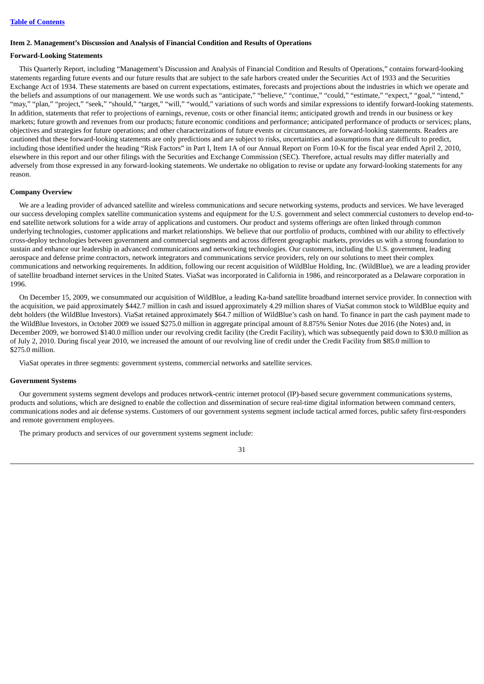### **Table of [Contents](#page-2-0)**

### <span id="page-31-0"></span>**Item 2. Management's Discussion and Analysis of Financial Condition and Results of Operations**

#### **Forward-Looking Statements**

This Quarterly Report, including "Management's Discussion and Analysis of Financial Condition and Results of Operations," contains forward-looking statements regarding future events and our future results that are subject to the safe harbors created under the Securities Act of 1933 and the Securities Exchange Act of 1934. These statements are based on current expectations, estimates, forecasts and projections about the industries in which we operate and the beliefs and assumptions of our management. We use words such as "anticipate," "believe," "continue," "could," "estimate," "expect," "goal," "intend," "may," "plan," "project," "seek," "should," "target," "will," "would," variations of such words and similar expressions to identify forward-looking statements. In addition, statements that refer to projections of earnings, revenue, costs or other financial items; anticipated growth and trends in our business or key markets; future growth and revenues from our products; future economic conditions and performance; anticipated performance of products or services; plans, objectives and strategies for future operations; and other characterizations of future events or circumstances, are forward-looking statements. Readers are cautioned that these forward-looking statements are only predictions and are subject to risks, uncertainties and assumptions that are difficult to predict, including those identified under the heading "Risk Factors" in Part I, Item 1A of our Annual Report on Form 10-K for the fiscal year ended April 2, 2010, elsewhere in this report and our other filings with the Securities and Exchange Commission (SEC). Therefore, actual results may differ materially and adversely from those expressed in any forward-looking statements. We undertake no obligation to revise or update any forward-looking statements for any reason.

### **Company Overview**

We are a leading provider of advanced satellite and wireless communications and secure networking systems, products and services. We have leveraged our success developing complex satellite communication systems and equipment for the U.S. government and select commercial customers to develop end-toend satellite network solutions for a wide array of applications and customers. Our product and systems offerings are often linked through common underlying technologies, customer applications and market relationships. We believe that our portfolio of products, combined with our ability to effectively cross-deploy technologies between government and commercial segments and across different geographic markets, provides us with a strong foundation to sustain and enhance our leadership in advanced communications and networking technologies. Our customers, including the U.S. government, leading aerospace and defense prime contractors, network integrators and communications service providers, rely on our solutions to meet their complex communications and networking requirements. In addition, following our recent acquisition of WildBlue Holding, Inc. (WildBlue), we are a leading provider of satellite broadband internet services in the United States. ViaSat was incorporated in California in 1986, and reincorporated as a Delaware corporation in 1996.

On December 15, 2009, we consummated our acquisition of WildBlue, a leading Ka-band satellite broadband internet service provider. In connection with the acquisition, we paid approximately \$442.7 million in cash and issued approximately 4.29 million shares of ViaSat common stock to WildBlue equity and debt holders (the WildBlue Investors). ViaSat retained approximately \$64.7 million of WildBlue's cash on hand. To finance in part the cash payment made to the WildBlue Investors, in October 2009 we issued \$275.0 million in aggregate principal amount of 8.875% Senior Notes due 2016 (the Notes) and, in December 2009, we borrowed \$140.0 million under our revolving credit facility (the Credit Facility), which was subsequently paid down to \$30.0 million as of July 2, 2010. During fiscal year 2010, we increased the amount of our revolving line of credit under the Credit Facility from \$85.0 million to \$275.0 million.

ViaSat operates in three segments: government systems, commercial networks and satellite services.

#### **Government Systems**

Our government systems segment develops and produces network-centric internet protocol (IP)-based secure government communications systems, products and solutions, which are designed to enable the collection and dissemination of secure real-time digital information between command centers, communications nodes and air defense systems. Customers of our government systems segment include tactical armed forces, public safety first-responders and remote government employees.

The primary products and services of our government systems segment include: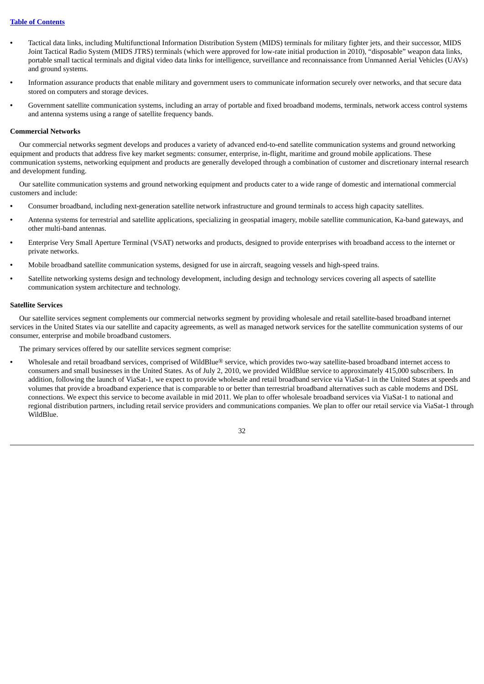### **Table of [Contents](#page-2-0)**

- **•** Tactical data links, including Multifunctional Information Distribution System (MIDS) terminals for military fighter jets, and their successor, MIDS Joint Tactical Radio System (MIDS JTRS) terminals (which were approved for low-rate initial production in 2010), "disposable" weapon data links, portable small tactical terminals and digital video data links for intelligence, surveillance and reconnaissance from Unmanned Aerial Vehicles (UAVs) and ground systems.
- **•** Information assurance products that enable military and government users to communicate information securely over networks, and that secure data stored on computers and storage devices.
- **•** Government satellite communication systems, including an array of portable and fixed broadband modems, terminals, network access control systems and antenna systems using a range of satellite frequency bands.

### **Commercial Networks**

Our commercial networks segment develops and produces a variety of advanced end-to-end satellite communication systems and ground networking equipment and products that address five key market segments: consumer, enterprise, in-flight, maritime and ground mobile applications. These communication systems, networking equipment and products are generally developed through a combination of customer and discretionary internal research and development funding.

Our satellite communication systems and ground networking equipment and products cater to a wide range of domestic and international commercial customers and include:

- **•** Consumer broadband, including next-generation satellite network infrastructure and ground terminals to access high capacity satellites.
- **•** Antenna systems for terrestrial and satellite applications, specializing in geospatial imagery, mobile satellite communication, Ka-band gateways, and other multi-band antennas.
- **•** Enterprise Very Small Aperture Terminal (VSAT) networks and products, designed to provide enterprises with broadband access to the internet or private networks.
- **•** Mobile broadband satellite communication systems, designed for use in aircraft, seagoing vessels and high-speed trains.
- **•** Satellite networking systems design and technology development, including design and technology services covering all aspects of satellite communication system architecture and technology.

### **Satellite Services**

Our satellite services segment complements our commercial networks segment by providing wholesale and retail satellite-based broadband internet services in the United States via our satellite and capacity agreements, as well as managed network services for the satellite communication systems of our consumer, enterprise and mobile broadband customers.

The primary services offered by our satellite services segment comprise:

**•** Wholesale and retail broadband services, comprised of WildBlue® service, which provides two-way satellite-based broadband internet access to consumers and small businesses in the United States. As of July 2, 2010, we provided WildBlue service to approximately 415,000 subscribers. In addition, following the launch of ViaSat-1, we expect to provide wholesale and retail broadband service via ViaSat-1 in the United States at speeds and volumes that provide a broadband experience that is comparable to or better than terrestrial broadband alternatives such as cable modems and DSL connections. We expect this service to become available in mid 2011. We plan to offer wholesale broadband services via ViaSat-1 to national and regional distribution partners, including retail service providers and communications companies. We plan to offer our retail service via ViaSat-1 through WildBlue.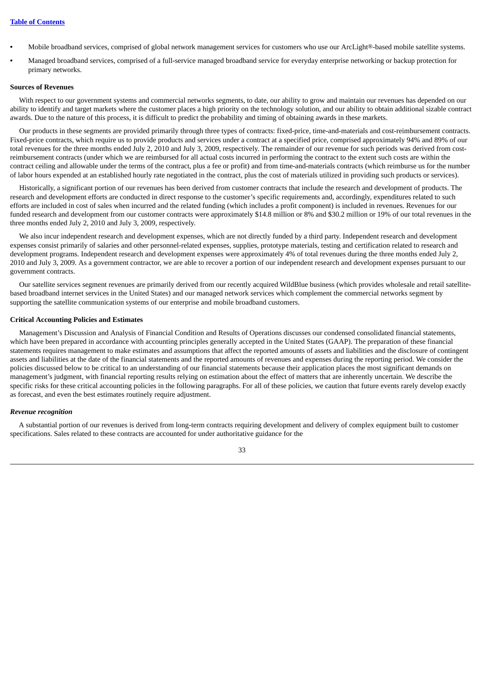- **•** Mobile broadband services, comprised of global network management services for customers who use our ArcLight®-based mobile satellite systems.
- **•** Managed broadband services, comprised of a full-service managed broadband service for everyday enterprise networking or backup protection for primary networks.

### **Sources of Revenues**

With respect to our government systems and commercial networks segments, to date, our ability to grow and maintain our revenues has depended on our ability to identify and target markets where the customer places a high priority on the technology solution, and our ability to obtain additional sizable contract awards. Due to the nature of this process, it is difficult to predict the probability and timing of obtaining awards in these markets.

Our products in these segments are provided primarily through three types of contracts: fixed-price, time-and-materials and cost-reimbursement contracts. Fixed-price contracts, which require us to provide products and services under a contract at a specified price, comprised approximately 94% and 89% of our total revenues for the three months ended July 2, 2010 and July 3, 2009, respectively. The remainder of our revenue for such periods was derived from costreimbursement contracts (under which we are reimbursed for all actual costs incurred in performing the contract to the extent such costs are within the contract ceiling and allowable under the terms of the contract, plus a fee or profit) and from time-and-materials contracts (which reimburse us for the number of labor hours expended at an established hourly rate negotiated in the contract, plus the cost of materials utilized in providing such products or services).

Historically, a significant portion of our revenues has been derived from customer contracts that include the research and development of products. The research and development efforts are conducted in direct response to the customer's specific requirements and, accordingly, expenditures related to such efforts are included in cost of sales when incurred and the related funding (which includes a profit component) is included in revenues. Revenues for our funded research and development from our customer contracts were approximately \$14.8 million or 8% and \$30.2 million or 19% of our total revenues in the three months ended July 2, 2010 and July 3, 2009, respectively.

We also incur independent research and development expenses, which are not directly funded by a third party. Independent research and development expenses consist primarily of salaries and other personnel-related expenses, supplies, prototype materials, testing and certification related to research and development programs. Independent research and development expenses were approximately 4% of total revenues during the three months ended July 2, 2010 and July 3, 2009. As a government contractor, we are able to recover a portion of our independent research and development expenses pursuant to our government contracts.

Our satellite services segment revenues are primarily derived from our recently acquired WildBlue business (which provides wholesale and retail satellitebased broadband internet services in the United States) and our managed network services which complement the commercial networks segment by supporting the satellite communication systems of our enterprise and mobile broadband customers.

### **Critical Accounting Policies and Estimates**

Management's Discussion and Analysis of Financial Condition and Results of Operations discusses our condensed consolidated financial statements, which have been prepared in accordance with accounting principles generally accepted in the United States (GAAP). The preparation of these financial statements requires management to make estimates and assumptions that affect the reported amounts of assets and liabilities and the disclosure of contingent assets and liabilities at the date of the financial statements and the reported amounts of revenues and expenses during the reporting period. We consider the policies discussed below to be critical to an understanding of our financial statements because their application places the most significant demands on management's judgment, with financial reporting results relying on estimation about the effect of matters that are inherently uncertain. We describe the specific risks for these critical accounting policies in the following paragraphs. For all of these policies, we caution that future events rarely develop exactly as forecast, and even the best estimates routinely require adjustment.

#### *Revenue recognition*

A substantial portion of our revenues is derived from long-term contracts requiring development and delivery of complex equipment built to customer specifications. Sales related to these contracts are accounted for under authoritative guidance for the

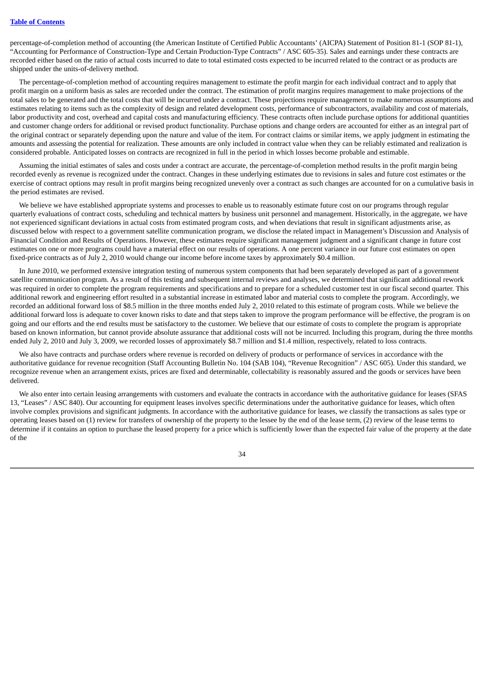percentage-of-completion method of accounting (the American Institute of Certified Public Accountants' (AICPA) Statement of Position 81-1 (SOP 81-1), "Accounting for Performance of Construction-Type and Certain Production-Type Contracts" / ASC 605-35). Sales and earnings under these contracts are recorded either based on the ratio of actual costs incurred to date to total estimated costs expected to be incurred related to the contract or as products are shipped under the units-of-delivery method.

The percentage-of-completion method of accounting requires management to estimate the profit margin for each individual contract and to apply that profit margin on a uniform basis as sales are recorded under the contract. The estimation of profit margins requires management to make projections of the total sales to be generated and the total costs that will be incurred under a contract. These projections require management to make numerous assumptions and estimates relating to items such as the complexity of design and related development costs, performance of subcontractors, availability and cost of materials, labor productivity and cost, overhead and capital costs and manufacturing efficiency. These contracts often include purchase options for additional quantities and customer change orders for additional or revised product functionality. Purchase options and change orders are accounted for either as an integral part of the original contract or separately depending upon the nature and value of the item. For contract claims or similar items, we apply judgment in estimating the amounts and assessing the potential for realization. These amounts are only included in contract value when they can be reliably estimated and realization is considered probable. Anticipated losses on contracts are recognized in full in the period in which losses become probable and estimable.

Assuming the initial estimates of sales and costs under a contract are accurate, the percentage-of-completion method results in the profit margin being recorded evenly as revenue is recognized under the contract. Changes in these underlying estimates due to revisions in sales and future cost estimates or the exercise of contract options may result in profit margins being recognized unevenly over a contract as such changes are accounted for on a cumulative basis in the period estimates are revised.

We believe we have established appropriate systems and processes to enable us to reasonably estimate future cost on our programs through regular quarterly evaluations of contract costs, scheduling and technical matters by business unit personnel and management. Historically, in the aggregate, we have not experienced significant deviations in actual costs from estimated program costs, and when deviations that result in significant adjustments arise, as discussed below with respect to a government satellite communication program, we disclose the related impact in Management's Discussion and Analysis of Financial Condition and Results of Operations. However, these estimates require significant management judgment and a significant change in future cost estimates on one or more programs could have a material effect on our results of operations. A one percent variance in our future cost estimates on open fixed-price contracts as of July 2, 2010 would change our income before income taxes by approximately \$0.4 million.

In June 2010, we performed extensive integration testing of numerous system components that had been separately developed as part of a government satellite communication program. As a result of this testing and subsequent internal reviews and analyses, we determined that significant additional rework was required in order to complete the program requirements and specifications and to prepare for a scheduled customer test in our fiscal second quarter. This additional rework and engineering effort resulted in a substantial increase in estimated labor and material costs to complete the program. Accordingly, we recorded an additional forward loss of \$8.5 million in the three months ended July 2, 2010 related to this estimate of program costs. While we believe the additional forward loss is adequate to cover known risks to date and that steps taken to improve the program performance will be effective, the program is on going and our efforts and the end results must be satisfactory to the customer. We believe that our estimate of costs to complete the program is appropriate based on known information, but cannot provide absolute assurance that additional costs will not be incurred. Including this program, during the three months ended July 2, 2010 and July 3, 2009, we recorded losses of approximately \$8.7 million and \$1.4 million, respectively, related to loss contracts.

We also have contracts and purchase orders where revenue is recorded on delivery of products or performance of services in accordance with the authoritative guidance for revenue recognition (Staff Accounting Bulletin No. 104 (SAB 104), "Revenue Recognition" / ASC 605). Under this standard, we recognize revenue when an arrangement exists, prices are fixed and determinable, collectability is reasonably assured and the goods or services have been delivered.

We also enter into certain leasing arrangements with customers and evaluate the contracts in accordance with the authoritative guidance for leases (SFAS 13, "Leases" / ASC 840). Our accounting for equipment leases involves specific determinations under the authoritative guidance for leases, which often involve complex provisions and significant judgments. In accordance with the authoritative guidance for leases, we classify the transactions as sales type or operating leases based on (1) review for transfers of ownership of the property to the lessee by the end of the lease term, (2) review of the lease terms to determine if it contains an option to purchase the leased property for a price which is sufficiently lower than the expected fair value of the property at the date of the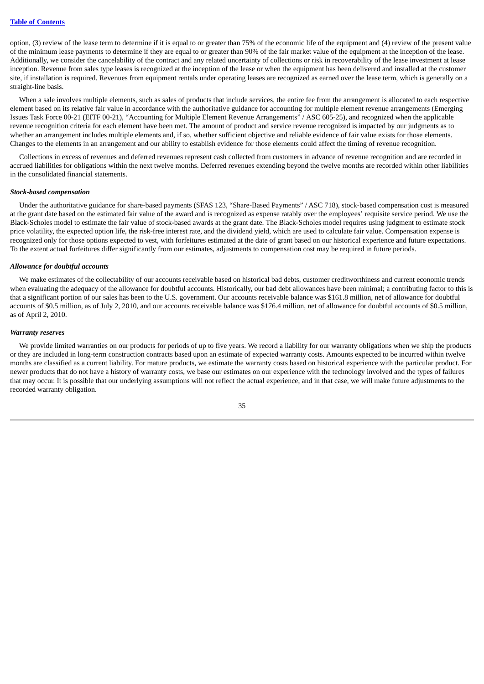option, (3) review of the lease term to determine if it is equal to or greater than 75% of the economic life of the equipment and (4) review of the present value of the minimum lease payments to determine if they are equal to or greater than 90% of the fair market value of the equipment at the inception of the lease. Additionally, we consider the cancelability of the contract and any related uncertainty of collections or risk in recoverability of the lease investment at lease inception. Revenue from sales type leases is recognized at the inception of the lease or when the equipment has been delivered and installed at the customer site, if installation is required. Revenues from equipment rentals under operating leases are recognized as earned over the lease term, which is generally on a straight-line basis.

When a sale involves multiple elements, such as sales of products that include services, the entire fee from the arrangement is allocated to each respective element based on its relative fair value in accordance with the authoritative guidance for accounting for multiple element revenue arrangements (Emerging Issues Task Force 00-21 (EITF 00-21), "Accounting for Multiple Element Revenue Arrangements" / ASC 605-25), and recognized when the applicable revenue recognition criteria for each element have been met. The amount of product and service revenue recognized is impacted by our judgments as to whether an arrangement includes multiple elements and, if so, whether sufficient objective and reliable evidence of fair value exists for those elements. Changes to the elements in an arrangement and our ability to establish evidence for those elements could affect the timing of revenue recognition.

Collections in excess of revenues and deferred revenues represent cash collected from customers in advance of revenue recognition and are recorded in accrued liabilities for obligations within the next twelve months. Deferred revenues extending beyond the twelve months are recorded within other liabilities in the consolidated financial statements.

### *Stock-based compensation*

Under the authoritative guidance for share-based payments (SFAS 123, "Share-Based Payments" / ASC 718), stock-based compensation cost is measured at the grant date based on the estimated fair value of the award and is recognized as expense ratably over the employees' requisite service period. We use the Black-Scholes model to estimate the fair value of stock-based awards at the grant date. The Black-Scholes model requires using judgment to estimate stock price volatility, the expected option life, the risk-free interest rate, and the dividend yield, which are used to calculate fair value. Compensation expense is recognized only for those options expected to vest, with forfeitures estimated at the date of grant based on our historical experience and future expectations. To the extent actual forfeitures differ significantly from our estimates, adjustments to compensation cost may be required in future periods.

### *Allowance for doubtful accounts*

We make estimates of the collectability of our accounts receivable based on historical bad debts, customer creditworthiness and current economic trends when evaluating the adequacy of the allowance for doubtful accounts. Historically, our bad debt allowances have been minimal; a contributing factor to this is that a significant portion of our sales has been to the U.S. government. Our accounts receivable balance was \$161.8 million, net of allowance for doubtful accounts of \$0.5 million, as of July 2, 2010, and our accounts receivable balance was \$176.4 million, net of allowance for doubtful accounts of \$0.5 million, as of April 2, 2010.

### *Warranty reserves*

We provide limited warranties on our products for periods of up to five years. We record a liability for our warranty obligations when we ship the products or they are included in long-term construction contracts based upon an estimate of expected warranty costs. Amounts expected to be incurred within twelve months are classified as a current liability. For mature products, we estimate the warranty costs based on historical experience with the particular product. For newer products that do not have a history of warranty costs, we base our estimates on our experience with the technology involved and the types of failures that may occur. It is possible that our underlying assumptions will not reflect the actual experience, and in that case, we will make future adjustments to the recorded warranty obligation.

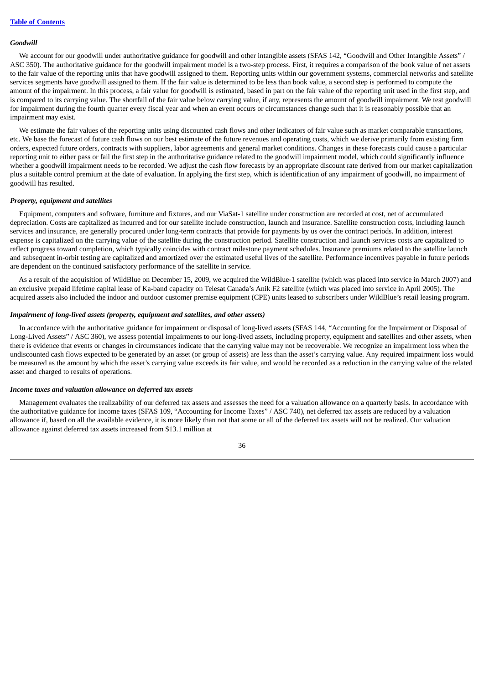### *Goodwill*

We account for our goodwill under authoritative guidance for goodwill and other intangible assets (SFAS 142, "Goodwill and Other Intangible Assets" / ASC 350). The authoritative guidance for the goodwill impairment model is a two-step process. First, it requires a comparison of the book value of net assets to the fair value of the reporting units that have goodwill assigned to them. Reporting units within our government systems, commercial networks and satellite services segments have goodwill assigned to them. If the fair value is determined to be less than book value, a second step is performed to compute the amount of the impairment. In this process, a fair value for goodwill is estimated, based in part on the fair value of the reporting unit used in the first step, and is compared to its carrying value. The shortfall of the fair value below carrying value, if any, represents the amount of goodwill impairment. We test goodwill for impairment during the fourth quarter every fiscal year and when an event occurs or circumstances change such that it is reasonably possible that an impairment may exist.

We estimate the fair values of the reporting units using discounted cash flows and other indicators of fair value such as market comparable transactions, etc. We base the forecast of future cash flows on our best estimate of the future revenues and operating costs, which we derive primarily from existing firm orders, expected future orders, contracts with suppliers, labor agreements and general market conditions. Changes in these forecasts could cause a particular reporting unit to either pass or fail the first step in the authoritative guidance related to the goodwill impairment model, which could significantly influence whether a goodwill impairment needs to be recorded. We adjust the cash flow forecasts by an appropriate discount rate derived from our market capitalization plus a suitable control premium at the date of evaluation. In applying the first step, which is identification of any impairment of goodwill, no impairment of goodwill has resulted.

### *Property, equipment and satellites*

Equipment, computers and software, furniture and fixtures, and our ViaSat-1 satellite under construction are recorded at cost, net of accumulated depreciation. Costs are capitalized as incurred and for our satellite include construction, launch and insurance. Satellite construction costs, including launch services and insurance, are generally procured under long-term contracts that provide for payments by us over the contract periods. In addition, interest expense is capitalized on the carrying value of the satellite during the construction period. Satellite construction and launch services costs are capitalized to reflect progress toward completion, which typically coincides with contract milestone payment schedules. Insurance premiums related to the satellite launch and subsequent in-orbit testing are capitalized and amortized over the estimated useful lives of the satellite. Performance incentives payable in future periods are dependent on the continued satisfactory performance of the satellite in service.

As a result of the acquisition of WildBlue on December 15, 2009, we acquired the WildBlue-1 satellite (which was placed into service in March 2007) and an exclusive prepaid lifetime capital lease of Ka-band capacity on Telesat Canada's Anik F2 satellite (which was placed into service in April 2005). The acquired assets also included the indoor and outdoor customer premise equipment (CPE) units leased to subscribers under WildBlue's retail leasing program.

### *Impairment of long-lived assets (property, equipment and satellites, and other assets)*

In accordance with the authoritative guidance for impairment or disposal of long-lived assets (SFAS 144, "Accounting for the Impairment or Disposal of Long-Lived Assets" / ASC 360), we assess potential impairments to our long-lived assets, including property, equipment and satellites and other assets, when there is evidence that events or changes in circumstances indicate that the carrying value may not be recoverable. We recognize an impairment loss when the undiscounted cash flows expected to be generated by an asset (or group of assets) are less than the asset's carrying value. Any required impairment loss would be measured as the amount by which the asset's carrying value exceeds its fair value, and would be recorded as a reduction in the carrying value of the related asset and charged to results of operations.

### *Income taxes and valuation allowance on deferred tax assets*

Management evaluates the realizability of our deferred tax assets and assesses the need for a valuation allowance on a quarterly basis. In accordance with the authoritative guidance for income taxes (SFAS 109, "Accounting for Income Taxes" / ASC 740), net deferred tax assets are reduced by a valuation allowance if, based on all the available evidence, it is more likely than not that some or all of the deferred tax assets will not be realized. Our valuation allowance against deferred tax assets increased from \$13.1 million at

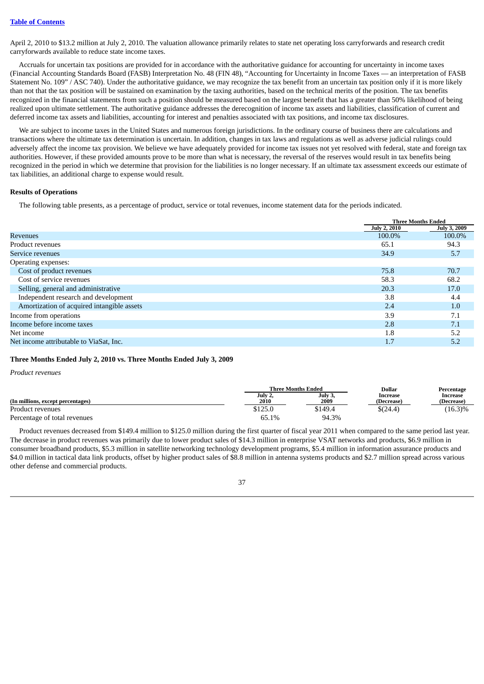April 2, 2010 to \$13.2 million at July 2, 2010. The valuation allowance primarily relates to state net operating loss carryforwards and research credit carryforwards available to reduce state income taxes.

Accruals for uncertain tax positions are provided for in accordance with the authoritative guidance for accounting for uncertainty in income taxes (Financial Accounting Standards Board (FASB) Interpretation No. 48 (FIN 48), "Accounting for Uncertainty in Income Taxes — an interpretation of FASB Statement No. 109" / ASC 740). Under the authoritative guidance, we may recognize the tax benefit from an uncertain tax position only if it is more likely than not that the tax position will be sustained on examination by the taxing authorities, based on the technical merits of the position. The tax benefits recognized in the financial statements from such a position should be measured based on the largest benefit that has a greater than 50% likelihood of being realized upon ultimate settlement. The authoritative guidance addresses the derecognition of income tax assets and liabilities, classification of current and deferred income tax assets and liabilities, accounting for interest and penalties associated with tax positions, and income tax disclosures.

We are subject to income taxes in the United States and numerous foreign jurisdictions. In the ordinary course of business there are calculations and transactions where the ultimate tax determination is uncertain. In addition, changes in tax laws and regulations as well as adverse judicial rulings could adversely affect the income tax provision. We believe we have adequately provided for income tax issues not yet resolved with federal, state and foreign tax authorities. However, if these provided amounts prove to be more than what is necessary, the reversal of the reserves would result in tax benefits being recognized in the period in which we determine that provision for the liabilities is no longer necessary. If an ultimate tax assessment exceeds our estimate of tax liabilities, an additional charge to expense would result.

### **Results of Operations**

The following table presents, as a percentage of product, service or total revenues, income statement data for the periods indicated.

|                                            | <b>Three Months Ended</b> |                     |
|--------------------------------------------|---------------------------|---------------------|
|                                            | <b>July 2, 2010</b>       | <b>July 3, 2009</b> |
| Revenues                                   | 100.0%                    | 100.0%              |
| Product revenues                           | 65.1                      | 94.3                |
| Service revenues                           | 34.9                      | 5.7                 |
| Operating expenses:                        |                           |                     |
| Cost of product revenues                   | 75.8                      | 70.7                |
| Cost of service revenues                   | 58.3                      | 68.2                |
| Selling, general and administrative        | 20.3                      | 17.0                |
| Independent research and development       | 3.8                       | 4.4                 |
| Amortization of acquired intangible assets | 2.4                       | 1.0                 |
| Income from operations                     | 3.9                       | 7.1                 |
| Income before income taxes                 | 2.8                       | 7.1                 |
| Net income                                 | 1.8                       | 5.2                 |
| Net income attributable to ViaSat, Inc.    | 1.7                       | 5.2                 |

### **Three Months Ended July 2, 2010 vs. Three Months Ended July 3, 2009**

*Product revenues*

|                                   |         | <b>Three Months Ended</b> |            | Percentage |
|-----------------------------------|---------|---------------------------|------------|------------|
|                                   | July 2, | July 3,                   | Increase   | Increase   |
| (In millions, except percentages) | 2010    | 2009                      | (Decrease) | (Decrease) |
| Product revenues                  | \$125.0 | \$149.4                   | \$(24.4)   | $(16.3)\%$ |
| Percentage of total revenues      | 65.1%   | 94.3%                     |            |            |

Product revenues decreased from \$149.4 million to \$125.0 million during the first quarter of fiscal year 2011 when compared to the same period last year. The decrease in product revenues was primarily due to lower product sales of \$14.3 million in enterprise VSAT networks and products, \$6.9 million in consumer broadband products, \$5.3 million in satellite networking technology development programs, \$5.4 million in information assurance products and \$4.0 million in tactical data link products, offset by higher product sales of \$8.8 million in antenna systems products and \$2.7 million spread across various other defense and commercial products.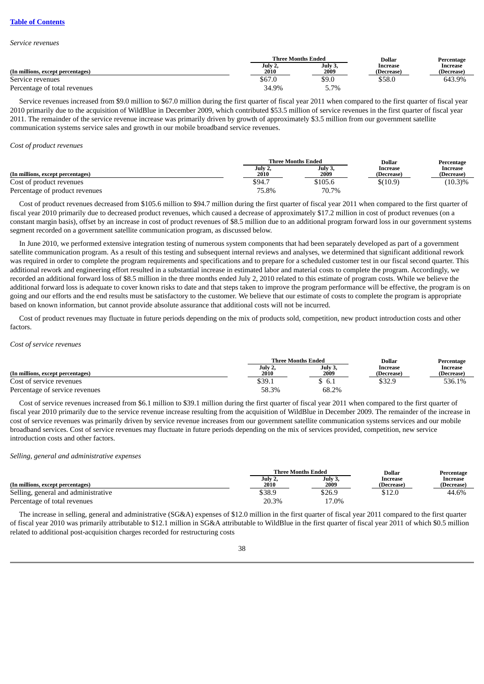### **Table of [Contents](#page-2-0)**

#### *Service revenues*

|                                   | <b>Three Months Ended</b> |         | Dollar     | Percentage |
|-----------------------------------|---------------------------|---------|------------|------------|
|                                   | July 2,                   | July 3, | Increase   | Increase   |
| (In millions, except percentages) | 2010                      | 2009    | (Decrease) | (Decrease) |
| Service revenues                  | \$67.0                    | \$9.0   | \$58.0     | 643.9%     |
| Percentage of total revenues      | 34.9%                     | $5.7\%$ |            |            |

Service revenues increased from \$9.0 million to \$67.0 million during the first quarter of fiscal year 2011 when compared to the first quarter of fiscal year 2010 primarily due to the acquisition of WildBlue in December 2009, which contributed \$53.5 million of service revenues in the first quarter of fiscal year 2011. The remainder of the service revenue increase was primarily driven by growth of approximately \$3.5 million from our government satellite communication systems service sales and growth in our mobile broadband service revenues.

*Cost of product revenues*

|                                   |                 | <b>Three Months Ended</b> |                        | Percentage             |
|-----------------------------------|-----------------|---------------------------|------------------------|------------------------|
| (In millions, except percentages) | July 2,<br>2010 | July 3,<br>2009           | Increase<br>(Decrease) | Increase<br>(Decrease) |
| Cost of product revenues          | \$94.7          | \$105.6                   | \$(10.9)               | $(10.3)\%$             |
| Percentage of product revenues    | 75.8%           | 70.7%                     |                        |                        |

Cost of product revenues decreased from \$105.6 million to \$94.7 million during the first quarter of fiscal year 2011 when compared to the first quarter of fiscal year 2010 primarily due to decreased product revenues, which caused a decrease of approximately \$17.2 million in cost of product revenues (on a constant margin basis), offset by an increase in cost of product revenues of \$8.5 million due to an additional program forward loss in our government systems segment recorded on a government satellite communication program, as discussed below.

In June 2010, we performed extensive integration testing of numerous system components that had been separately developed as part of a government satellite communication program. As a result of this testing and subsequent internal reviews and analyses, we determined that significant additional rework was required in order to complete the program requirements and specifications and to prepare for a scheduled customer test in our fiscal second quarter. This additional rework and engineering effort resulted in a substantial increase in estimated labor and material costs to complete the program. Accordingly, we recorded an additional forward loss of \$8.5 million in the three months ended July 2, 2010 related to this estimate of program costs. While we believe the additional forward loss is adequate to cover known risks to date and that steps taken to improve the program performance will be effective, the program is on going and our efforts and the end results must be satisfactory to the customer. We believe that our estimate of costs to complete the program is appropriate based on known information, but cannot provide absolute assurance that additional costs will not be incurred.

Cost of product revenues may fluctuate in future periods depending on the mix of products sold, competition, new product introduction costs and other factors.

#### *Cost of service revenues*

|                                   |                 | <b>Three Months Ended</b>     |                        | Percentage             |
|-----------------------------------|-----------------|-------------------------------|------------------------|------------------------|
| (In millions, except percentages) | July 2.<br>2010 | July 3,<br>2009               | Increase<br>(Decrease) | Increase<br>(Decrease) |
| Cost of service revenues          | \$39.1          | $\mathbf{0} \cdot \mathbf{1}$ | \$32.9                 | 536.1%                 |
| Percentage of service revenues    | 58.3%           | 68.2%                         |                        |                        |

Cost of service revenues increased from \$6.1 million to \$39.1 million during the first quarter of fiscal year 2011 when compared to the first quarter of fiscal year 2010 primarily due to the service revenue increase resulting from the acquisition of WildBlue in December 2009. The remainder of the increase in cost of service revenues was primarily driven by service revenue increases from our government satellite communication systems services and our mobile broadband services. Cost of service revenues may fluctuate in future periods depending on the mix of services provided, competition, new service introduction costs and other factors.

*Selling, general and administrative expenses*

|                                     | <b>Three Months Ended</b> |                 | <b>Dollar</b>          | Percentage             |
|-------------------------------------|---------------------------|-----------------|------------------------|------------------------|
| (In millions, except percentages)   | July 2,<br>2010           | July 3.<br>2009 | Increase<br>(Decrease) | Increase<br>(Decrease) |
| Selling, general and administrative | \$38.9                    | \$26.9          | \$12.0                 | 44.6%                  |
| Percentage of total revenues        | 20.3%                     | 17.0%           |                        |                        |

The increase in selling, general and administrative (SG&A) expenses of \$12.0 million in the first quarter of fiscal year 2011 compared to the first quarter of fiscal year 2010 was primarily attributable to \$12.1 million in SG&A attributable to WildBlue in the first quarter of fiscal year 2011 of which \$0.5 million related to additional post-acquisition charges recorded for restructuring costs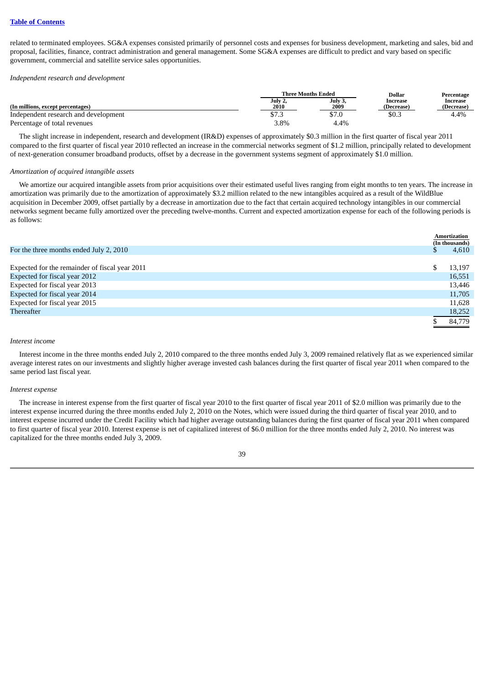related to terminated employees. SG&A expenses consisted primarily of personnel costs and expenses for business development, marketing and sales, bid and proposal, facilities, finance, contract administration and general management. Some SG&A expenses are difficult to predict and vary based on specific government, commercial and satellite service sales opportunities.

*Independent research and development*

|                                      | Three Months Ended |                 | Dollar     | Percentage |
|--------------------------------------|--------------------|-----------------|------------|------------|
|                                      | July 2.            | July 3,<br>2009 | Increase   | Increase   |
| (In millions, except percentages)    | 2010               |                 | (Decrease) | (Decrease) |
| Independent research and development | ა7.3               | \$7.0           | \$0.3      | 4.4%       |
| Percentage of total revenues         | 3.8%               | 4.4%            |            |            |

The slight increase in independent, research and development (IR&D) expenses of approximately \$0.3 million in the first quarter of fiscal year 2011 compared to the first quarter of fiscal year 2010 reflected an increase in the commercial networks segment of \$1.2 million, principally related to development of next-generation consumer broadband products, offset by a decrease in the government systems segment of approximately \$1.0 million.

#### *Amortization of acquired intangible assets*

We amortize our acquired intangible assets from prior acquisitions over their estimated useful lives ranging from eight months to ten years. The increase in amortization was primarily due to the amortization of approximately \$3.2 million related to the new intangibles acquired as a result of the WildBlue acquisition in December 2009, offset partially by a decrease in amortization due to the fact that certain acquired technology intangibles in our commercial networks segment became fully amortized over the preceding twelve-months. Current and expected amortization expense for each of the following periods is as follows:

|                                                |    | <b>Amortization</b><br>(In thousands) |
|------------------------------------------------|----|---------------------------------------|
| For the three months ended July 2, 2010        |    | 4,610                                 |
|                                                |    |                                       |
| Expected for the remainder of fiscal year 2011 | S. | 13,197                                |
| Expected for fiscal year 2012                  |    | 16,551                                |
| Expected for fiscal year 2013                  |    | 13,446                                |
| Expected for fiscal year 2014                  |    | 11,705                                |
| Expected for fiscal year 2015                  |    | 11,628                                |
| Thereafter                                     |    | 18,252                                |
|                                                |    | 84,779                                |

#### *Interest income*

Interest income in the three months ended July 2, 2010 compared to the three months ended July 3, 2009 remained relatively flat as we experienced similar average interest rates on our investments and slightly higher average invested cash balances during the first quarter of fiscal year 2011 when compared to the same period last fiscal year.

#### *Interest expense*

The increase in interest expense from the first quarter of fiscal year 2010 to the first quarter of fiscal year 2011 of \$2.0 million was primarily due to the interest expense incurred during the three months ended July 2, 2010 on the Notes, which were issued during the third quarter of fiscal year 2010, and to interest expense incurred under the Credit Facility which had higher average outstanding balances during the first quarter of fiscal year 2011 when compared to first quarter of fiscal year 2010. Interest expense is net of capitalized interest of \$6.0 million for the three months ended July 2, 2010. No interest was capitalized for the three months ended July 3, 2009.

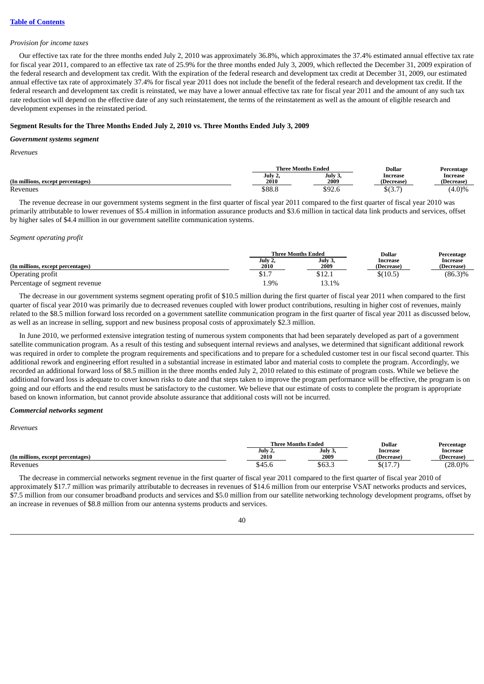#### *Provision for income taxes*

Our effective tax rate for the three months ended July 2, 2010 was approximately 36.8%, which approximates the 37.4% estimated annual effective tax rate for fiscal year 2011, compared to an effective tax rate of 25.9% for the three months ended July 3, 2009, which reflected the December 31, 2009 expiration of the federal research and development tax credit. With the expiration of the federal research and development tax credit at December 31, 2009, our estimated annual effective tax rate of approximately 37.4% for fiscal year 2011 does not include the benefit of the federal research and development tax credit. If the federal research and development tax credit is reinstated, we may have a lower annual effective tax rate for fiscal year 2011 and the amount of any such tax rate reduction will depend on the effective date of any such reinstatement, the terms of the reinstatement as well as the amount of eligible research and development expenses in the reinstated period.

### **Segment Results for the Three Months Ended July 2, 2010 vs. Three Months Ended July 3, 2009**

#### *Government systems segment*

*Revenues*

|                                   |                 | Three Months Ended |                                        | Percentage             |
|-----------------------------------|-----------------|--------------------|----------------------------------------|------------------------|
| (In millions, except percentages) | July 2,<br>2010 | July 3,<br>2009    | Increase<br>(Decrease)                 | Increase<br>(Decrease) |
| Revenues                          | \$88.8          | \$92.6             | $\uparrow$ $\wedge$ $\uparrow$<br>٬۰٫۱ | $(4.0)\%$              |

The revenue decrease in our government systems segment in the first quarter of fiscal year 2011 compared to the first quarter of fiscal year 2010 was primarily attributable to lower revenues of \$5.4 million in information assurance products and \$3.6 million in tactical data link products and services, offset by higher sales of \$4.4 million in our government satellite communication systems.

#### *Segment operating profit*

|                                   | <b>Three Months Ended</b> |                | <b>Dollar</b> | Percentage |
|-----------------------------------|---------------------------|----------------|---------------|------------|
|                                   | July 2,                   | July 3,        | Increase      | Increase   |
| (In millions, except percentages) | 2010                      | 2009           | (Decrease)    | (Decrease) |
| Operating profit                  | \$1.                      | ሮ 1 ገ<br>J12.1 | \$(10.5)      | $(86.3)\%$ |
| Percentage of segment revenue     | 1.9%                      | 13.1%          |               |            |

The decrease in our government systems segment operating profit of \$10.5 million during the first quarter of fiscal year 2011 when compared to the first quarter of fiscal year 2010 was primarily due to decreased revenues coupled with lower product contributions, resulting in higher cost of revenues, mainly related to the \$8.5 million forward loss recorded on a government satellite communication program in the first quarter of fiscal year 2011 as discussed below, as well as an increase in selling, support and new business proposal costs of approximately \$2.3 million.

In June 2010, we performed extensive integration testing of numerous system components that had been separately developed as part of a government satellite communication program. As a result of this testing and subsequent internal reviews and analyses, we determined that significant additional rework was required in order to complete the program requirements and specifications and to prepare for a scheduled customer test in our fiscal second quarter. This additional rework and engineering effort resulted in a substantial increase in estimated labor and material costs to complete the program. Accordingly, we recorded an additional forward loss of \$8.5 million in the three months ended July 2, 2010 related to this estimate of program costs. While we believe the additional forward loss is adequate to cover known risks to date and that steps taken to improve the program performance will be effective, the program is on going and our efforts and the end results must be satisfactory to the customer. We believe that our estimate of costs to complete the program is appropriate based on known information, but cannot provide absolute assurance that additional costs will not be incurred.

#### *Commercial networks segment*

*Revenues*

|                                        | <b>Three Months Ended</b> |                | <b>Dollar</b>   | Percentage |
|----------------------------------------|---------------------------|----------------|-----------------|------------|
|                                        | July                      | July           | Increase        | Increase   |
| (In millions.<br>, except percentages) | 2010                      | 2009           | <b>Decrease</b> | (Decrease) |
| $\blacksquare$<br>Revenues             | $ -$<br>ን45.              | 0.00<br>\$63.3 | 41.1            | $(28.0)\%$ |

The decrease in commercial networks segment revenue in the first quarter of fiscal year 2011 compared to the first quarter of fiscal year 2010 of approximately \$17.7 million was primarily attributable to decreases in revenues of \$14.6 million from our enterprise VSAT networks products and services, \$7.5 million from our consumer broadband products and services and \$5.0 million from our satellite networking technology development programs, offset by an increase in revenues of \$8.8 million from our antenna systems products and services.

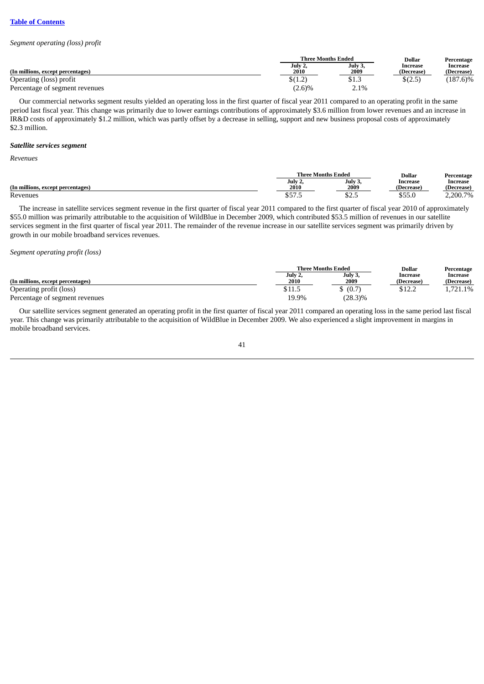### *Segment operating (loss) profit*

|                                   | <b>Three Months Ended</b> |                 | <b>Dollar</b>          | Percentage             |
|-----------------------------------|---------------------------|-----------------|------------------------|------------------------|
| (In millions, except percentages) | July 2,<br>2010           | July 3,<br>2009 | Increase<br>(Decrease) | Increase<br>(Decrease) |
| Operating (loss) profit           | \$(1.2)                   | ن. 1 ب          | \$(2.5)                | $(187.6)\%$            |
| Percentage of segment revenues    | $(2.6)\%$                 | 2.1%            |                        |                        |

Our commercial networks segment results yielded an operating loss in the first quarter of fiscal year 2011 compared to an operating profit in the same period last fiscal year. This change was primarily due to lower earnings contributions of approximately \$3.6 million from lower revenues and an increase in IR&D costs of approximately \$1.2 million, which was partly offset by a decrease in selling, support and new business proposal costs of approximately \$2.3 million.

### *Satellite services segment*

*Revenues*

|                                   |                  | <b>Three Months Ended</b> | <b>Dollar</b>                             | Percentage |
|-----------------------------------|------------------|---------------------------|-------------------------------------------|------------|
|                                   | July 2           | July 3,                   | Increase                                  | Increase   |
| (In millions, except percentages) | 2010             | 2009                      | (Decrease)                                | (Decrease) |
| Revenues                          | --- -<br>ن. ، رو | ل…ت∠اب                    | $\uparrow$ $\uparrow$ $\uparrow$<br>JJJ.U | 2.200.7%   |

The increase in satellite services segment revenue in the first quarter of fiscal year 2011 compared to the first quarter of fiscal year 2010 of approximately \$55.0 million was primarily attributable to the acquisition of WildBlue in December 2009, which contributed \$53.5 million of revenues in our satellite services segment in the first quarter of fiscal year 2011. The remainder of the revenue increase in our satellite services segment was primarily driven by growth in our mobile broadband services revenues.

*Segment operating profit (loss)*

|                                   | <b>Three Months Ended</b> |                       | <b>Dollar</b>    | Percentage   |
|-----------------------------------|---------------------------|-----------------------|------------------|--------------|
|                                   | July 2,                   | July 3,               | Increase         | Increase     |
| (In millions, except percentages) | 2010                      | 2009                  | (Decrease)       | (Decrease)   |
| Operating profit (loss)           | \$11.5                    | (0, 7)<br>ιv.,<br>۰D. | ሮ 1 ገ ገ<br>J12.2 | 21.1%<br>771 |
| Percentage of segment revenues    | 19.9%                     | $(28.3)\%$            |                  |              |

Our satellite services segment generated an operating profit in the first quarter of fiscal year 2011 compared an operating loss in the same period last fiscal year. This change was primarily attributable to the acquisition of WildBlue in December 2009. We also experienced a slight improvement in margins in mobile broadband services.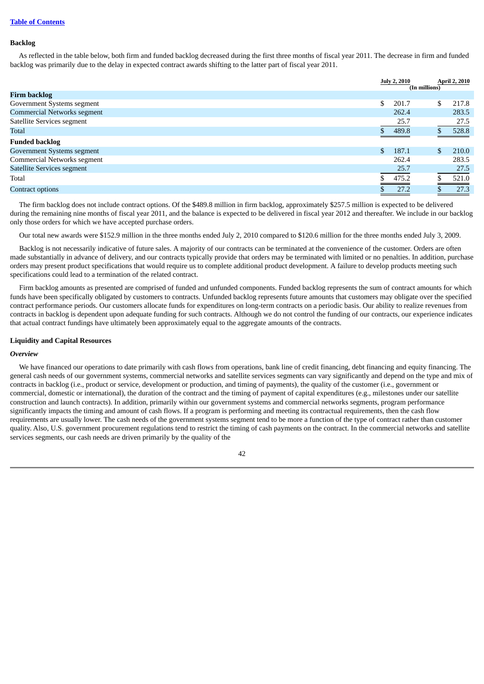### **Backlog**

As reflected in the table below, both firm and funded backlog decreased during the first three months of fiscal year 2011. The decrease in firm and funded backlog was primarily due to the delay in expected contract awards shifting to the latter part of fiscal year 2011.

| <b>Firm backlog</b>                       | <b>July 2, 2010</b><br><b>April 2, 2010</b> |
|-------------------------------------------|---------------------------------------------|
| Government Systems segment                | (In millions)                               |
|                                           |                                             |
|                                           | \$.<br>217.8<br>201.7<br>\$                 |
| Commercial Networks segment<br>262.4      | 283.5                                       |
| Satellite Services segment<br>25.7        | 27.5                                        |
| <b>Total</b><br>489.8                     | 528.8                                       |
| <b>Funded backlog</b>                     |                                             |
| Government Systems segment<br>187.1<br>\$ | 210.0                                       |
| Commercial Networks segment<br>262.4      | 283.5                                       |
| Satellite Services segment<br>25.7        | 27.5                                        |
| Total<br>475.2                            | 521.0                                       |
| 27.2<br>Contract options                  | 27.3                                        |

The firm backlog does not include contract options. Of the \$489.8 million in firm backlog, approximately \$257.5 million is expected to be delivered during the remaining nine months of fiscal year 2011, and the balance is expected to be delivered in fiscal year 2012 and thereafter. We include in our backlog only those orders for which we have accepted purchase orders.

Our total new awards were \$152.9 million in the three months ended July 2, 2010 compared to \$120.6 million for the three months ended July 3, 2009.

Backlog is not necessarily indicative of future sales. A majority of our contracts can be terminated at the convenience of the customer. Orders are often made substantially in advance of delivery, and our contracts typically provide that orders may be terminated with limited or no penalties. In addition, purchase orders may present product specifications that would require us to complete additional product development. A failure to develop products meeting such specifications could lead to a termination of the related contract.

Firm backlog amounts as presented are comprised of funded and unfunded components. Funded backlog represents the sum of contract amounts for which funds have been specifically obligated by customers to contracts. Unfunded backlog represents future amounts that customers may obligate over the specified contract performance periods. Our customers allocate funds for expenditures on long-term contracts on a periodic basis. Our ability to realize revenues from contracts in backlog is dependent upon adequate funding for such contracts. Although we do not control the funding of our contracts, our experience indicates that actual contract fundings have ultimately been approximately equal to the aggregate amounts of the contracts.

### **Liquidity and Capital Resources**

### *Overview*

We have financed our operations to date primarily with cash flows from operations, bank line of credit financing, debt financing and equity financing. The general cash needs of our government systems, commercial networks and satellite services segments can vary significantly and depend on the type and mix of contracts in backlog (i.e., product or service, development or production, and timing of payments), the quality of the customer (i.e., government or commercial, domestic or international), the duration of the contract and the timing of payment of capital expenditures (e.g., milestones under our satellite construction and launch contracts). In addition, primarily within our government systems and commercial networks segments, program performance significantly impacts the timing and amount of cash flows. If a program is performing and meeting its contractual requirements, then the cash flow requirements are usually lower. The cash needs of the government systems segment tend to be more a function of the type of contract rather than customer quality. Also, U.S. government procurement regulations tend to restrict the timing of cash payments on the contract. In the commercial networks and satellite services segments, our cash needs are driven primarily by the quality of the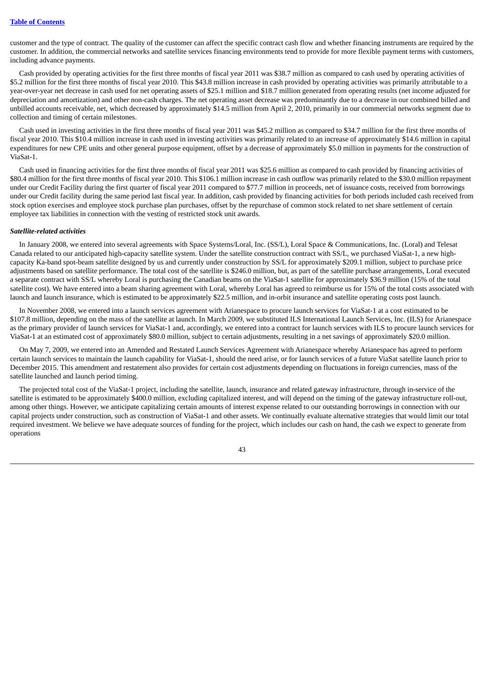customer and the type of contract. The quality of the customer can affect the specific contract cash flow and whether financing instruments are required by the customer. In addition, the commercial networks and satellite services financing environments tend to provide for more flexible payment terms with customers, including advance payments.

Cash provided by operating activities for the first three months of fiscal year 2011 was \$38.7 million as compared to cash used by operating activities of \$5.2 million for the first three months of fiscal year 2010. This \$43.8 million increase in cash provided by operating activities was primarily attributable to a year-over-year net decrease in cash used for net operating assets of \$25.1 million and \$18.7 million generated from operating results (net income adjusted for depreciation and amortization) and other non-cash charges. The net operating asset decrease was predominantly due to a decrease in our combined billed and unbilled accounts receivable, net, which decreased by approximately \$14.5 million from April 2, 2010, primarily in our commercial networks segment due to collection and timing of certain milestones.

Cash used in investing activities in the first three months of fiscal year 2011 was \$45.2 million as compared to \$34.7 million for the first three months of fiscal year 2010. This \$10.4 million increase in cash used in investing activities was primarily related to an increase of approximately \$14.6 million in capital expenditures for new CPE units and other general purpose equipment, offset by a decrease of approximately \$5.0 million in payments for the construction of ViaSat-1.

Cash used in financing activities for the first three months of fiscal year 2011 was \$25.6 million as compared to cash provided by financing activities of \$80.4 million for the first three months of fiscal year 2010. This \$106.1 million increase in cash outflow was primarily related to the \$30.0 million repayment under our Credit Facility during the first quarter of fiscal year 2011 compared to \$77.7 million in proceeds, net of issuance costs, received from borrowings under our Credit facility during the same period last fiscal year. In addition, cash provided by financing activities for both periods included cash received from stock option exercises and employee stock purchase plan purchases, offset by the repurchase of common stock related to net share settlement of certain employee tax liabilities in connection with the vesting of restricted stock unit awards.

#### *Satellite-related activities*

In January 2008, we entered into several agreements with Space Systems/Loral, Inc. (SS/L), Loral Space & Communications, Inc. (Loral) and Telesat Canada related to our anticipated high-capacity satellite system. Under the satellite construction contract with SS/L, we purchased ViaSat-1, a new highcapacity Ka-band spot-beam satellite designed by us and currently under construction by SS/L for approximately \$209.1 million, subject to purchase price adjustments based on satellite performance. The total cost of the satellite is \$246.0 million, but, as part of the satellite purchase arrangements, Loral executed a separate contract with SS/L whereby Loral is purchasing the Canadian beams on the ViaSat-1 satellite for approximately \$36.9 million (15% of the total satellite cost). We have entered into a beam sharing agreement with Loral, whereby Loral has agreed to reimburse us for 15% of the total costs associated with launch and launch insurance, which is estimated to be approximately \$22.5 million, and in-orbit insurance and satellite operating costs post launch.

In November 2008, we entered into a launch services agreement with Arianespace to procure launch services for ViaSat-1 at a cost estimated to be \$107.8 million, depending on the mass of the satellite at launch. In March 2009, we substituted ILS International Launch Services, Inc. (ILS) for Arianespace as the primary provider of launch services for ViaSat-1 and, accordingly, we entered into a contract for launch services with ILS to procure launch services for ViaSat-1 at an estimated cost of approximately \$80.0 million, subject to certain adjustments, resulting in a net savings of approximately \$20.0 million.

On May 7, 2009, we entered into an Amended and Restated Launch Services Agreement with Arianespace whereby Arianespace has agreed to perform certain launch services to maintain the launch capability for ViaSat-1, should the need arise, or for launch services of a future ViaSat satellite launch prior to December 2015. This amendment and restatement also provides for certain cost adjustments depending on fluctuations in foreign currencies, mass of the satellite launched and launch period timing.

The projected total cost of the ViaSat-1 project, including the satellite, launch, insurance and related gateway infrastructure, through in-service of the satellite is estimated to be approximately \$400.0 million, excluding capitalized interest, and will depend on the timing of the gateway infrastructure roll-out, among other things. However, we anticipate capitalizing certain amounts of interest expense related to our outstanding borrowings in connection with our capital projects under construction, such as construction of ViaSat-1 and other assets. We continually evaluate alternative strategies that would limit our total required investment. We believe we have adequate sources of funding for the project, which includes our cash on hand, the cash we expect to generate from operations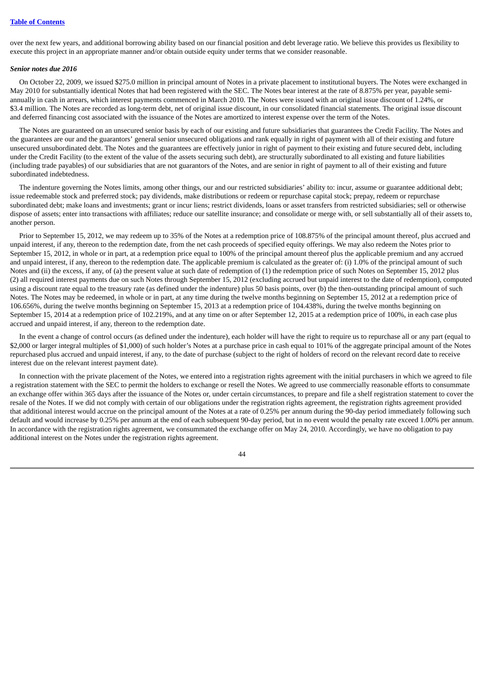over the next few years, and additional borrowing ability based on our financial position and debt leverage ratio. We believe this provides us flexibility to execute this project in an appropriate manner and/or obtain outside equity under terms that we consider reasonable.

### *Senior notes due 2016*

On October 22, 2009, we issued \$275.0 million in principal amount of Notes in a private placement to institutional buyers. The Notes were exchanged in May 2010 for substantially identical Notes that had been registered with the SEC. The Notes bear interest at the rate of 8.875% per year, payable semiannually in cash in arrears, which interest payments commenced in March 2010. The Notes were issued with an original issue discount of 1.24%, or \$3.4 million. The Notes are recorded as long-term debt, net of original issue discount, in our consolidated financial statements. The original issue discount and deferred financing cost associated with the issuance of the Notes are amortized to interest expense over the term of the Notes.

The Notes are guaranteed on an unsecured senior basis by each of our existing and future subsidiaries that guarantees the Credit Facility. The Notes and the guarantees are our and the guarantors' general senior unsecured obligations and rank equally in right of payment with all of their existing and future unsecured unsubordinated debt. The Notes and the guarantees are effectively junior in right of payment to their existing and future secured debt, including under the Credit Facility (to the extent of the value of the assets securing such debt), are structurally subordinated to all existing and future liabilities (including trade payables) of our subsidiaries that are not guarantors of the Notes, and are senior in right of payment to all of their existing and future subordinated indebtedness.

The indenture governing the Notes limits, among other things, our and our restricted subsidiaries' ability to: incur, assume or guarantee additional debt; issue redeemable stock and preferred stock; pay dividends, make distributions or redeem or repurchase capital stock; prepay, redeem or repurchase subordinated debt; make loans and investments; grant or incur liens; restrict dividends, loans or asset transfers from restricted subsidiaries; sell or otherwise dispose of assets; enter into transactions with affiliates; reduce our satellite insurance; and consolidate or merge with, or sell substantially all of their assets to, another person.

Prior to September 15, 2012, we may redeem up to 35% of the Notes at a redemption price of 108.875% of the principal amount thereof, plus accrued and unpaid interest, if any, thereon to the redemption date, from the net cash proceeds of specified equity offerings. We may also redeem the Notes prior to September 15, 2012, in whole or in part, at a redemption price equal to 100% of the principal amount thereof plus the applicable premium and any accrued and unpaid interest, if any, thereon to the redemption date. The applicable premium is calculated as the greater of: (i) 1.0% of the principal amount of such Notes and (ii) the excess, if any, of (a) the present value at such date of redemption of (1) the redemption price of such Notes on September 15, 2012 plus (2) all required interest payments due on such Notes through September 15, 2012 (excluding accrued but unpaid interest to the date of redemption), computed using a discount rate equal to the treasury rate (as defined under the indenture) plus 50 basis points, over (b) the then-outstanding principal amount of such Notes. The Notes may be redeemed, in whole or in part, at any time during the twelve months beginning on September 15, 2012 at a redemption price of 106.656%, during the twelve months beginning on September 15, 2013 at a redemption price of 104.438%, during the twelve months beginning on September 15, 2014 at a redemption price of 102.219%, and at any time on or after September 12, 2015 at a redemption price of 100%, in each case plus accrued and unpaid interest, if any, thereon to the redemption date.

In the event a change of control occurs (as defined under the indenture), each holder will have the right to require us to repurchase all or any part (equal to \$2,000 or larger integral multiples of \$1,000) of such holder's Notes at a purchase price in cash equal to 101% of the aggregate principal amount of the Notes repurchased plus accrued and unpaid interest, if any, to the date of purchase (subject to the right of holders of record on the relevant record date to receive interest due on the relevant interest payment date).

In connection with the private placement of the Notes, we entered into a registration rights agreement with the initial purchasers in which we agreed to file a registration statement with the SEC to permit the holders to exchange or resell the Notes. We agreed to use commercially reasonable efforts to consummate an exchange offer within 365 days after the issuance of the Notes or, under certain circumstances, to prepare and file a shelf registration statement to cover the resale of the Notes. If we did not comply with certain of our obligations under the registration rights agreement, the registration rights agreement provided that additional interest would accrue on the principal amount of the Notes at a rate of 0.25% per annum during the 90-day period immediately following such default and would increase by 0.25% per annum at the end of each subsequent 90-day period, but in no event would the penalty rate exceed 1.00% per annum. In accordance with the registration rights agreement, we consummated the exchange offer on May 24, 2010. Accordingly, we have no obligation to pay additional interest on the Notes under the registration rights agreement.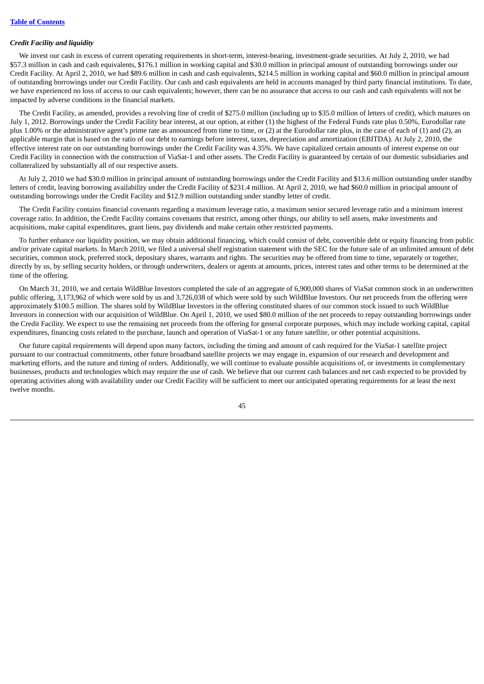#### *Credit Facility and liquidity*

We invest our cash in excess of current operating requirements in short-term, interest-bearing, investment-grade securities. At July 2, 2010, we had \$57.3 million in cash and cash equivalents, \$176.1 million in working capital and \$30.0 million in principal amount of outstanding borrowings under our Credit Facility. At April 2, 2010, we had \$89.6 million in cash and cash equivalents, \$214.5 million in working capital and \$60.0 million in principal amount of outstanding borrowings under our Credit Facility. Our cash and cash equivalents are held in accounts managed by third party financial institutions. To date, we have experienced no loss of access to our cash equivalents; however, there can be no assurance that access to our cash and cash equivalents will not be impacted by adverse conditions in the financial markets.

The Credit Facility, as amended, provides a revolving line of credit of \$275.0 million (including up to \$35.0 million of letters of credit), which matures on July 1, 2012. Borrowings under the Credit Facility bear interest, at our option, at either (1) the highest of the Federal Funds rate plus 0.50%, Eurodollar rate plus 1.00% or the administrative agent's prime rate as announced from time to time, or (2) at the Eurodollar rate plus, in the case of each of (1) and (2), an applicable margin that is based on the ratio of our debt to earnings before interest, taxes, depreciation and amortization (EBITDA). At July 2, 2010, the effective interest rate on our outstanding borrowings under the Credit Facility was 4.35%. We have capitalized certain amounts of interest expense on our Credit Facility in connection with the construction of ViaSat-1 and other assets. The Credit Facility is guaranteed by certain of our domestic subsidiaries and collateralized by substantially all of our respective assets.

At July 2, 2010 we had \$30.0 million in principal amount of outstanding borrowings under the Credit Facility and \$13.6 million outstanding under standby letters of credit, leaving borrowing availability under the Credit Facility of \$231.4 million. At April 2, 2010, we had \$60.0 million in principal amount of outstanding borrowings under the Credit Facility and \$12.9 million outstanding under standby letter of credit.

The Credit Facility contains financial covenants regarding a maximum leverage ratio, a maximum senior secured leverage ratio and a minimum interest coverage ratio. In addition, the Credit Facility contains covenants that restrict, among other things, our ability to sell assets, make investments and acquisitions, make capital expenditures, grant liens, pay dividends and make certain other restricted payments.

To further enhance our liquidity position, we may obtain additional financing, which could consist of debt, convertible debt or equity financing from public and/or private capital markets. In March 2010, we filed a universal shelf registration statement with the SEC for the future sale of an unlimited amount of debt securities, common stock, preferred stock, depositary shares, warrants and rights. The securities may be offered from time to time, separately or together, directly by us, by selling security holders, or through underwriters, dealers or agents at amounts, prices, interest rates and other terms to be determined at the time of the offering.

On March 31, 2010, we and certain WildBlue Investors completed the sale of an aggregate of 6,900,000 shares of ViaSat common stock in an underwritten public offering, 3,173,962 of which were sold by us and 3,726,038 of which were sold by such WildBlue Investors. Our net proceeds from the offering were approximately \$100.5 million. The shares sold by WildBlue Investors in the offering constituted shares of our common stock issued to such WildBlue Investors in connection with our acquisition of WildBlue. On April 1, 2010, we used \$80.0 million of the net proceeds to repay outstanding borrowings under the Credit Facility. We expect to use the remaining net proceeds from the offering for general corporate purposes, which may include working capital, capital expenditures, financing costs related to the purchase, launch and operation of ViaSat-1 or any future satellite, or other potential acquisitions.

Our future capital requirements will depend upon many factors, including the timing and amount of cash required for the ViaSat-1 satellite project pursuant to our contractual commitments, other future broadband satellite projects we may engage in, expansion of our research and development and marketing efforts, and the nature and timing of orders. Additionally, we will continue to evaluate possible acquisitions of, or investments in complementary businesses, products and technologies which may require the use of cash. We believe that our current cash balances and net cash expected to be provided by operating activities along with availability under our Credit Facility will be sufficient to meet our anticipated operating requirements for at least the next twelve months.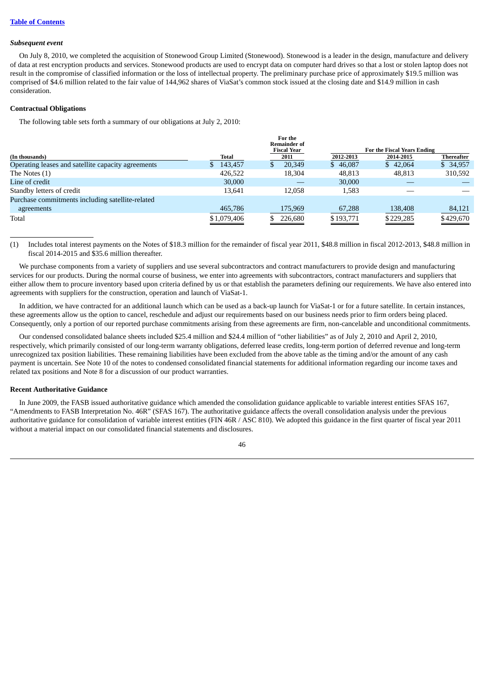#### *Subsequent event*

On July 8, 2010, we completed the acquisition of Stonewood Group Limited (Stonewood). Stonewood is a leader in the design, manufacture and delivery of data at rest encryption products and services. Stonewood products are used to encrypt data on computer hard drives so that a lost or stolen laptop does not result in the compromise of classified information or the loss of intellectual property. The preliminary purchase price of approximately \$19.5 million was comprised of \$4.6 million related to the fair value of 144,962 shares of ViaSat's common stock issued at the closing date and \$14.9 million in cash consideration.

#### **Contractual Obligations**

The following table sets forth a summary of our obligations at July 2, 2010:

|                                                    |             | For the<br><b>Remainder of</b> |                             |           |            |
|----------------------------------------------------|-------------|--------------------------------|-----------------------------|-----------|------------|
|                                                    |             | <b>Fiscal Year</b>             | For the Fiscal Years Ending |           |            |
| (In thousands)                                     | Total       | 2011                           | 2012-2013                   | 2014-2015 | Thereafter |
| Operating leases and satellite capacity agreements | 143,457     | 20,349                         | \$46,087                    | \$42,064  | \$34,957   |
| The Notes $(1)$                                    | 426,522     | 18,304                         | 48,813                      | 48,813    | 310,592    |
| Line of credit                                     | 30,000      |                                | 30,000                      |           |            |
| Standby letters of credit                          | 13,641      | 12.058                         | 1,583                       |           |            |
| Purchase commitments including satellite-related   |             |                                |                             |           |            |
| agreements                                         | 465,786     | 175,969                        | 67,288                      | 138,408   | 84,121     |
| Total                                              | \$1,079,406 | 226,680                        | \$193,771                   | \$229,285 | \$429,670  |

(1) Includes total interest payments on the Notes of \$18.3 million for the remainder of fiscal year 2011, \$48.8 million in fiscal 2012-2013, \$48.8 million in fiscal 2014-2015 and \$35.6 million thereafter.

We purchase components from a variety of suppliers and use several subcontractors and contract manufacturers to provide design and manufacturing services for our products. During the normal course of business, we enter into agreements with subcontractors, contract manufacturers and suppliers that either allow them to procure inventory based upon criteria defined by us or that establish the parameters defining our requirements. We have also entered into agreements with suppliers for the construction, operation and launch of ViaSat-1.

In addition, we have contracted for an additional launch which can be used as a back-up launch for ViaSat-1 or for a future satellite. In certain instances, these agreements allow us the option to cancel, reschedule and adjust our requirements based on our business needs prior to firm orders being placed. Consequently, only a portion of our reported purchase commitments arising from these agreements are firm, non-cancelable and unconditional commitments.

Our condensed consolidated balance sheets included \$25.4 million and \$24.4 million of "other liabilities" as of July 2, 2010 and April 2, 2010, respectively, which primarily consisted of our long-term warranty obligations, deferred lease credits, long-term portion of deferred revenue and long-term unrecognized tax position liabilities. These remaining liabilities have been excluded from the above table as the timing and/or the amount of any cash payment is uncertain. See Note 10 of the notes to condensed consolidated financial statements for additional information regarding our income taxes and related tax positions and Note 8 for a discussion of our product warranties.

### **Recent Authoritative Guidance**

In June 2009, the FASB issued authoritative guidance which amended the consolidation guidance applicable to variable interest entities SFAS 167, "Amendments to FASB Interpretation No. 46R" (SFAS 167). The authoritative guidance affects the overall consolidation analysis under the previous authoritative guidance for consolidation of variable interest entities (FIN 46R / ASC 810). We adopted this guidance in the first quarter of fiscal year 2011 without a material impact on our consolidated financial statements and disclosures.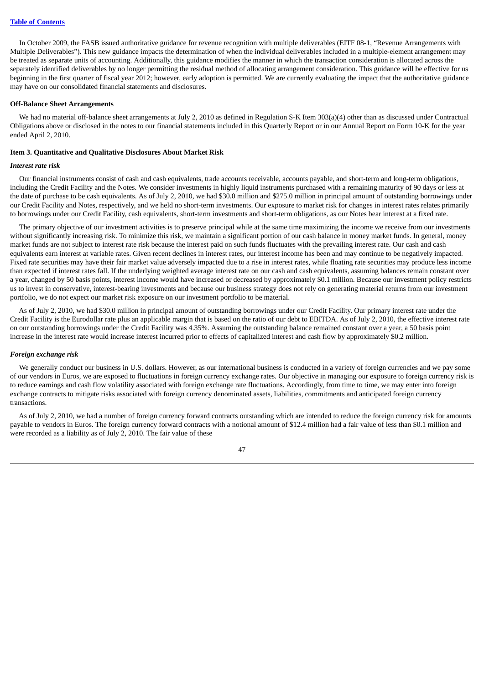In October 2009, the FASB issued authoritative guidance for revenue recognition with multiple deliverables (EITF 08-1, "Revenue Arrangements with Multiple Deliverables"). This new guidance impacts the determination of when the individual deliverables included in a multiple-element arrangement may be treated as separate units of accounting. Additionally, this guidance modifies the manner in which the transaction consideration is allocated across the separately identified deliverables by no longer permitting the residual method of allocating arrangement consideration. This guidance will be effective for us beginning in the first quarter of fiscal year 2012; however, early adoption is permitted. We are currently evaluating the impact that the authoritative guidance may have on our consolidated financial statements and disclosures.

#### **Off-Balance Sheet Arrangements**

We had no material off-balance sheet arrangements at July 2, 2010 as defined in Regulation S-K Item 303(a)(4) other than as discussed under Contractual Obligations above or disclosed in the notes to our financial statements included in this Quarterly Report or in our Annual Report on Form 10-K for the year ended April 2, 2010.

### <span id="page-47-0"></span>**Item 3. Quantitative and Qualitative Disclosures About Market Risk**

#### *Interest rate risk*

Our financial instruments consist of cash and cash equivalents, trade accounts receivable, accounts payable, and short-term and long-term obligations, including the Credit Facility and the Notes. We consider investments in highly liquid instruments purchased with a remaining maturity of 90 days or less at the date of purchase to be cash equivalents. As of July 2, 2010, we had \$30.0 million and \$275.0 million in principal amount of outstanding borrowings under our Credit Facility and Notes, respectively, and we held no short-term investments. Our exposure to market risk for changes in interest rates relates primarily to borrowings under our Credit Facility, cash equivalents, short-term investments and short-term obligations, as our Notes bear interest at a fixed rate.

The primary objective of our investment activities is to preserve principal while at the same time maximizing the income we receive from our investments without significantly increasing risk. To minimize this risk, we maintain a significant portion of our cash balance in money market funds. In general, money market funds are not subject to interest rate risk because the interest paid on such funds fluctuates with the prevailing interest rate. Our cash and cash equivalents earn interest at variable rates. Given recent declines in interest rates, our interest income has been and may continue to be negatively impacted. Fixed rate securities may have their fair market value adversely impacted due to a rise in interest rates, while floating rate securities may produce less income than expected if interest rates fall. If the underlying weighted average interest rate on our cash and cash equivalents, assuming balances remain constant over a year, changed by 50 basis points, interest income would have increased or decreased by approximately \$0.1 million. Because our investment policy restricts us to invest in conservative, interest-bearing investments and because our business strategy does not rely on generating material returns from our investment portfolio, we do not expect our market risk exposure on our investment portfolio to be material.

As of July 2, 2010, we had \$30.0 million in principal amount of outstanding borrowings under our Credit Facility. Our primary interest rate under the Credit Facility is the Eurodollar rate plus an applicable margin that is based on the ratio of our debt to EBITDA. As of July 2, 2010, the effective interest rate on our outstanding borrowings under the Credit Facility was 4.35%. Assuming the outstanding balance remained constant over a year, a 50 basis point increase in the interest rate would increase interest incurred prior to effects of capitalized interest and cash flow by approximately \$0.2 million.

#### *Foreign exchange risk*

We generally conduct our business in U.S. dollars. However, as our international business is conducted in a variety of foreign currencies and we pay some of our vendors in Euros, we are exposed to fluctuations in foreign currency exchange rates. Our objective in managing our exposure to foreign currency risk is to reduce earnings and cash flow volatility associated with foreign exchange rate fluctuations. Accordingly, from time to time, we may enter into foreign exchange contracts to mitigate risks associated with foreign currency denominated assets, liabilities, commitments and anticipated foreign currency transactions.

As of July 2, 2010, we had a number of foreign currency forward contracts outstanding which are intended to reduce the foreign currency risk for amounts payable to vendors in Euros. The foreign currency forward contracts with a notional amount of \$12.4 million had a fair value of less than \$0.1 million and were recorded as a liability as of July 2, 2010. The fair value of these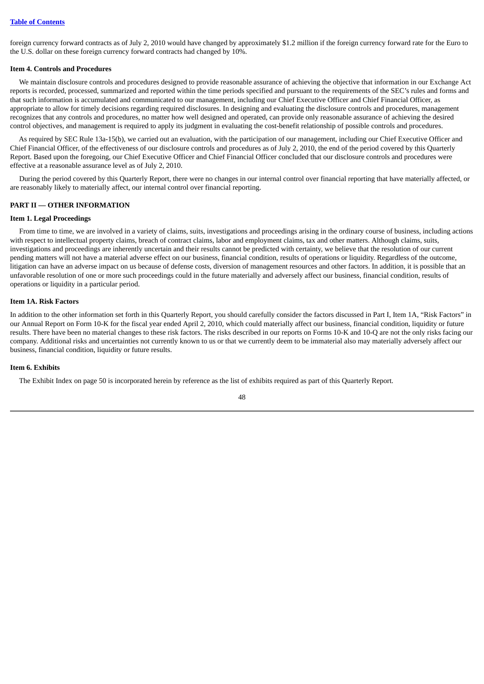foreign currency forward contracts as of July 2, 2010 would have changed by approximately \$1.2 million if the foreign currency forward rate for the Euro to the U.S. dollar on these foreign currency forward contracts had changed by 10%.

### <span id="page-48-0"></span>**Item 4. Controls and Procedures**

We maintain disclosure controls and procedures designed to provide reasonable assurance of achieving the objective that information in our Exchange Act reports is recorded, processed, summarized and reported within the time periods specified and pursuant to the requirements of the SEC's rules and forms and that such information is accumulated and communicated to our management, including our Chief Executive Officer and Chief Financial Officer, as appropriate to allow for timely decisions regarding required disclosures. In designing and evaluating the disclosure controls and procedures, management recognizes that any controls and procedures, no matter how well designed and operated, can provide only reasonable assurance of achieving the desired control objectives, and management is required to apply its judgment in evaluating the cost-benefit relationship of possible controls and procedures.

As required by SEC Rule 13a-15(b), we carried out an evaluation, with the participation of our management, including our Chief Executive Officer and Chief Financial Officer, of the effectiveness of our disclosure controls and procedures as of July 2, 2010, the end of the period covered by this Quarterly Report. Based upon the foregoing, our Chief Executive Officer and Chief Financial Officer concluded that our disclosure controls and procedures were effective at a reasonable assurance level as of July 2, 2010.

During the period covered by this Quarterly Report, there were no changes in our internal control over financial reporting that have materially affected, or are reasonably likely to materially affect, our internal control over financial reporting.

### <span id="page-48-1"></span>**PART II — OTHER INFORMATION**

#### <span id="page-48-2"></span>**Item 1. Legal Proceedings**

From time to time, we are involved in a variety of claims, suits, investigations and proceedings arising in the ordinary course of business, including actions with respect to intellectual property claims, breach of contract claims, labor and employment claims, tax and other matters. Although claims, suits, investigations and proceedings are inherently uncertain and their results cannot be predicted with certainty, we believe that the resolution of our current pending matters will not have a material adverse effect on our business, financial condition, results of operations or liquidity. Regardless of the outcome, litigation can have an adverse impact on us because of defense costs, diversion of management resources and other factors. In addition, it is possible that an unfavorable resolution of one or more such proceedings could in the future materially and adversely affect our business, financial condition, results of operations or liquidity in a particular period.

### <span id="page-48-3"></span>**Item 1A. Risk Factors**

In addition to the other information set forth in this Quarterly Report, you should carefully consider the factors discussed in Part I, Item 1A, "Risk Factors" in our Annual Report on Form 10-K for the fiscal year ended April 2, 2010, which could materially affect our business, financial condition, liquidity or future results. There have been no material changes to these risk factors. The risks described in our reports on Forms 10-K and 10-Q are not the only risks facing our company. Additional risks and uncertainties not currently known to us or that we currently deem to be immaterial also may materially adversely affect our business, financial condition, liquidity or future results.

### <span id="page-48-4"></span>**Item 6. Exhibits**

The Exhibit Index on page 50 is incorporated herein by reference as the list of exhibits required as part of this Quarterly Report.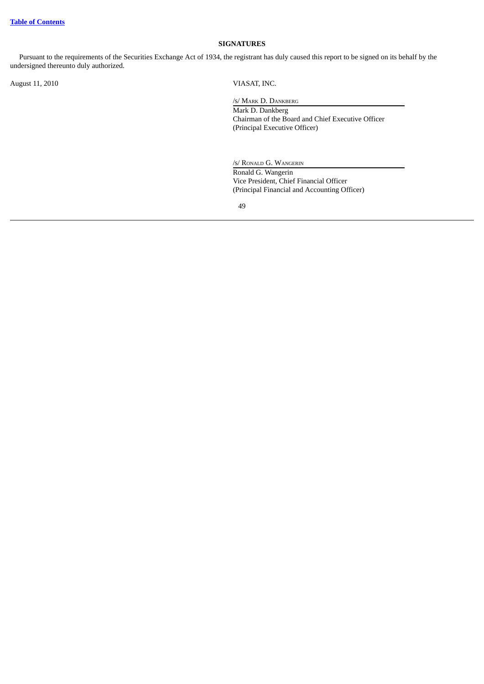### **SIGNATURES**

<span id="page-49-0"></span>Pursuant to the requirements of the Securities Exchange Act of 1934, the registrant has duly caused this report to be signed on its behalf by the undersigned thereunto duly authorized.

August 11, 2010 VIASAT, INC.

/s/ MARK D. DANKBERG Mark D. Dankberg Chairman of the Board and Chief Executive Officer (Principal Executive Officer)

/s/ RONALD G. WANGERIN

Ronald G. Wangerin Vice President, Chief Financial Officer (Principal Financial and Accounting Officer)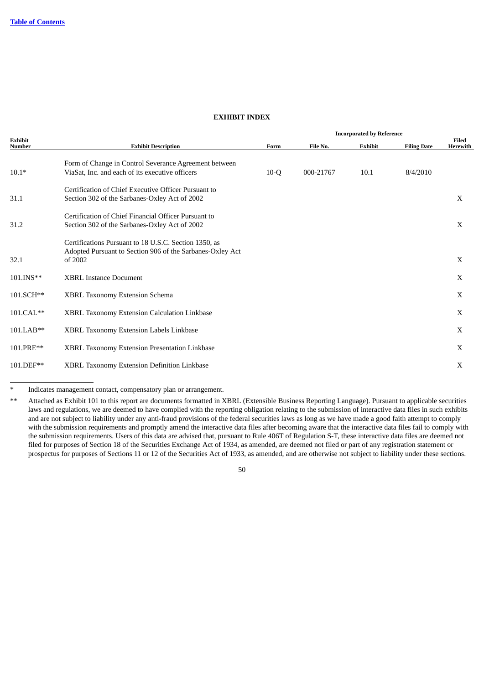# **EXHIBIT INDEX**

|                                 |                                                                                                                               |        | <b>Incorporated by Reference</b> |                |                    |                          |
|---------------------------------|-------------------------------------------------------------------------------------------------------------------------------|--------|----------------------------------|----------------|--------------------|--------------------------|
| <b>Exhibit</b><br><b>Number</b> | <b>Exhibit Description</b>                                                                                                    | Form   | File No.                         | <b>Exhibit</b> | <b>Filing Date</b> | <b>Filed</b><br>Herewith |
| $10.1*$                         | Form of Change in Control Severance Agreement between<br>ViaSat, Inc. and each of its executive officers                      | $10-Q$ | 000-21767                        | 10.1           | 8/4/2010           |                          |
| 31.1                            | Certification of Chief Executive Officer Pursuant to<br>Section 302 of the Sarbanes-Oxley Act of 2002                         |        |                                  |                |                    | X                        |
| 31.2                            | Certification of Chief Financial Officer Pursuant to<br>Section 302 of the Sarbanes-Oxley Act of 2002                         |        |                                  |                |                    | X                        |
| 32.1                            | Certifications Pursuant to 18 U.S.C. Section 1350, as<br>Adopted Pursuant to Section 906 of the Sarbanes-Oxley Act<br>of 2002 |        |                                  |                |                    | X                        |
| 101.INS**                       | <b>XBRL Instance Document</b>                                                                                                 |        |                                  |                |                    | X                        |
| 101.SCH**                       | XBRL Taxonomy Extension Schema                                                                                                |        |                                  |                |                    | X                        |
| 101.CAL**                       | <b>XBRL Taxonomy Extension Calculation Linkbase</b>                                                                           |        |                                  |                |                    | X                        |
| $101.LAB**$                     | XBRL Taxonomy Extension Labels Linkbase                                                                                       |        |                                  |                |                    | X                        |
| 101.PRE**                       | XBRL Taxonomy Extension Presentation Linkbase                                                                                 |        |                                  |                |                    | $\mathbf X$              |
| 101.DEF**                       | <b>XBRL Taxonomy Extension Definition Linkbase</b>                                                                            |        |                                  |                |                    | X                        |
|                                 |                                                                                                                               |        |                                  |                |                    |                          |

Indicates management contact, compensatory plan or arrangement.

<sup>\*\*</sup> Attached as Exhibit 101 to this report are documents formatted in XBRL (Extensible Business Reporting Language). Pursuant to applicable securities laws and regulations, we are deemed to have complied with the reporting obligation relating to the submission of interactive data files in such exhibits and are not subject to liability under any anti-fraud provisions of the federal securities laws as long as we have made a good faith attempt to comply with the submission requirements and promptly amend the interactive data files after becoming aware that the interactive data files fail to comply with the submission requirements. Users of this data are advised that, pursuant to Rule 406T of Regulation S-T, these interactive data files are deemed not filed for purposes of Section 18 of the Securities Exchange Act of 1934, as amended, are deemed not filed or part of any registration statement or prospectus for purposes of Sections 11 or 12 of the Securities Act of 1933, as amended, and are otherwise not subject to liability under these sections.

<sup>50</sup>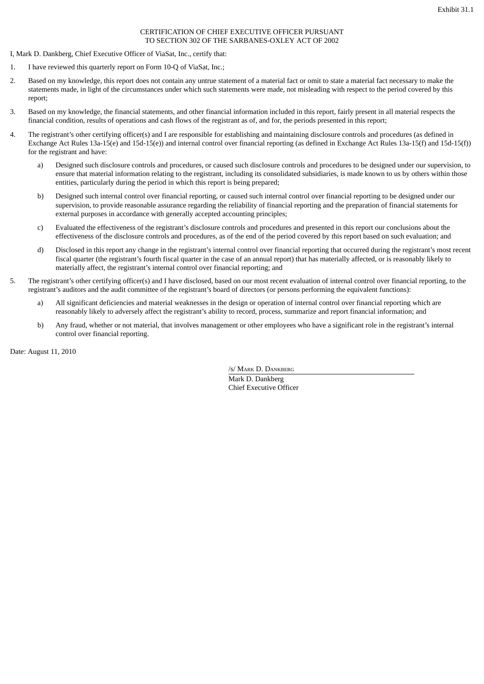### CERTIFICATION OF CHIEF EXECUTIVE OFFICER PURSUANT TO SECTION 302 OF THE SARBANES-OXLEY ACT OF 2002

I, Mark D. Dankberg, Chief Executive Officer of ViaSat, Inc., certify that:

- 1. I have reviewed this quarterly report on Form 10-Q of ViaSat, Inc.;
- 2. Based on my knowledge, this report does not contain any untrue statement of a material fact or omit to state a material fact necessary to make the statements made, in light of the circumstances under which such statements were made, not misleading with respect to the period covered by this report;
- 3. Based on my knowledge, the financial statements, and other financial information included in this report, fairly present in all material respects the financial condition, results of operations and cash flows of the registrant as of, and for, the periods presented in this report;
- 4. The registrant's other certifying officer(s) and I are responsible for establishing and maintaining disclosure controls and procedures (as defined in Exchange Act Rules 13a-15(e) and 15d-15(e)) and internal control over financial reporting (as defined in Exchange Act Rules 13a-15(f) and 15d-15(f)) for the registrant and have:
	- a) Designed such disclosure controls and procedures, or caused such disclosure controls and procedures to be designed under our supervision, to ensure that material information relating to the registrant, including its consolidated subsidiaries, is made known to us by others within those entities, particularly during the period in which this report is being prepared;
	- b) Designed such internal control over financial reporting, or caused such internal control over financial reporting to be designed under our supervision, to provide reasonable assurance regarding the reliability of financial reporting and the preparation of financial statements for external purposes in accordance with generally accepted accounting principles;
	- c) Evaluated the effectiveness of the registrant's disclosure controls and procedures and presented in this report our conclusions about the effectiveness of the disclosure controls and procedures, as of the end of the period covered by this report based on such evaluation; and
	- d) Disclosed in this report any change in the registrant's internal control over financial reporting that occurred during the registrant's most recent fiscal quarter (the registrant's fourth fiscal quarter in the case of an annual report) that has materially affected, or is reasonably likely to materially affect, the registrant's internal control over financial reporting; and
- 5. The registrant's other certifying officer(s) and I have disclosed, based on our most recent evaluation of internal control over financial reporting, to the registrant's auditors and the audit committee of the registrant's board of directors (or persons performing the equivalent functions):
	- a) All significant deficiencies and material weaknesses in the design or operation of internal control over financial reporting which are reasonably likely to adversely affect the registrant's ability to record, process, summarize and report financial information; and
	- b) Any fraud, whether or not material, that involves management or other employees who have a significant role in the registrant's internal control over financial reporting.

Date: August 11, 2010

/s/ MARK D. DANKBERG

Mark D. Dankberg Chief Executive Officer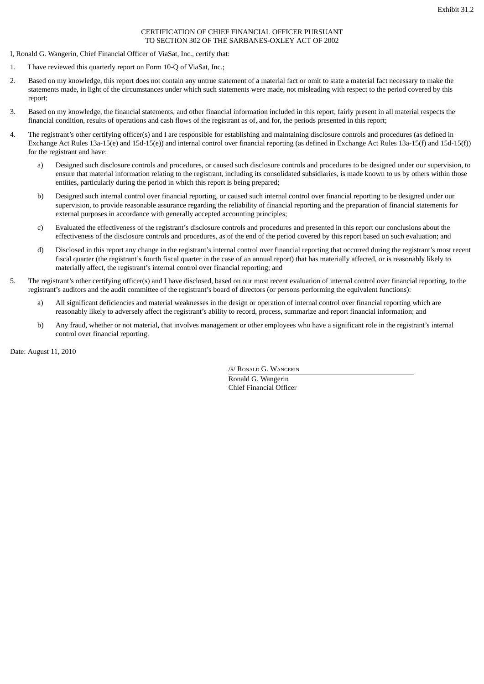### CERTIFICATION OF CHIEF FINANCIAL OFFICER PURSUANT TO SECTION 302 OF THE SARBANES-OXLEY ACT OF 2002

I, Ronald G. Wangerin, Chief Financial Officer of ViaSat, Inc., certify that:

- 1. I have reviewed this quarterly report on Form 10-Q of ViaSat, Inc.;
- 2. Based on my knowledge, this report does not contain any untrue statement of a material fact or omit to state a material fact necessary to make the statements made, in light of the circumstances under which such statements were made, not misleading with respect to the period covered by this report;
- 3. Based on my knowledge, the financial statements, and other financial information included in this report, fairly present in all material respects the financial condition, results of operations and cash flows of the registrant as of, and for, the periods presented in this report;
- 4. The registrant's other certifying officer(s) and I are responsible for establishing and maintaining disclosure controls and procedures (as defined in Exchange Act Rules 13a-15(e) and 15d-15(e)) and internal control over financial reporting (as defined in Exchange Act Rules 13a-15(f) and 15d-15(f)) for the registrant and have:
	- a) Designed such disclosure controls and procedures, or caused such disclosure controls and procedures to be designed under our supervision, to ensure that material information relating to the registrant, including its consolidated subsidiaries, is made known to us by others within those entities, particularly during the period in which this report is being prepared;
	- b) Designed such internal control over financial reporting, or caused such internal control over financial reporting to be designed under our supervision, to provide reasonable assurance regarding the reliability of financial reporting and the preparation of financial statements for external purposes in accordance with generally accepted accounting principles;
	- c) Evaluated the effectiveness of the registrant's disclosure controls and procedures and presented in this report our conclusions about the effectiveness of the disclosure controls and procedures, as of the end of the period covered by this report based on such evaluation; and
	- d) Disclosed in this report any change in the registrant's internal control over financial reporting that occurred during the registrant's most recent fiscal quarter (the registrant's fourth fiscal quarter in the case of an annual report) that has materially affected, or is reasonably likely to materially affect, the registrant's internal control over financial reporting; and
- 5. The registrant's other certifying officer(s) and I have disclosed, based on our most recent evaluation of internal control over financial reporting, to the registrant's auditors and the audit committee of the registrant's board of directors (or persons performing the equivalent functions):
	- a) All significant deficiencies and material weaknesses in the design or operation of internal control over financial reporting which are reasonably likely to adversely affect the registrant's ability to record, process, summarize and report financial information; and
	- b) Any fraud, whether or not material, that involves management or other employees who have a significant role in the registrant's internal control over financial reporting.

Date: August 11, 2010

/s/ RONALD G. WANGERIN

Ronald G. Wangerin Chief Financial Officer